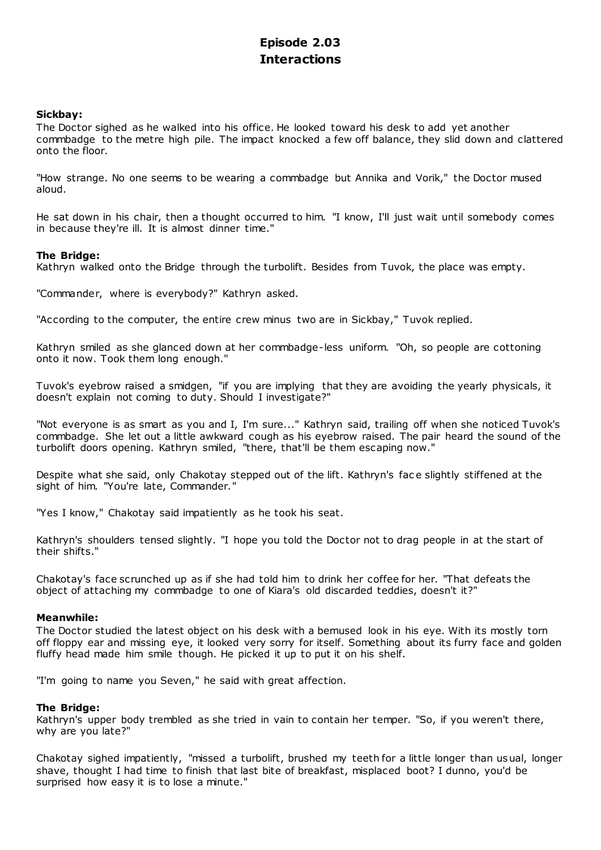# **Episode 2.03 Interactions**

# **Sickbay:**

The Doctor sighed as he walked into his office. He looked toward his desk to add yet another commbadge to the metre high pile. The impact knocked a few off balance, they slid down and clattered onto the floor.

"How strange. No one seems to be wearing a commbadge but Annika and Vorik," the Doctor mused aloud.

He sat down in his chair, then a thought occurred to him. "I know, I'll just wait until somebody comes in because they're ill. It is almost dinner time."

# **The Bridge:**

Kathryn walked onto the Bridge through the turbolift. Besides from Tuvok, the place was empty.

"Commander, where is everybody?" Kathryn asked.

"According to the computer, the entire crew minus two are in Sickbay," Tuvok replied.

Kathryn smiled as she glanced down at her commbadge-less uniform. "Oh, so people are cottoning onto it now. Took them long enough."

Tuvok's eyebrow raised a smidgen, "if you are implying that they are avoiding the yearly physicals, it doesn't explain not coming to duty. Should I investigate?"

"Not everyone is as smart as you and I, I'm sure..." Kathryn said, trailing off when she noticed Tuvok's commbadge. She let out a little awkward cough as his eyebrow raised. The pair heard the sound of the turbolift doors opening. Kathryn smiled, "there, that'll be them escaping now."

Despite what she said, only Chakotay stepped out of the lift. Kathryn's fac e slightly stiffened at the sight of him. "You're late, Commander."

"Yes I know," Chakotay said impatiently as he took his seat.

Kathryn's shoulders tensed slightly. "I hope you told the Doctor not to drag people in at the start of their shifts."

Chakotay's face scrunched up as if she had told him to drink her coffee for her. "That defeats the object of attaching my commbadge to one of Kiara's old discarded teddies, doesn't it?"

## **Meanwhile:**

The Doctor studied the latest object on his desk with a bemused look in his eye. With its mostly torn off floppy ear and missing eye, it looked very sorry for itself. Something about its furry face and golden fluffy head made him smile though. He picked it up to put it on his shelf.

"I'm going to name you Seven," he said with great affection.

## **The Bridge:**

Kathryn's upper body trembled as she tried in vain to contain her temper. "So, if you weren't there, why are you late?"

Chakotay sighed impatiently, "missed a turbolift, brushed my teeth for a little longer than usual, longer shave, thought I had time to finish that last bite of breakfast, misplaced boot? I dunno, you'd be surprised how easy it is to lose a minute."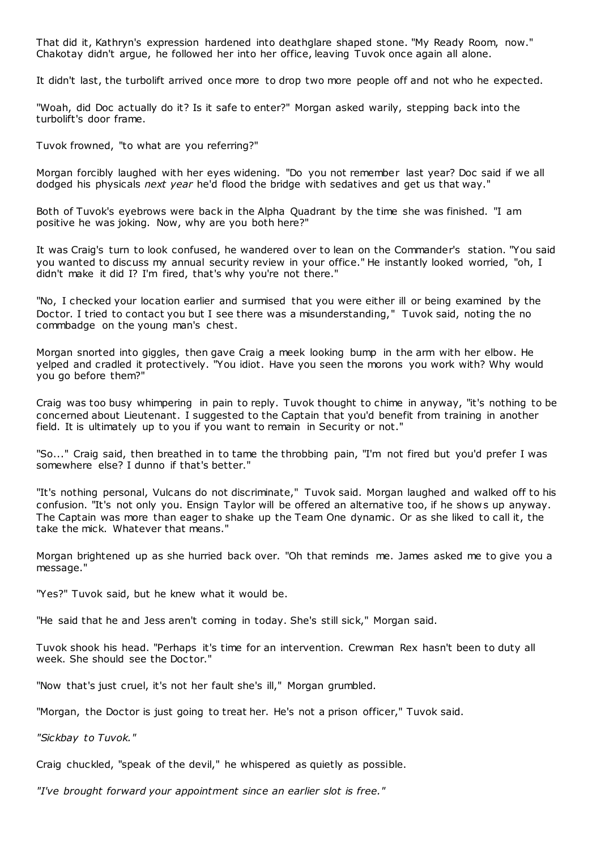That did it, Kathryn's expression hardened into deathglare shaped stone. "My Ready Room, now." Chakotay didn't argue, he followed her into her office, leaving Tuvok once again all alone.

It didn't last, the turbolift arrived once more to drop two more people off and not who he expected.

"Woah, did Doc actually do it? Is it safe to enter?" Morgan asked warily, stepping back into the turbolift's door frame.

Tuvok frowned, "to what are you referring?"

Morgan forcibly laughed with her eyes widening. "Do you not remember last year? Doc said if we all dodged his physicals *next year* he'd flood the bridge with sedatives and get us that way."

Both of Tuvok's eyebrows were back in the Alpha Quadrant by the time she was finished. "I am positive he was joking. Now, why are you both here?"

It was Craig's turn to look confused, he wandered over to lean on the Commander's station. "You said you wanted to discuss my annual security review in your office." He instantly looked worried, "oh, I didn't make it did I? I'm fired, that's why you're not there."

"No, I checked your location earlier and surmised that you were either ill or being examined by the Doctor. I tried to contact you but I see there was a misunderstanding," Tuvok said, noting the no commbadge on the young man's chest.

Morgan snorted into giggles, then gave Craig a meek looking bump in the arm with her elbow. He yelped and cradled it protectively. "You idiot. Have you seen the morons you work with? Why would you go before them?"

Craig was too busy whimpering in pain to reply. Tuvok thought to chime in anyway, "it's nothing to be concerned about Lieutenant. I suggested to the Captain that you'd benefit from training in another field. It is ultimately up to you if you want to remain in Security or not."

"So..." Craig said, then breathed in to tame the throbbing pain, "I'm not fired but you'd prefer I was somewhere else? I dunno if that's better."

"It's nothing personal, Vulcans do not discriminate," Tuvok said. Morgan laughed and walked off to his confusion. "It's not only you. Ensign Taylor will be offered an alternative too, if he show s up anyway. The Captain was more than eager to shake up the Team One dynamic . Or as she liked to call it, the take the mick. Whatever that means."

Morgan brightened up as she hurried back over. "Oh that reminds me. James asked me to give you a message."

"Yes?" Tuvok said, but he knew what it would be.

"He said that he and Jess aren't coming in today. She's still sick," Morgan said.

Tuvok shook his head. "Perhaps it's time for an intervention. Crewman Rex hasn't been to duty all week. She should see the Doctor."

"Now that's just cruel, it's not her fault she's ill," Morgan grumbled.

"Morgan, the Doctor is just going to treat her. He's not a prison officer," Tuvok said.

*"Sickbay to Tuvok."*

Craig chuckled, "speak of the devil," he whispered as quietly as possible.

*"I've brought forward your appointment since an earlier slot is free."*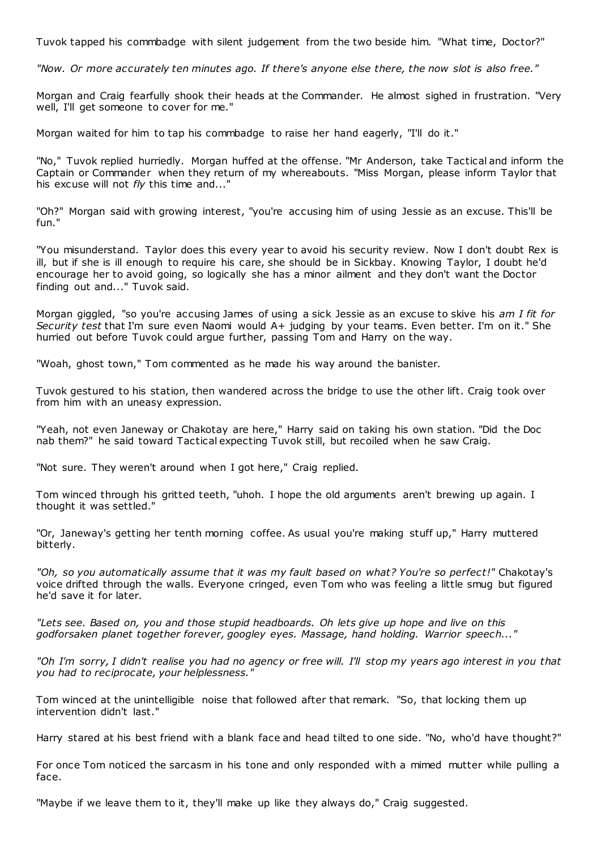Tuvok tapped his commbadge with silent judgement from the two beside him. "What time, Doctor?"

*"Now. Or more accurately ten minutes ago. If there's anyone else there, the now slot is also free."*

Morgan and Craig fearfully shook their heads at the Commander. He almost sighed in frustration. "Very well, I'll get someone to cover for me."

Morgan waited for him to tap his commbadge to raise her hand eagerly, "I'll do it."

"No," Tuvok replied hurriedly. Morgan huffed at the offense. "Mr Anderson, take Tactical and inform the Captain or Commander when they return of my whereabouts. "Miss Morgan, please inform Taylor that his excuse will not *fly* this time and..."

"Oh?" Morgan said with growing interest, "you're accusing him of using Jessie as an excuse. This'll be fun."

"You misunderstand. Taylor does this every year to avoid his security review. Now I don't doubt Rex is ill, but if she is ill enough to require his care, she should be in Sickbay. Knowing Taylor, I doubt he'd encourage her to avoid going, so logically she has a minor ailment and they don't want the Doctor finding out and..." Tuvok said.

Morgan giggled, "so you're accusing James of using a sick Jessie as an excuse to skive his *am I fit for Security test* that I'm sure even Naomi would A+ judging by your teams. Even better. I'm on it." She hurried out before Tuvok could argue further, passing Tom and Harry on the way.

"Woah, ghost town," Tom commented as he made his way around the banister.

Tuvok gestured to his station, then wandered across the bridge to use the other lift. Craig took over from him with an uneasy expression.

"Yeah, not even Janeway or Chakotay are here," Harry said on taking his own station. "Did the Doc nab them?" he said toward Tactical expecting Tuvok still, but recoiled when he saw Craig.

"Not sure. They weren't around when I got here," Craig replied.

Tom winced through his gritted teeth, "uhoh. I hope the old arguments aren't brewing up again. I thought it was settled."

"Or, Janeway's getting her tenth morning coffee. As usual you're making stuff up," Harry muttered bitterly.

*"Oh, so you automatically assume that it was my fault based on what? You're so perfect!"* Chakotay's voice drifted through the walls. Everyone cringed, even Tom who was feeling a little smug but figured he'd save it for later.

*"Lets see. Based on, you and those stupid headboards. Oh lets give up hope and live on this godforsaken planet together forever, googley eyes. Massage, hand holding. Warrior speech..."*

*"Oh I'm sorry, I didn't realise you had no agency or free will. I'll stop my years ago interest in you that you had to reciprocate, your helplessness."*

Tom winced at the unintelligible noise that followed after that remark. "So, that locking them up intervention didn't last."

Harry stared at his best friend with a blank face and head tilted to one side. "No, who'd have thought?"

For once Tom noticed the sarcasm in his tone and only responded with a mimed mutter while pulling a face.

"Maybe if we leave them to it, they'll make up like they always do," Craig suggested.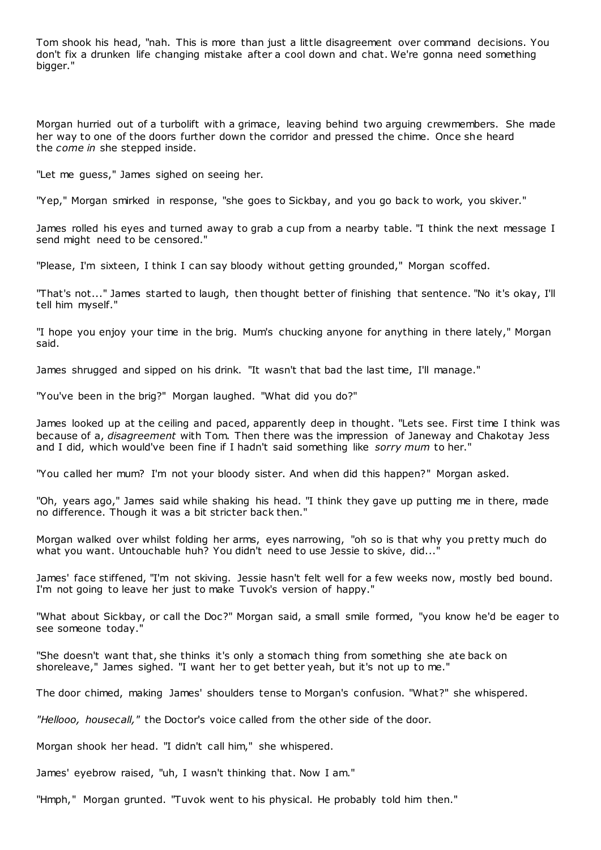Tom shook his head, "nah. This is more than just a little disagreement over command decisions. You don't fix a drunken life changing mistake after a cool down and chat. We're gonna need something bigger."

Morgan hurried out of a turbolift with a grimace, leaving behind two arguing crewmembers. She made her way to one of the doors further down the corridor and pressed the chime. Once she heard the *come in* she stepped inside.

"Let me guess," James sighed on seeing her.

"Yep," Morgan smirked in response, "she goes to Sickbay, and you go back to work, you skiver."

James rolled his eyes and turned away to grab a cup from a nearby table. "I think the next message I send might need to be censored."

"Please, I'm sixteen, I think I can say bloody without getting grounded," Morgan scoffed.

"That's not..." James started to laugh, then thought better of finishing that sentence. "No it's okay, I'll tell him myself."

"I hope you enjoy your time in the brig. Mum's chucking anyone for anything in there lately," Morgan said.

James shrugged and sipped on his drink. "It wasn't that bad the last time, I'll manage."

"You've been in the brig?" Morgan laughed. "What did you do?"

James looked up at the ceiling and paced, apparently deep in thought. "Lets see. First time I think was because of a, *disagreement* with Tom. Then there was the impression of Janeway and Chakotay Jess and I did, which would've been fine if I hadn't said something like *sorry mum* to her."

"You called her mum? I'm not your bloody sister. And when did this happen?" Morgan asked.

"Oh, years ago," James said while shaking his head. "I think they gave up putting me in there, made no difference. Though it was a bit stricter back then."

Morgan walked over whilst folding her arms, eyes narrowing, "oh so is that why you pretty much do what you want. Untouchable huh? You didn't need to use Jessie to skive, did...'

James' face stiffened, "I'm not skiving. Jessie hasn't felt well for a few weeks now, mostly bed bound. I'm not going to leave her just to make Tuvok's version of happy."

"What about Sickbay, or call the Doc?" Morgan said, a small smile formed, "you know he'd be eager to see someone today."

"She doesn't want that, she thinks it's only a stomach thing from something she ate back on shoreleave," James sighed. "I want her to get better yeah, but it's not up to me."

The door chimed, making James' shoulders tense to Morgan's confusion. "What?" she whispered.

*"Hellooo, housecall,"* the Doctor's voice called from the other side of the door.

Morgan shook her head. "I didn't call him," she whispered.

James' eyebrow raised, "uh, I wasn't thinking that. Now I am."

"Hmph," Morgan grunted. "Tuvok went to his physical. He probably told him then."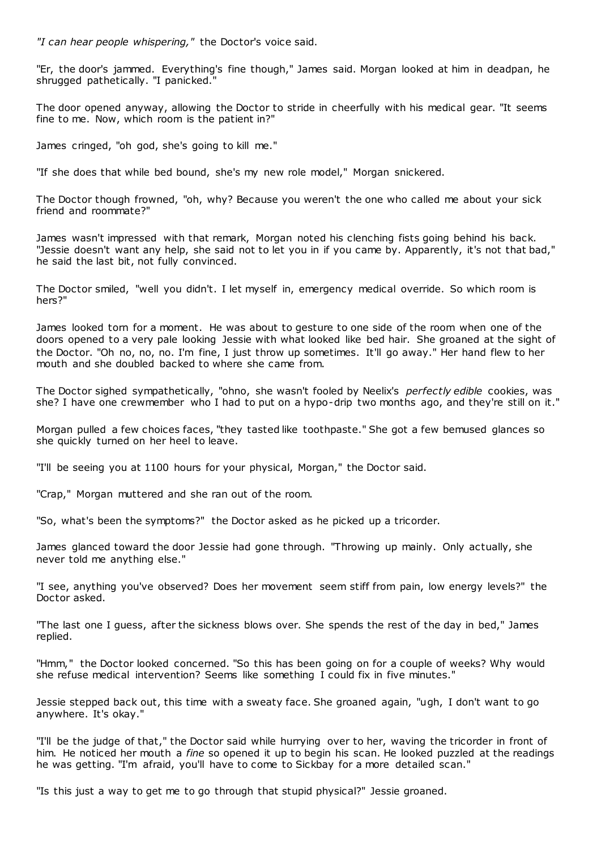*"I can hear people whispering,"* the Doctor's voice said.

"Er, the door's jammed. Everything's fine though," James said. Morgan looked at him in deadpan, he shrugged pathetically. "I panicked."

The door opened anyway, allowing the Doctor to stride in cheerfully with his medical gear. "It seems fine to me. Now, which room is the patient in?"

James cringed, "oh god, she's going to kill me."

"If she does that while bed bound, she's my new role model," Morgan snickered.

The Doctor though frowned, "oh, why? Because you weren't the one who called me about your sick friend and roommate?"

James wasn't impressed with that remark, Morgan noted his clenching fists going behind his back. "Jessie doesn't want any help, she said not to let you in if you came by. Apparently, it's not that bad," he said the last bit, not fully convinced.

The Doctor smiled, "well you didn't. I let myself in, emergency medical override. So which room is hers?"

James looked torn for a moment. He was about to gesture to one side of the room when one of the doors opened to a very pale looking Jessie with what looked like bed hair. She groaned at the sight of the Doctor. "Oh no, no, no. I'm fine, I just throw up sometimes. It'll go away." Her hand flew to her mouth and she doubled backed to where she came from.

The Doctor sighed sympathetically, "ohno, she wasn't fooled by Neelix's *perfectly edible* cookies, was she? I have one crewmember who I had to put on a hypo-drip two months ago, and they're still on it."

Morgan pulled a few choices faces, "they tasted like toothpaste." She got a few bemused glances so she quickly turned on her heel to leave.

"I'll be seeing you at 1100 hours for your physical, Morgan," the Doctor said.

"Crap," Morgan muttered and she ran out of the room.

"So, what's been the symptoms?" the Doctor asked as he picked up a tricorder.

James glanced toward the door Jessie had gone through. "Throwing up mainly. Only actually, she never told me anything else."

"I see, anything you've observed? Does her movement seem stiff from pain, low energy levels?" the Doctor asked.

"The last one I guess, after the sickness blows over. She spends the rest of the day in bed," James replied.

"Hmm," the Doctor looked concerned. "So this has been going on for a couple of weeks? Why would she refuse medical intervention? Seems like something I could fix in five minutes."

Jessie stepped back out, this time with a sweaty face. She groaned again, "ugh, I don't want to go anywhere. It's okay."

"I'll be the judge of that," the Doctor said while hurrying over to her, waving the tricorder in front of him. He noticed her mouth a *fine* so opened it up to begin his scan. He looked puzzled at the readings he was getting. "I'm afraid, you'll have to come to Sickbay for a more detailed scan."

"Is this just a way to get me to go through that stupid physical?" Jessie groaned.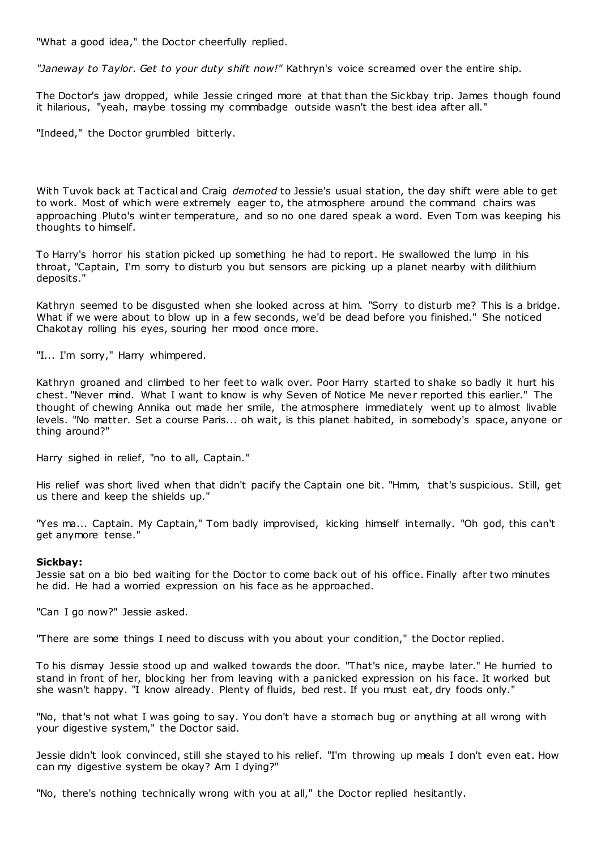"What a good idea," the Doctor cheerfully replied.

*"Janeway to Taylor. Get to your duty shift now!"* Kathryn's voice screamed over the entire ship.

The Doctor's jaw dropped, while Jessie cringed more at that than the Sickbay trip. James though found it hilarious, "yeah, maybe tossing my commbadge outside wasn't the best idea after all."

"Indeed," the Doctor grumbled bitterly.

With Tuvok back at Tactical and Craig *demoted* to Jessie's usual station, the day shift were able to get to work. Most of which were extremely eager to, the atmosphere around the command chairs was approaching Pluto's winter temperature, and so no one dared speak a word. Even Tom was keeping his thoughts to himself.

To Harry's horror his station picked up something he had to report. He swallowed the lump in his throat, "Captain, I'm sorry to disturb you but sensors are picking up a planet nearby with dilithium deposits."

Kathryn seemed to be disgusted when she looked across at him. "Sorry to disturb me? This is a bridge. What if we were about to blow up in a few seconds, we'd be dead before you finished." She noticed Chakotay rolling his eyes, souring her mood once more.

"I... I'm sorry," Harry whimpered.

Kathryn groaned and climbed to her feet to walk over. Poor Harry started to shake so badly it hurt his chest. "Never mind. What I want to know is why Seven of Notice Me never reported this earlier." The thought of chewing Annika out made her smile, the atmosphere immediately went up to almost livable levels. "No matter. Set a course Paris... oh wait, is this planet habited, in somebody's space, anyone or thing around?"

Harry sighed in relief, "no to all, Captain."

His relief was short lived when that didn't pacify the Captain one bit. "Hmm, that's suspicious. Still, get us there and keep the shields up."

"Yes ma... Captain. My Captain," Tom badly improvised, kicking himself internally. "Oh god, this can't get anymore tense."

## **Sickbay:**

Jessie sat on a bio bed waiting for the Doctor to come back out of his office. Finally after two minutes he did. He had a worried expression on his face as he approached.

"Can I go now?" Jessie asked.

"There are some things I need to discuss with you about your condition," the Doctor replied.

To his dismay Jessie stood up and walked towards the door. "That's nice, maybe later." He hurried to stand in front of her, blocking her from leaving with a panicked expression on his face. It worked but she wasn't happy. "I know already. Plenty of fluids, bed rest. If you must eat, dry foods only."

"No, that's not what I was going to say. You don't have a stomach bug or anything at all wrong with your digestive system," the Doctor said.

Jessie didn't look convinced, still she stayed to his relief. "I'm throwing up meals I don't even eat. How can my digestive system be okay? Am I dying?"

"No, there's nothing technically wrong with you at all," the Doctor replied hesitantly.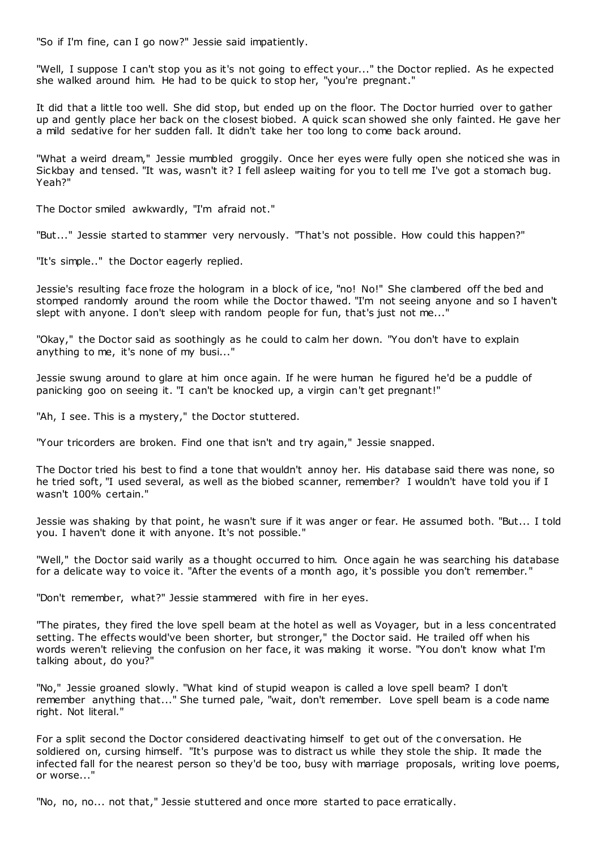"So if I'm fine, can I go now?" Jessie said impatiently.

"Well, I suppose I can't stop you as it's not going to effect your..." the Doctor replied. As he expected she walked around him. He had to be quick to stop her, "you're pregnant."

It did that a little too well. She did stop, but ended up on the floor. The Doctor hurried over to gather up and gently place her back on the closest biobed. A quick scan showed she only fainted. He gave her a mild sedative for her sudden fall. It didn't take her too long to come back around.

"What a weird dream," Jessie mumbled groggily. Once her eyes were fully open she noticed she was in Sickbay and tensed. "It was, wasn't it? I fell asleep waiting for you to tell me I've got a stomach bug. Yeah?"

The Doctor smiled awkwardly, "I'm afraid not."

"But..." Jessie started to stammer very nervously. "That's not possible. How could this happen?"

"It's simple.." the Doctor eagerly replied.

Jessie's resulting face froze the hologram in a block of ice, "no! No!" She clambered off the bed and stomped randomly around the room while the Doctor thawed. "I'm not seeing anyone and so I haven't slept with anyone. I don't sleep with random people for fun, that's just not me..."

"Okay," the Doctor said as soothingly as he could to calm her down. "You don't have to explain anything to me, it's none of my busi..."

Jessie swung around to glare at him once again. If he were human he figured he'd be a puddle of panicking goo on seeing it. "I can't be knocked up, a virgin can't get pregnant!"

"Ah, I see. This is a mystery," the Doctor stuttered.

"Your tricorders are broken. Find one that isn't and try again," Jessie snapped.

The Doctor tried his best to find a tone that wouldn't annoy her. His database said there was none, so he tried soft, "I used several, as well as the biobed scanner, remember? I wouldn't have told you if I wasn't 100% certain."

Jessie was shaking by that point, he wasn't sure if it was anger or fear. He assumed both. "But... I told you. I haven't done it with anyone. It's not possible."

"Well," the Doctor said warily as a thought occurred to him. Once again he was searching his database for a delicate way to voice it. "After the events of a month ago, it's possible you don't remember."

"Don't remember, what?" Jessie stammered with fire in her eyes.

"The pirates, they fired the love spell beam at the hotel as well as Voyager, but in a less concentrated setting. The effects would've been shorter, but stronger," the Doctor said. He trailed off when his words weren't relieving the confusion on her face, it was making it worse. "You don't know what I'm talking about, do you?"

"No," Jessie groaned slowly. "What kind of stupid weapon is called a love spell beam? I don't remember anything that..." She turned pale, "wait, don't remember. Love spell beam is a code name right. Not literal."

For a split second the Doctor considered deactivating himself to get out of the c onversation. He soldiered on, cursing himself. "It's purpose was to distract us while they stole the ship. It made the infected fall for the nearest person so they'd be too, busy with marriage proposals, writing love poems, or worse..."

"No, no, no... not that," Jessie stuttered and once more started to pace erratically.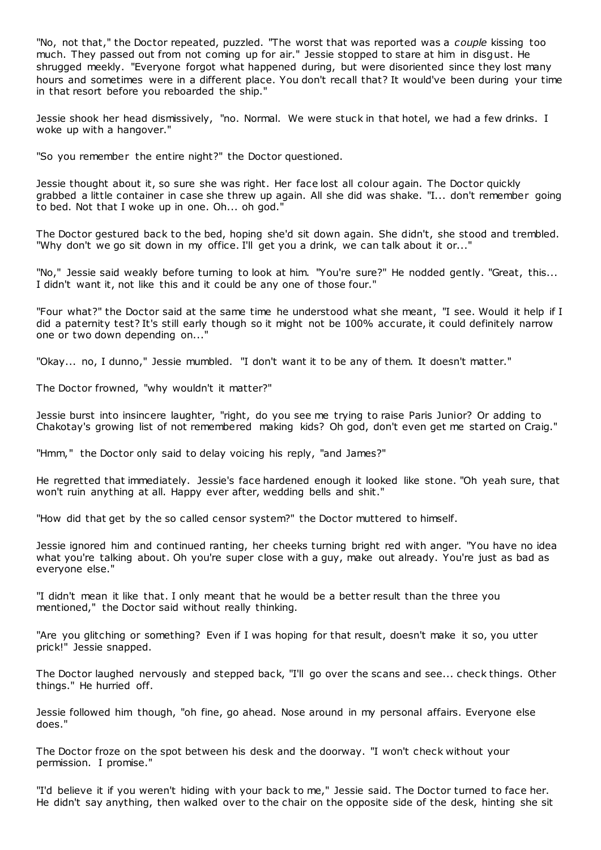"No, not that," the Doctor repeated, puzzled. "The worst that was reported was a *couple* kissing too much. They passed out from not coming up for air." Jessie stopped to stare at him in disgust. He shrugged meekly. "Everyone forgot what happened during, but were disoriented since they lost many hours and sometimes were in a different place. You don't recall that? It would've been during your time in that resort before you reboarded the ship."

Jessie shook her head dismissively, "no. Normal. We were stuck in that hotel, we had a few drinks. I woke up with a hangover."

"So you remember the entire night?" the Doctor questioned.

Jessie thought about it, so sure she was right. Her face lost all colour again. The Doctor quickly grabbed a little container in case she threw up again. All she did was shake. "I... don't remember going to bed. Not that I woke up in one. Oh... oh god."

The Doctor gestured back to the bed, hoping she'd sit down again. She didn't, she stood and trembled. "Why don't we go sit down in my office. I'll get you a drink, we can talk about it or..."

"No," Jessie said weakly before turning to look at him. "You're sure?" He nodded gently. "Great, this... I didn't want it, not like this and it could be any one of those four."

"Four what?" the Doctor said at the same time he understood what she meant, "I see. Would it help if I did a paternity test? It's still early though so it might not be 100% accurate, it could definitely narrow one or two down depending on...'

"Okay... no, I dunno," Jessie mumbled. "I don't want it to be any of them. It doesn't matter."

The Doctor frowned, "why wouldn't it matter?"

Jessie burst into insincere laughter, "right, do you see me trying to raise Paris Junior? Or adding to Chakotay's growing list of not remembered making kids? Oh god, don't even get me started on Craig."

"Hmm," the Doctor only said to delay voicing his reply, "and James?"

He regretted that immediately. Jessie's face hardened enough it looked like stone. "Oh yeah sure, that won't ruin anything at all. Happy ever after, wedding bells and shit."

"How did that get by the so called censor system?" the Doctor muttered to himself.

Jessie ignored him and continued ranting, her cheeks turning bright red with anger. "You have no idea what you're talking about. Oh you're super close with a guy, make out already. You're just as bad as everyone else."

"I didn't mean it like that. I only meant that he would be a better result than the three you mentioned," the Doctor said without really thinking.

"Are you glitching or something? Even if I was hoping for that result, doesn't make it so, you utter prick!" Jessie snapped.

The Doctor laughed nervously and stepped back, "I'll go over the scans and see... check things. Other things." He hurried off.

Jessie followed him though, "oh fine, go ahead. Nose around in my personal affairs. Everyone else does."

The Doctor froze on the spot between his desk and the doorway. "I won't check without your permission. I promise."

"I'd believe it if you weren't hiding with your back to me," Jessie said. The Doctor turned to face her. He didn't say anything, then walked over to the chair on the opposite side of the desk, hinting she sit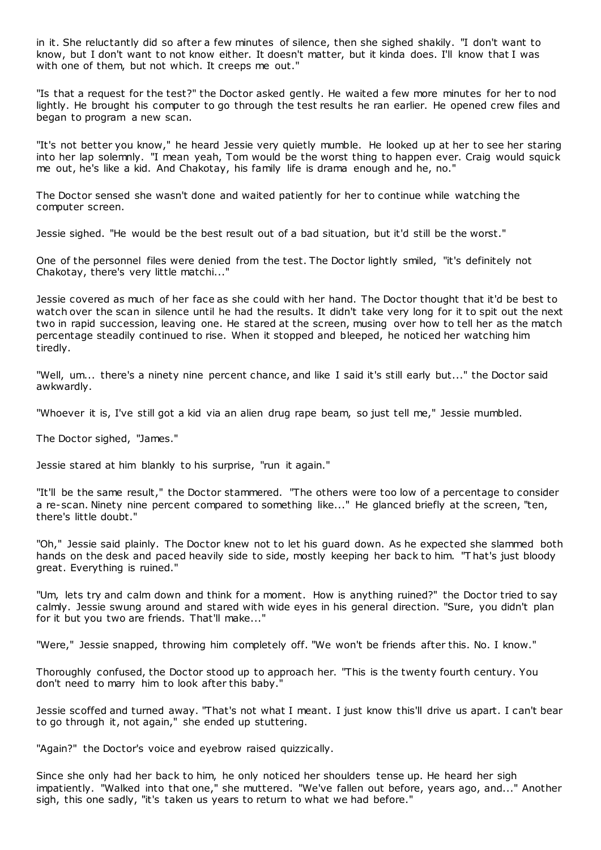in it. She reluctantly did so after a few minutes of silence, then she sighed shakily. "I don't want to know, but I don't want to not know either. It doesn't matter, but it kinda does. I'll know that I was with one of them, but not which. It creeps me out."

"Is that a request for the test?" the Doctor asked gently. He waited a few more minutes for her to nod lightly. He brought his computer to go through the test results he ran earlier. He opened crew files and began to program a new scan.

"It's not better you know," he heard Jessie very quietly mumble. He looked up at her to see her staring into her lap solemnly. "I mean yeah, Tom would be the worst thing to happen ever. Craig would squick me out, he's like a kid. And Chakotay, his family life is drama enough and he, no."

The Doctor sensed she wasn't done and waited patiently for her to continue while watching the computer screen.

Jessie sighed. "He would be the best result out of a bad situation, but it'd still be the worst."

One of the personnel files were denied from the test. The Doctor lightly smiled, "it's definitely not Chakotay, there's very little matchi..."

Jessie covered as much of her face as she could with her hand. The Doctor thought that it'd be best to watch over the scan in silence until he had the results. It didn't take very long for it to spit out the next two in rapid succession, leaving one. He stared at the screen, musing over how to tell her as the match percentage steadily continued to rise. When it stopped and bleeped, he noticed her watching him tiredly.

"Well, um... there's a ninety nine percent chance, and like I said it's still early but..." the Doctor said awkwardly.

"Whoever it is, I've still got a kid via an alien drug rape beam, so just tell me," Jessie mumbled.

The Doctor sighed, "James."

Jessie stared at him blankly to his surprise, "run it again."

"It'll be the same result," the Doctor stammered. "The others were too low of a percentage to consider a re-scan. Ninety nine percent compared to something like..." He glanced briefly at the screen, "ten, there's little doubt."

"Oh," Jessie said plainly. The Doctor knew not to let his guard down. As he expected she slammed both hands on the desk and paced heavily side to side, mostly keeping her back to him. "T hat's just bloody great. Everything is ruined."

"Um, lets try and calm down and think for a moment. How is anything ruined?" the Doctor tried to say calmly. Jessie swung around and stared with wide eyes in his general direction. "Sure, you didn't plan for it but you two are friends. That'll make..."

"Were," Jessie snapped, throwing him completely off. "We won't be friends after this. No. I know."

Thoroughly confused, the Doctor stood up to approach her. "This is the twenty fourth century. You don't need to marry him to look after this baby."

Jessie scoffed and turned away. "That's not what I meant. I just know this'll drive us apart. I can't bear to go through it, not again," she ended up stuttering.

"Again?" the Doctor's voice and eyebrow raised quizzically.

Since she only had her back to him, he only noticed her shoulders tense up. He heard her sigh impatiently. "Walked into that one," she muttered. "We've fallen out before, years ago, and..." Another sigh, this one sadly, "it's taken us years to return to what we had before."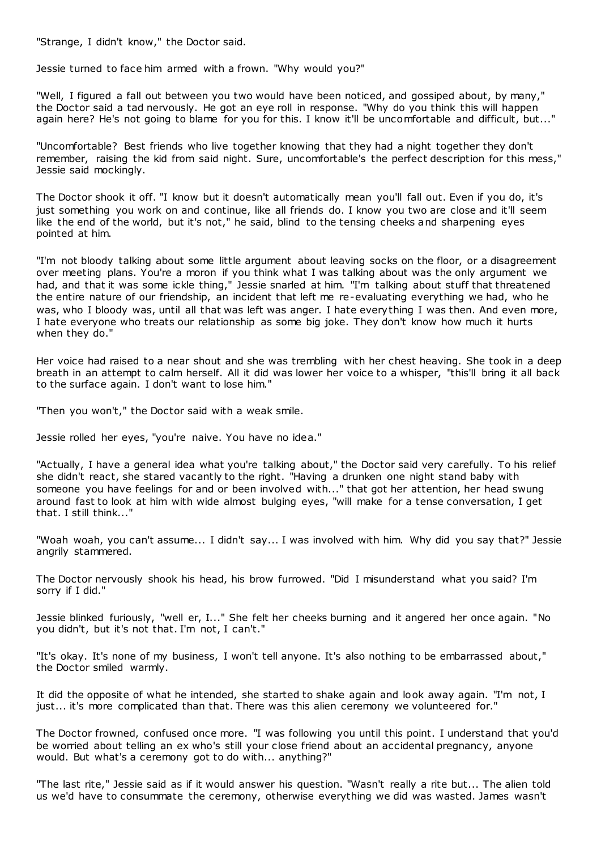"Strange, I didn't know," the Doctor said.

Jessie turned to face him armed with a frown. "Why would you?"

"Well, I figured a fall out between you two would have been noticed, and gossiped about, by many," the Doctor said a tad nervously. He got an eye roll in response. "Why do you think this will happen again here? He's not going to blame for you for this. I know it'll be uncomfortable and difficult, but..."

"Uncomfortable? Best friends who live together knowing that they had a night together they don't remember, raising the kid from said night. Sure, uncomfortable's the perfect description for this mess," Jessie said mockingly.

The Doctor shook it off. "I know but it doesn't automatically mean you'll fall out. Even if you do, it's just something you work on and continue, like all friends do. I know you two are close and it'll seem like the end of the world, but it's not," he said, blind to the tensing cheeks and sharpening eyes pointed at him.

"I'm not bloody talking about some little argument about leaving socks on the floor, or a disagreement over meeting plans. You're a moron if you think what I was talking about was the only argument we had, and that it was some ickle thing," Jessie snarled at him. "I'm talking about stuff that threatened the entire nature of our friendship, an incident that left me re-evaluating everything we had, who he was, who I bloody was, until all that was left was anger. I hate everything I was then. And even more, I hate everyone who treats our relationship as some big joke. They don't know how much it hurts when they do."

Her voice had raised to a near shout and she was trembling with her chest heaving. She took in a deep breath in an attempt to calm herself. All it did was lower her voice to a whisper, "this'll bring it all back to the surface again. I don't want to lose him."

"Then you won't," the Doctor said with a weak smile.

Jessie rolled her eyes, "you're naive. You have no idea."

"Actually, I have a general idea what you're talking about," the Doctor said very carefully. To his relief she didn't react, she stared vacantly to the right. "Having a drunken one night stand baby with someone you have feelings for and or been involved with..." that got her attention, her head swung around fast to look at him with wide almost bulging eyes, "will make for a tense conversation, I get that. I still think..."

"Woah woah, you can't assume... I didn't say... I was involved with him. Why did you say that?" Jessie angrily stammered.

The Doctor nervously shook his head, his brow furrowed. "Did I misunderstand what you said? I'm sorry if I did."

Jessie blinked furiously, "well er, I..." She felt her cheeks burning and it angered her once again. "No you didn't, but it's not that. I'm not, I can't."

"It's okay. It's none of my business, I won't tell anyone. It's also nothing to be embarrassed about," the Doctor smiled warmly.

It did the opposite of what he intended, she started to shake again and look away again. "I'm not, I just... it's more complicated than that. There was this alien ceremony we volunteered for."

The Doctor frowned, confused once more. "I was following you until this point. I understand that you'd be worried about telling an ex who's still your close friend about an accidental pregnancy, anyone would. But what's a ceremony got to do with... anything?"

"The last rite," Jessie said as if it would answer his question. "Wasn't really a rite but... The alien told us we'd have to consummate the ceremony, otherwise everything we did was wasted. James wasn't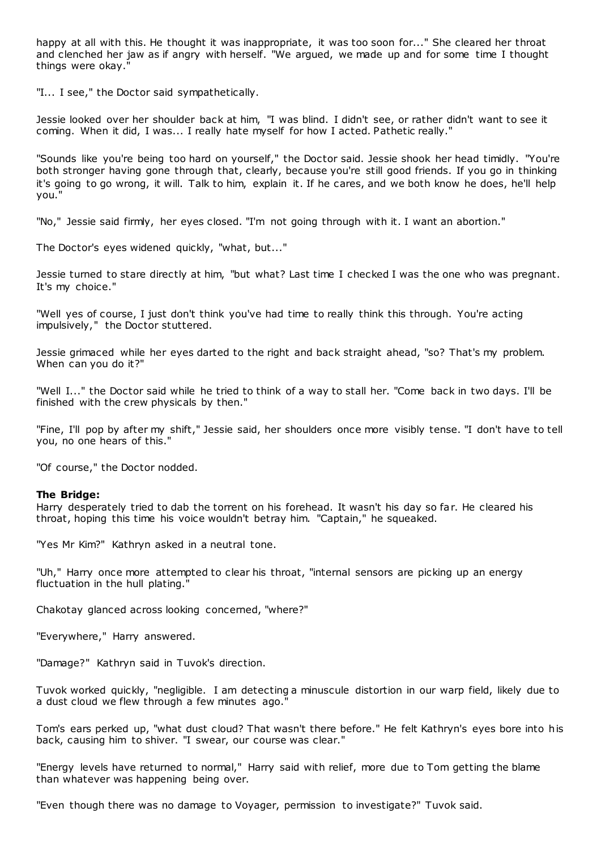happy at all with this. He thought it was inappropriate, it was too soon for..." She cleared her throat and clenched her jaw as if angry with herself. "We argued, we made up and for some time I thought things were okay."

"I... I see," the Doctor said sympathetically.

Jessie looked over her shoulder back at him, "I was blind. I didn't see, or rather didn't want to see it coming. When it did, I was... I really hate myself for how I acted. Pathetic really."

"Sounds like you're being too hard on yourself," the Doctor said. Jessie shook her head timidly. "You're both stronger having gone through that, clearly, because you're still good friends. If you go in thinking it's going to go wrong, it will. Talk to him, explain it. If he cares, and we both know he does, he'll help you."

"No," Jessie said firmly, her eyes closed. "I'm not going through with it. I want an abortion."

The Doctor's eyes widened quickly, "what, but..."

Jessie turned to stare directly at him, "but what? Last time I checked I was the one who was pregnant. It's my choice."

"Well yes of course, I just don't think you've had time to really think this through. You're acting impulsively," the Doctor stuttered.

Jessie grimaced while her eyes darted to the right and back straight ahead, "so? That's my problem. When can you do it?"

"Well I..." the Doctor said while he tried to think of a way to stall her. "Come back in two days. I'll be finished with the crew physicals by then."

"Fine, I'll pop by after my shift," Jessie said, her shoulders once more visibly tense. "I don't have to tell you, no one hears of this."

"Of course," the Doctor nodded.

## **The Bridge:**

Harry desperately tried to dab the torrent on his forehead. It wasn't his day so far. He cleared his throat, hoping this time his voice wouldn't betray him. "Captain," he squeaked.

"Yes Mr Kim?" Kathryn asked in a neutral tone.

"Uh," Harry once more attempted to clear his throat, "internal sensors are picking up an energy fluctuation in the hull plating."

Chakotay glanced across looking concerned, "where?"

"Everywhere," Harry answered.

"Damage?" Kathryn said in Tuvok's direction.

Tuvok worked quickly, "negligible. I am detecting a minuscule distortion in our warp field, likely due to a dust cloud we flew through a few minutes ago."

Tom's ears perked up, "what dust cloud? That wasn't there before." He felt Kathryn's eyes bore into his back, causing him to shiver. "I swear, our course was clear."

"Energy levels have returned to normal," Harry said with relief, more due to Tom getting the blame than whatever was happening being over.

"Even though there was no damage to Voyager, permission to investigate?" Tuvok said.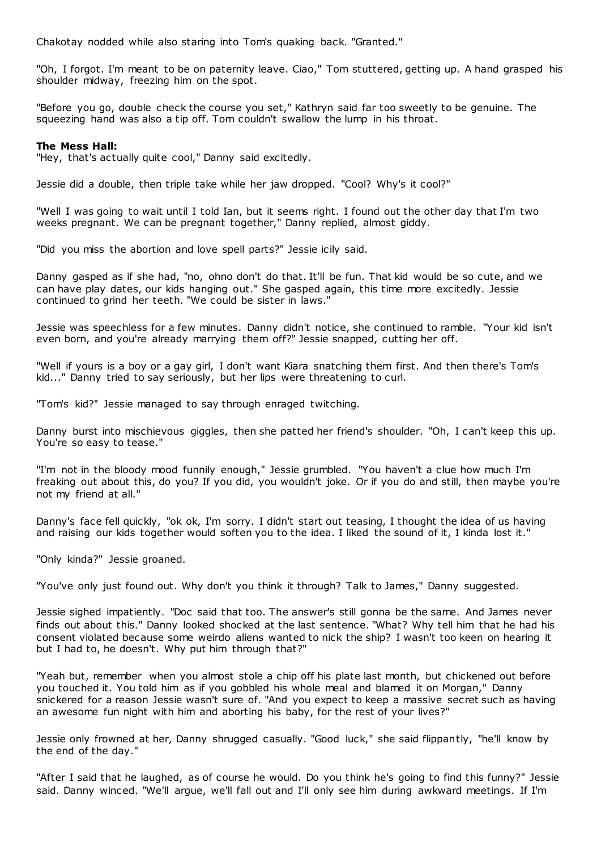Chakotay nodded while also staring into Tom's quaking back. "Granted."

"Oh, I forgot. I'm meant to be on paternity leave. Ciao," Tom stuttered, getting up. A hand grasped his shoulder midway, freezing him on the spot.

"Before you go, double check the course you set," Kathryn said far too sweetly to be genuine. The squeezing hand was also a tip off. Tom couldn't swallow the lump in his throat.

#### **The Mess Hall:**

"Hey, that's actually quite cool," Danny said excitedly.

Jessie did a double, then triple take while her jaw dropped. "Cool? Why's it cool?"

"Well I was going to wait until I told Ian, but it seems right. I found out the other day that I'm two weeks pregnant. We can be pregnant together," Danny replied, almost giddy.

"Did you miss the abortion and love spell parts?" Jessie icily said.

Danny gasped as if she had, "no, ohno don't do that. It'll be fun. That kid would be so cute, and we can have play dates, our kids hanging out." She gasped again, this time more excitedly. Jessie continued to grind her teeth. "We could be sister in laws."

Jessie was speechless for a few minutes. Danny didn't notice, she continued to ramble. "Your kid isn't even born, and you're already marrying them off?" Jessie snapped, cutting her off.

"Well if yours is a boy or a gay girl, I don't want Kiara snatching them first. And then there's Tom's kid..." Danny tried to say seriously, but her lips were threatening to curl.

"Tom's kid?" Jessie managed to say through enraged twitching.

Danny burst into mischievous giggles, then she patted her friend's shoulder. "Oh, I can't keep this up. You're so easy to tease."

"I'm not in the bloody mood funnily enough," Jessie grumbled. "You haven't a clue how much I'm freaking out about this, do you? If you did, you wouldn't joke. Or if you do and still, then maybe you're not my friend at all."

Danny's face fell quickly, "ok ok, I'm sorry. I didn't start out teasing, I thought the idea of us having and raising our kids together would soften you to the idea. I liked the sound of it, I kinda lost it."

"Only kinda?" Jessie groaned.

"You've only just found out. Why don't you think it through? Talk to James," Danny suggested.

Jessie sighed impatiently. "Doc said that too. The answer's still gonna be the same. And James never finds out about this." Danny looked shocked at the last sentence. "What? Why tell him that he had his consent violated because some weirdo aliens wanted to nick the ship? I wasn't too keen on hearing it but I had to, he doesn't. Why put him through that?"

"Yeah but, remember when you almost stole a chip off his plate last month, but chickened out before you touched it. You told him as if you gobbled his whole meal and blamed it on Morgan," Danny snickered for a reason Jessie wasn't sure of. "And you expect to keep a massive secret such as having an awesome fun night with him and aborting his baby, for the rest of your lives?"

Jessie only frowned at her, Danny shrugged casually. "Good luck," she said flippantly, "he'll know by the end of the day."

"After I said that he laughed, as of course he would. Do you think he's going to find this funny?" Jessie said. Danny winced. "We'll argue, we'll fall out and I'll only see him during awkward meetings. If I'm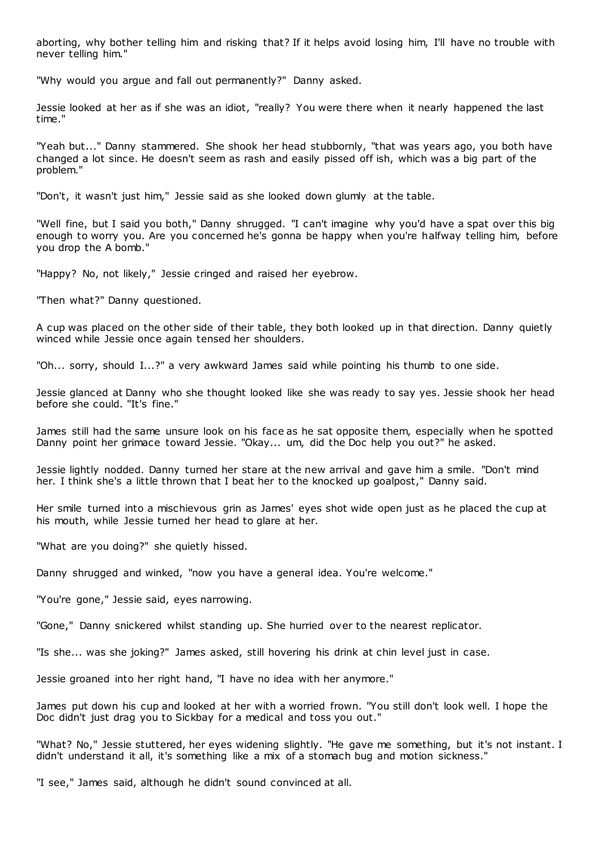aborting, why bother telling him and risking that? If it helps avoid losing him, I'll have no trouble with never telling him."

"Why would you argue and fall out permanently?" Danny asked.

Jessie looked at her as if she was an idiot, "really? You were there when it nearly happened the last time."

"Yeah but..." Danny stammered. She shook her head stubbornly, "that was years ago, you both have changed a lot since. He doesn't seem as rash and easily pissed off ish, which was a big part of the problem."

"Don't, it wasn't just him," Jessie said as she looked down glumly at the table.

"Well fine, but I said you both," Danny shrugged. "I can't imagine why you'd have a spat over this big enough to worry you. Are you concerned he's gonna be happy when you're halfway telling him, before you drop the A bomb."

"Happy? No, not likely," Jessie cringed and raised her eyebrow.

"Then what?" Danny questioned.

A cup was placed on the other side of their table, they both looked up in that direction. Danny quietly winced while Jessie once again tensed her shoulders.

"Oh... sorry, should I...?" a very awkward James said while pointing his thumb to one side.

Jessie glanced at Danny who she thought looked like she was ready to say yes. Jessie shook her head before she could. "It's fine."

James still had the same unsure look on his face as he sat opposite them, especially when he spotted Danny point her grimace toward Jessie. "Okay... um, did the Doc help you out?" he asked.

Jessie lightly nodded. Danny turned her stare at the new arrival and gave him a smile. "Don't mind her. I think she's a little thrown that I beat her to the knocked up goalpost," Danny said.

Her smile turned into a mischievous grin as James' eyes shot wide open just as he placed the cup at his mouth, while Jessie turned her head to glare at her.

"What are you doing?" she quietly hissed.

Danny shrugged and winked, "now you have a general idea. You're welcome."

"You're gone," Jessie said, eyes narrowing.

"Gone," Danny snickered whilst standing up. She hurried over to the nearest replicator.

"Is she... was she joking?" James asked, still hovering his drink at chin level just in case.

Jessie groaned into her right hand, "I have no idea with her anymore."

James put down his cup and looked at her with a worried frown. "You still don't look well. I hope the Doc didn't just drag you to Sickbay for a medical and toss you out."

"What? No," Jessie stuttered, her eyes widening slightly. "He gave me something, but it's not instant. I didn't understand it all, it's something like a mix of a stomach bug and motion sickness."

"I see," James said, although he didn't sound convinced at all.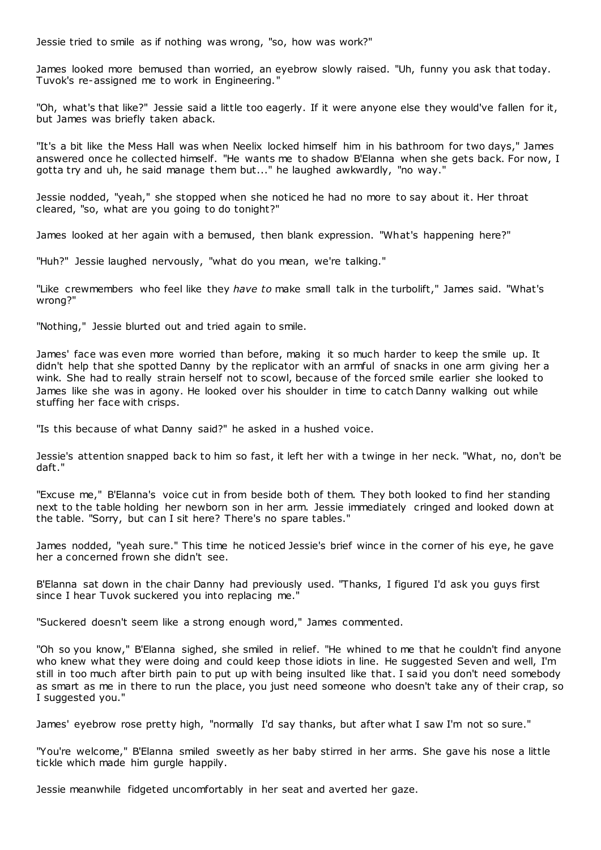Jessie tried to smile as if nothing was wrong, "so, how was work?"

James looked more bemused than worried, an eyebrow slowly raised. "Uh, funny you ask that today. Tuvok's re-assigned me to work in Engineering."

"Oh, what's that like?" Jessie said a little too eagerly. If it were anyone else they would've fallen for it, but James was briefly taken aback.

"It's a bit like the Mess Hall was when Neelix locked himself him in his bathroom for two days," James answered once he collected himself. "He wants me to shadow B'Elanna when she gets back. For now, I gotta try and uh, he said manage them but..." he laughed awkwardly, "no way."

Jessie nodded, "yeah," she stopped when she noticed he had no more to say about it. Her throat cleared, "so, what are you going to do tonight?"

James looked at her again with a bemused, then blank expression. "What's happening here?"

"Huh?" Jessie laughed nervously, "what do you mean, we're talking."

"Like crewmembers who feel like they *have to* make small talk in the turbolift," James said. "What's wrong?"

"Nothing," Jessie blurted out and tried again to smile.

James' face was even more worried than before, making it so much harder to keep the smile up. It didn't help that she spotted Danny by the replicator with an armful of snacks in one arm giving her a wink. She had to really strain herself not to scowl, because of the forced smile earlier she looked to James like she was in agony. He looked over his shoulder in time to catch Danny walking out while stuffing her face with crisps.

"Is this because of what Danny said?" he asked in a hushed voice.

Jessie's attention snapped back to him so fast, it left her with a twinge in her neck. "What, no, don't be daft."

"Excuse me," B'Elanna's voice cut in from beside both of them. They both looked to find her standing next to the table holding her newborn son in her arm. Jessie immediately cringed and looked down at the table. "Sorry, but can I sit here? There's no spare tables."

James nodded, "yeah sure." This time he noticed Jessie's brief wince in the corner of his eye, he gave her a concerned frown she didn't see.

B'Elanna sat down in the chair Danny had previously used. "Thanks, I figured I'd ask you guys first since I hear Tuvok suckered you into replacing me."

"Suckered doesn't seem like a strong enough word," James commented.

"Oh so you know," B'Elanna sighed, she smiled in relief. "He whined to me that he couldn't find anyone who knew what they were doing and could keep those idiots in line. He suggested Seven and well, I'm still in too much after birth pain to put up with being insulted like that. I said you don't need somebody as smart as me in there to run the place, you just need someone who doesn't take any of their crap, so I suggested you."

James' eyebrow rose pretty high, "normally I'd say thanks, but after what I saw I'm not so sure."

"You're welcome," B'Elanna smiled sweetly as her baby stirred in her arms. She gave his nose a little tickle which made him gurgle happily.

Jessie meanwhile fidgeted uncomfortably in her seat and averted her gaze.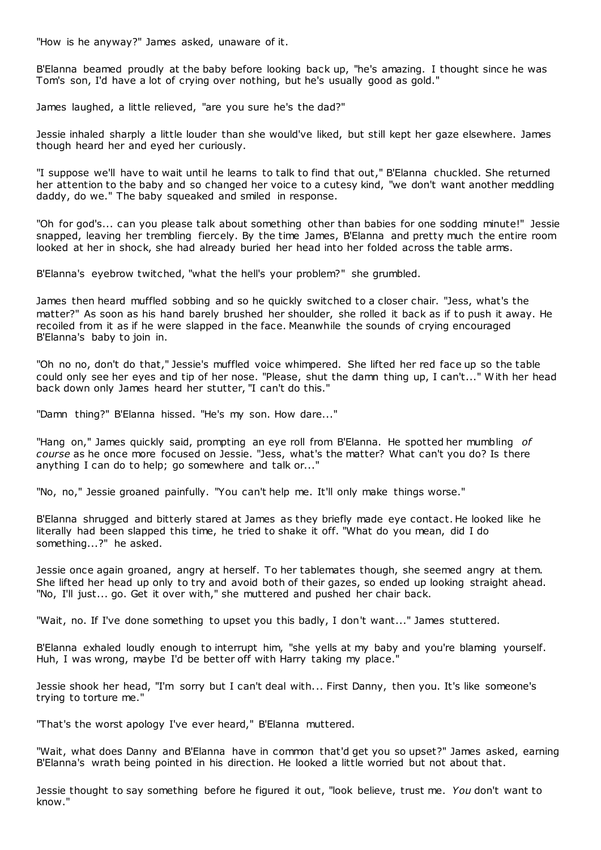"How is he anyway?" James asked, unaware of it.

B'Elanna beamed proudly at the baby before looking back up, "he's amazing. I thought since he was Tom's son, I'd have a lot of crying over nothing, but he's usually good as gold."

James laughed, a little relieved, "are you sure he's the dad?"

Jessie inhaled sharply a little louder than she would've liked, but still kept her gaze elsewhere. James though heard her and eyed her curiously.

"I suppose we'll have to wait until he learns to talk to find that out," B'Elanna chuckled. She returned her attention to the baby and so changed her voice to a cutesy kind, "we don't want another meddling daddy, do we." The baby squeaked and smiled in response.

"Oh for god's... can you please talk about something other than babies for one sodding minute!" Jessie snapped, leaving her trembling fiercely. By the time James, B'Elanna and pretty much the entire room looked at her in shock, she had already buried her head into her folded across the table arms.

B'Elanna's eyebrow twitched, "what the hell's your problem?" she grumbled.

James then heard muffled sobbing and so he quickly switched to a closer chair. "Jess, what's the matter?" As soon as his hand barely brushed her shoulder, she rolled it back as if to push it away. He recoiled from it as if he were slapped in the face. Meanwhile the sounds of crying encouraged B'Elanna's baby to join in.

"Oh no no, don't do that," Jessie's muffled voice whimpered. She lifted her red face up so the table could only see her eyes and tip of her nose. "Please, shut the damn thing up, I can't..." With her head back down only James heard her stutter, "I can't do this."

"Damn thing?" B'Elanna hissed. "He's my son. How dare..."

"Hang on," James quickly said, prompting an eye roll from B'Elanna. He spotted her mumbling *of course* as he once more focused on Jessie. "Jess, what's the matter? What can't you do? Is there anything I can do to help; go somewhere and talk or..."

"No, no," Jessie groaned painfully. "You can't help me. It'll only make things worse."

B'Elanna shrugged and bitterly stared at James as they briefly made eye contact. He looked like he literally had been slapped this time, he tried to shake it off. "What do you mean, did I do something...?" he asked.

Jessie once again groaned, angry at herself. To her tablemates though, she seemed angry at them. She lifted her head up only to try and avoid both of their gazes, so ended up looking straight ahead. "No, I'll just... go. Get it over with," she muttered and pushed her chair back.

"Wait, no. If I've done something to upset you this badly, I don't want..." James stuttered.

B'Elanna exhaled loudly enough to interrupt him, "she yells at my baby and you're blaming yourself. Huh, I was wrong, maybe I'd be better off with Harry taking my place."

Jessie shook her head, "I'm sorry but I can't deal with... First Danny, then you. It's like someone's trying to torture me."

"That's the worst apology I've ever heard," B'Elanna muttered.

"Wait, what does Danny and B'Elanna have in common that'd get you so upset?" James asked, earning B'Elanna's wrath being pointed in his direction. He looked a little worried but not about that.

Jessie thought to say something before he figured it out, "look believe, trust me. *You* don't want to know."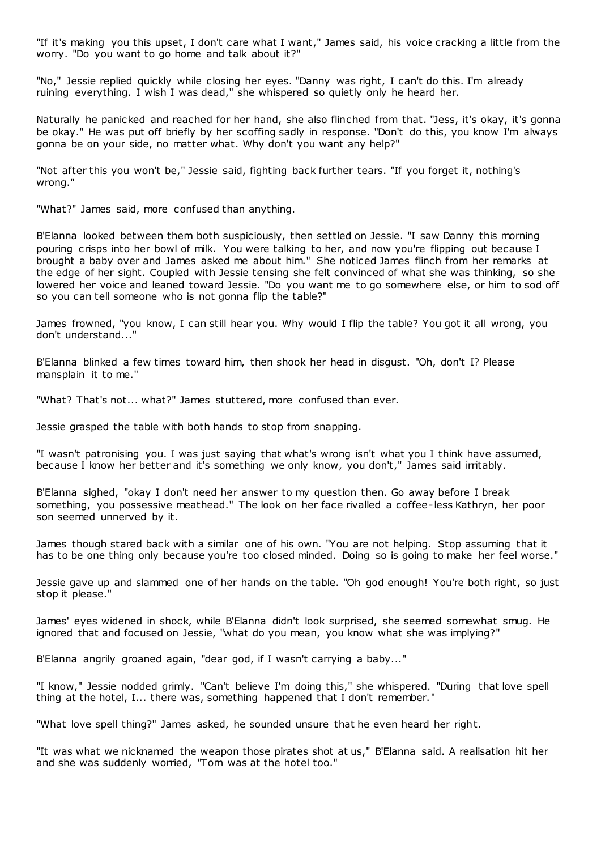"If it's making you this upset, I don't care what I want," James said, his voice cracking a little from the worry. "Do you want to go home and talk about it?"

"No," Jessie replied quickly while closing her eyes. "Danny was right, I can't do this. I'm already ruining everything. I wish I was dead," she whispered so quietly only he heard her.

Naturally he panicked and reached for her hand, she also flinched from that. "Jess, it's okay, it's gonna be okay." He was put off briefly by her scoffing sadly in response. "Don't do this, you know I'm always gonna be on your side, no matter what. Why don't you want any help?"

"Not after this you won't be," Jessie said, fighting back further tears. "If you forget it, nothing's wrong."

"What?" James said, more confused than anything.

B'Elanna looked between them both suspiciously, then settled on Jessie. "I saw Danny this morning pouring crisps into her bowl of milk. You were talking to her, and now you're flipping out because I brought a baby over and James asked me about him." She noticed James flinch from her remarks at the edge of her sight. Coupled with Jessie tensing she felt convinced of what she was thinking, so she lowered her voice and leaned toward Jessie. "Do you want me to go somewhere else, or him to sod off so you can tell someone who is not gonna flip the table?"

James frowned, "you know, I can still hear you. Why would I flip the table? You got it all wrong, you don't understand..."

B'Elanna blinked a few times toward him, then shook her head in disgust. "Oh, don't I? Please mansplain it to me."

"What? That's not... what?" James stuttered, more confused than ever.

Jessie grasped the table with both hands to stop from snapping.

"I wasn't patronising you. I was just saying that what's wrong isn't what you I think have assumed, because I know her better and it's something we only know, you don't," James said irritably.

B'Elanna sighed, "okay I don't need her answer to my question then. Go away before I break something, you possessive meathead." The look on her face rivalled a coffee-less Kathryn, her poor son seemed unnerved by it.

James though stared back with a similar one of his own. "You are not helping. Stop assuming that it has to be one thing only because you're too closed minded. Doing so is going to make her feel worse."

Jessie gave up and slammed one of her hands on the table. "Oh god enough! You're both right, so just stop it please."

James' eyes widened in shock, while B'Elanna didn't look surprised, she seemed somewhat smug. He ignored that and focused on Jessie, "what do you mean, you know what she was implying?"

B'Elanna angrily groaned again, "dear god, if I wasn't carrying a baby..."

"I know," Jessie nodded grimly. "Can't believe I'm doing this," she whispered. "During that love spell thing at the hotel, I... there was, something happened that I don't remember."

"What love spell thing?" James asked, he sounded unsure that he even heard her right.

"It was what we nicknamed the weapon those pirates shot at us," B'Elanna said. A realisation hit her and she was suddenly worried, "Tom was at the hotel too."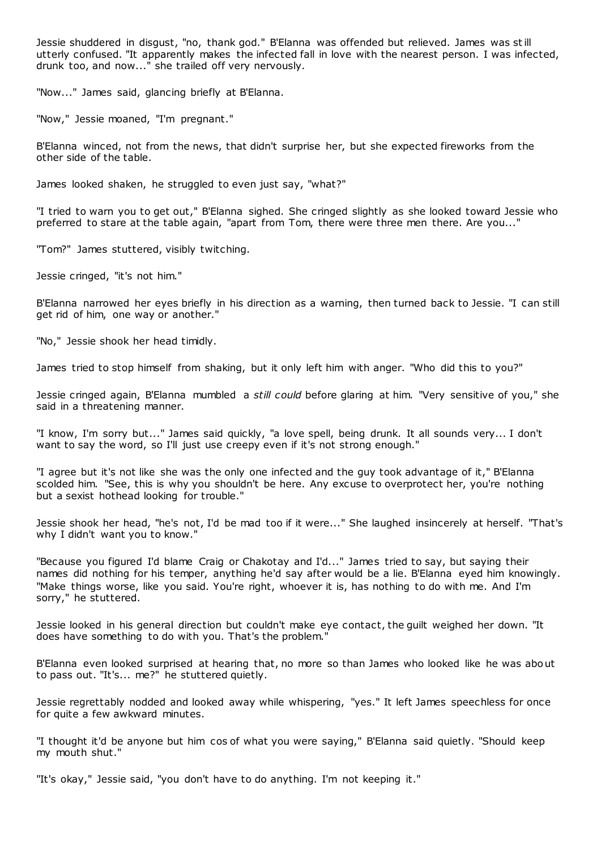Jessie shuddered in disgust, "no, thank god." B'Elanna was offended but relieved. James was still utterly confused. "It apparently makes the infected fall in love with the nearest person. I was infected, drunk too, and now..." she trailed off very nervously.

"Now..." James said, glancing briefly at B'Elanna.

"Now," Jessie moaned, "I'm pregnant."

B'Elanna winced, not from the news, that didn't surprise her, but she expected fireworks from the other side of the table.

James looked shaken, he struggled to even just say, "what?"

"I tried to warn you to get out," B'Elanna sighed. She cringed slightly as she looked toward Jessie who preferred to stare at the table again, "apart from Tom, there were three men there. Are you..."

"Tom?" James stuttered, visibly twitching.

Jessie cringed, "it's not him."

B'Elanna narrowed her eyes briefly in his direction as a warning, then turned back to Jessie. "I can still get rid of him, one way or another."

"No," Jessie shook her head timidly.

James tried to stop himself from shaking, but it only left him with anger. "Who did this to you?"

Jessie cringed again, B'Elanna mumbled a *still could* before glaring at him. "Very sensitive of you," she said in a threatening manner.

"I know, I'm sorry but..." James said quickly, "a love spell, being drunk. It all sounds very... I don't want to say the word, so I'll just use creepy even if it's not strong enough."

"I agree but it's not like she was the only one infected and the guy took advantage of it," B'Elanna scolded him. "See, this is why you shouldn't be here. Any excuse to overprotect her, you're nothing but a sexist hothead looking for trouble."

Jessie shook her head, "he's not, I'd be mad too if it were..." She laughed insincerely at herself. "That's why I didn't want you to know."

"Because you figured I'd blame Craig or Chakotay and I'd..." James tried to say, but saying their names did nothing for his temper, anything he'd say after would be a lie. B'Elanna eyed him knowingly. "Make things worse, like you said. You're right, whoever it is, has nothing to do with me. And I'm sorry," he stuttered.

Jessie looked in his general direction but couldn't make eye contact, the guilt weighed her down. "It does have something to do with you. That's the problem."

B'Elanna even looked surprised at hearing that, no more so than James who looked like he was about to pass out. "It's... me?" he stuttered quietly.

Jessie regrettably nodded and looked away while whispering, "yes." It left James speechless for once for quite a few awkward minutes.

"I thought it'd be anyone but him cos of what you were saying," B'Elanna said quietly. "Should keep my mouth shut."

"It's okay," Jessie said, "you don't have to do anything. I'm not keeping it."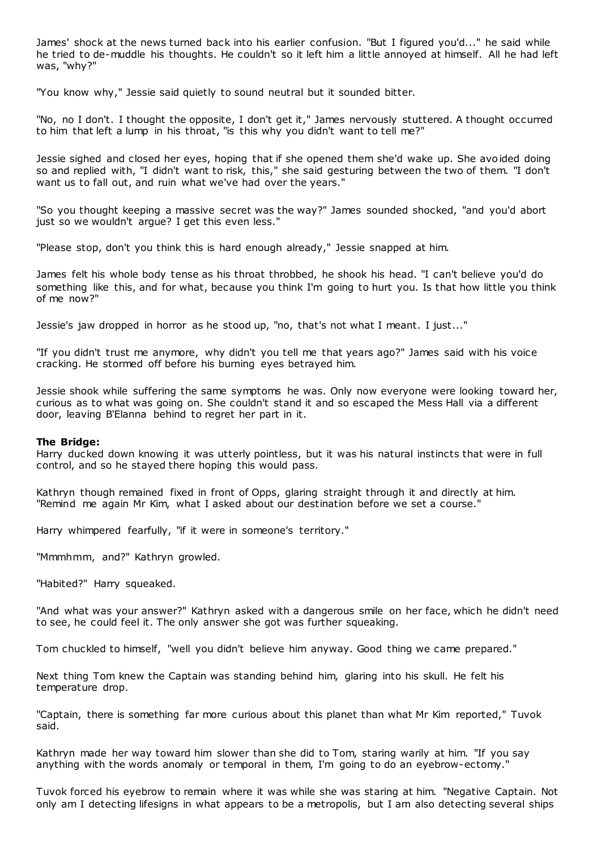James' shock at the news turned back into his earlier confusion. "But I figured you'd..." he said while he tried to de-muddle his thoughts. He couldn't so it left him a little annoyed at himself. All he had left was, "why?"

"You know why," Jessie said quietly to sound neutral but it sounded bitter.

"No, no I don't. I thought the opposite, I don't get it," James nervously stuttered. A thought occurred to him that left a lump in his throat, "is this why you didn't want to tell me?"

Jessie sighed and closed her eyes, hoping that if she opened them she'd wake up. She avoided doing so and replied with, "I didn't want to risk, this," she said gesturing between the two of them. "I don't want us to fall out, and ruin what we've had over the years."

"So you thought keeping a massive secret was the way?" James sounded shocked, "and you'd abort just so we wouldn't argue? I get this even less."

"Please stop, don't you think this is hard enough already," Jessie snapped at him.

James felt his whole body tense as his throat throbbed, he shook his head. "I can't believe you'd do something like this, and for what, because you think I'm going to hurt you. Is that how little you think of me now?"

Jessie's jaw dropped in horror as he stood up, "no, that's not what I meant. I just..."

"If you didn't trust me anymore, why didn't you tell me that years ago?" James said with his voice cracking. He stormed off before his burning eyes betrayed him.

Jessie shook while suffering the same symptoms he was. Only now everyone were looking toward her, curious as to what was going on. She couldn't stand it and so escaped the Mess Hall via a different door, leaving B'Elanna behind to regret her part in it.

#### **The Bridge:**

Harry ducked down knowing it was utterly pointless, but it was his natural instincts that were in full control, and so he stayed there hoping this would pass.

Kathryn though remained fixed in front of Opps, glaring straight through it and directly at him. "Remind me again Mr Kim, what I asked about our destination before we set a course."

Harry whimpered fearfully, "if it were in someone's territory."

"Mmmhmm, and?" Kathryn growled.

"Habited?" Harry squeaked.

"And what was your answer?" Kathryn asked with a dangerous smile on her face, which he didn't need to see, he could feel it. The only answer she got was further squeaking.

Tom chuckled to himself, "well you didn't believe him anyway. Good thing we came prepared."

Next thing Tom knew the Captain was standing behind him, glaring into his skull. He felt his temperature drop.

"Captain, there is something far more curious about this planet than what Mr Kim reported," Tuvok said.

Kathryn made her way toward him slower than she did to Tom, staring warily at him. "If you say anything with the words anomaly or temporal in them, I'm going to do an eyebrow-ectomy."

Tuvok forced his eyebrow to remain where it was while she was staring at him. "Negative Captain. Not only am I detecting lifesigns in what appears to be a metropolis, but I am also detecting several ships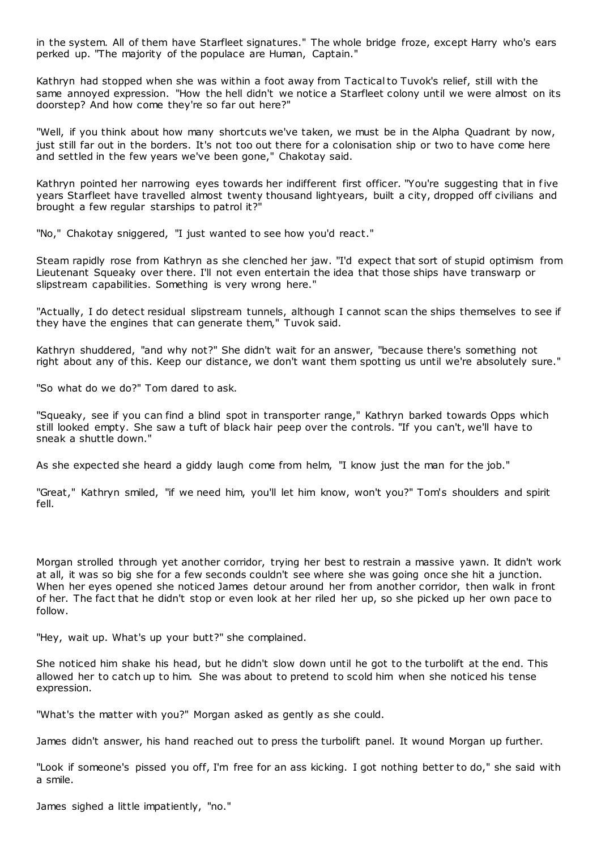in the system. All of them have Starfleet signatures." The whole bridge froze, except Harry who's ears perked up. "The majority of the populace are Human, Captain."

Kathryn had stopped when she was within a foot away from Tactical to Tuvok's relief, still with the same annoyed expression. "How the hell didn't we notice a Starfleet colony until we were almost on its doorstep? And how come they're so far out here?"

"Well, if you think about how many shortcuts we've taken, we must be in the Alpha Quadrant by now, just still far out in the borders. It's not too out there for a colonisation ship or two to have come here and settled in the few years we've been gone," Chakotay said.

Kathryn pointed her narrowing eyes towards her indifferent first officer. "You're suggesting that in five years Starfleet have travelled almost twenty thousand lightyears, built a city, dropped off civilians and brought a few regular starships to patrol it?"

"No," Chakotay sniggered, "I just wanted to see how you'd react."

Steam rapidly rose from Kathryn as she clenched her jaw. "I'd expect that sort of stupid optimism from Lieutenant Squeaky over there. I'll not even entertain the idea that those ships have transwarp or slipstream capabilities. Something is very wrong here."

"Actually, I do detect residual slipstream tunnels, although I cannot scan the ships themselves to see if they have the engines that can generate them," Tuvok said.

Kathryn shuddered, "and why not?" She didn't wait for an answer, "because there's something not right about any of this. Keep our distance, we don't want them spotting us until we're absolutely sure."

"So what do we do?" Tom dared to ask.

"Squeaky, see if you can find a blind spot in transporter range," Kathryn barked towards Opps which still looked empty. She saw a tuft of black hair peep over the controls. "If you can't, we'll have to sneak a shuttle down."

As she expected she heard a giddy laugh come from helm, "I know just the man for the job."

"Great," Kathryn smiled, "if we need him, you'll let him know, won't you?" Tom's shoulders and spirit fell.

Morgan strolled through yet another corridor, trying her best to restrain a massive yawn. It didn't work at all, it was so big she for a few seconds couldn't see where she was going once she hit a junction. When her eyes opened she noticed James detour around her from another corridor, then walk in front of her. The fact that he didn't stop or even look at her riled her up, so she picked up her own pace to follow.

"Hey, wait up. What's up your butt?" she complained.

She noticed him shake his head, but he didn't slow down until he got to the turbolift at the end. This allowed her to catch up to him. She was about to pretend to scold him when she noticed his tense expression.

"What's the matter with you?" Morgan asked as gently as she could.

James didn't answer, his hand reached out to press the turbolift panel. It wound Morgan up further.

"Look if someone's pissed you off, I'm free for an ass kicking. I got nothing better to do," she said with a smile.

James sighed a little impatiently, "no."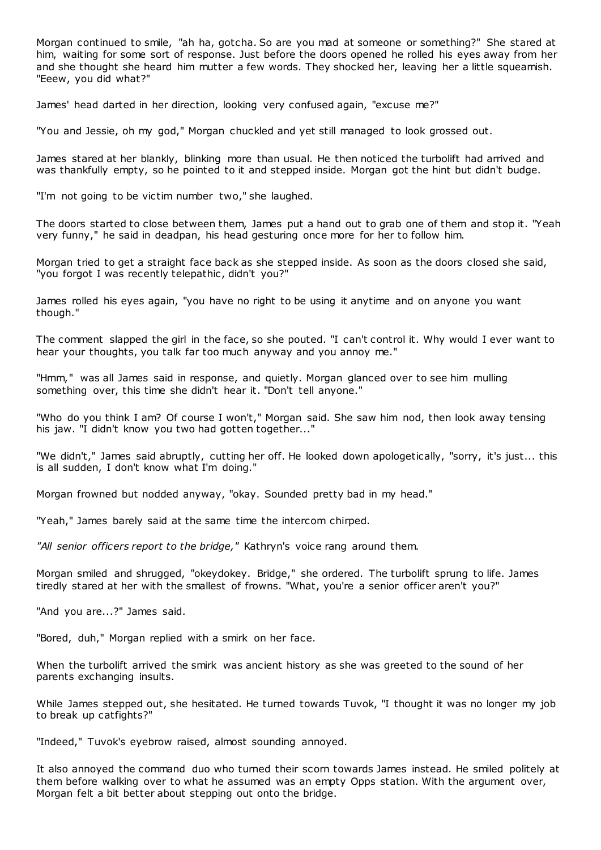Morgan continued to smile, "ah ha, gotcha. So are you mad at someone or something?" She stared at him, waiting for some sort of response. Just before the doors opened he rolled his eyes away from her and she thought she heard him mutter a few words. They shocked her, leaving her a little squeamish. "Eeew, you did what?"

James' head darted in her direction, looking very confused again, "excuse me?"

"You and Jessie, oh my god," Morgan chuckled and yet still managed to look grossed out.

James stared at her blankly, blinking more than usual. He then noticed the turbolift had arrived and was thankfully empty, so he pointed to it and stepped inside. Morgan got the hint but didn't budge.

"I'm not going to be victim number two," she laughed.

The doors started to close between them, James put a hand out to grab one of them and stop it. "Yeah very funny," he said in deadpan, his head gesturing once more for her to follow him.

Morgan tried to get a straight face back as she stepped inside. As soon as the doors closed she said, "you forgot I was recently telepathic, didn't you?"

James rolled his eyes again, "you have no right to be using it anytime and on anyone you want though."

The comment slapped the girl in the face, so she pouted. "I can't control it. Why would I ever want to hear your thoughts, you talk far too much anyway and you annoy me."

"Hmm," was all James said in response, and quietly. Morgan glanced over to see him mulling something over, this time she didn't hear it. "Don't tell anyone."

"Who do you think I am? Of course I won't," Morgan said. She saw him nod, then look away tensing his jaw. "I didn't know you two had gotten together..."

"We didn't," James said abruptly, cutting her off. He looked down apologetically, "sorry, it's just... this is all sudden, I don't know what I'm doing."

Morgan frowned but nodded anyway, "okay. Sounded pretty bad in my head."

"Yeah," James barely said at the same time the intercom chirped.

*"All senior officers report to the bridge,"* Kathryn's voice rang around them.

Morgan smiled and shrugged, "okeydokey. Bridge," she ordered. The turbolift sprung to life. James tiredly stared at her with the smallest of frowns. "What, you're a senior officer aren't you?"

"And you are...?" James said.

"Bored, duh," Morgan replied with a smirk on her face.

When the turbolift arrived the smirk was ancient history as she was greeted to the sound of her parents exchanging insults.

While James stepped out, she hesitated. He turned towards Tuvok, "I thought it was no longer my job to break up catfights?"

"Indeed," Tuvok's eyebrow raised, almost sounding annoyed.

It also annoyed the command duo who turned their scorn towards James instead. He smiled politely at them before walking over to what he assumed was an empty Opps station. With the argument over, Morgan felt a bit better about stepping out onto the bridge.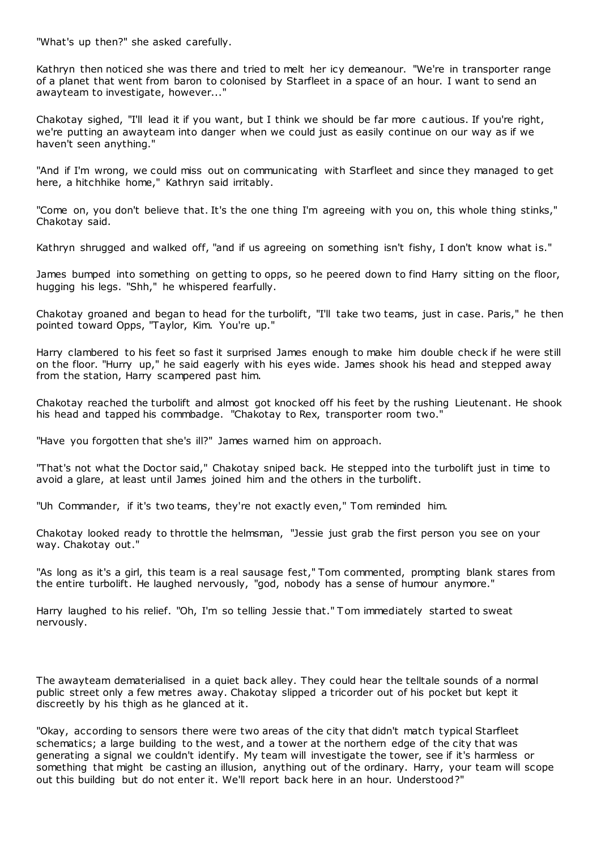"What's up then?" she asked carefully.

Kathryn then noticed she was there and tried to melt her icy demeanour. "We're in transporter range of a planet that went from baron to colonised by Starfleet in a space of an hour. I want to send an awayteam to investigate, however..."

Chakotay sighed, "I'll lead it if you want, but I think we should be far more c autious. If you're right, we're putting an awayteam into danger when we could just as easily continue on our way as if we haven't seen anything."

"And if I'm wrong, we could miss out on communicating with Starfleet and since they managed to get here, a hitchhike home," Kathryn said irritably.

"Come on, you don't believe that. It's the one thing I'm agreeing with you on, this whole thing stinks," Chakotay said.

Kathryn shrugged and walked off, "and if us agreeing on something isn't fishy, I don't know what is."

James bumped into something on getting to opps, so he peered down to find Harry sitting on the floor, hugging his legs. "Shh," he whispered fearfully.

Chakotay groaned and began to head for the turbolift, "I'll take two teams, just in case. Paris," he then pointed toward Opps, "Taylor, Kim. You're up."

Harry clambered to his feet so fast it surprised James enough to make him double check if he were still on the floor. "Hurry up," he said eagerly with his eyes wide. James shook his head and stepped away from the station, Harry scampered past him.

Chakotay reached the turbolift and almost got knocked off his feet by the rushing Lieutenant. He shook his head and tapped his commbadge. "Chakotay to Rex, transporter room two."

"Have you forgotten that she's ill?" James warned him on approach.

"That's not what the Doctor said," Chakotay sniped back. He stepped into the turbolift just in time to avoid a glare, at least until James joined him and the others in the turbolift.

"Uh Commander, if it's two teams, they're not exactly even," Tom reminded him.

Chakotay looked ready to throttle the helmsman, "Jessie just grab the first person you see on your way. Chakotay out."

"As long as it's a girl, this team is a real sausage fest," Tom commented, prompting blank stares from the entire turbolift. He laughed nervously, "god, nobody has a sense of humour anymore."

Harry laughed to his relief. "Oh, I'm so telling Jessie that." Tom immediately started to sweat nervously.

The awayteam dematerialised in a quiet back alley. They could hear the telltale sounds of a normal public street only a few metres away. Chakotay slipped a tricorder out of his pocket but kept it discreetly by his thigh as he glanced at it.

"Okay, according to sensors there were two areas of the city that didn't match typical Starfleet schematics; a large building to the west, and a tower at the northern edge of the city that was generating a signal we couldn't identify. My team will investigate the tower, see if it's harmless or something that might be casting an illusion, anything out of the ordinary. Harry, your team will scope out this building but do not enter it. We'll report back here in an hour. Understood?"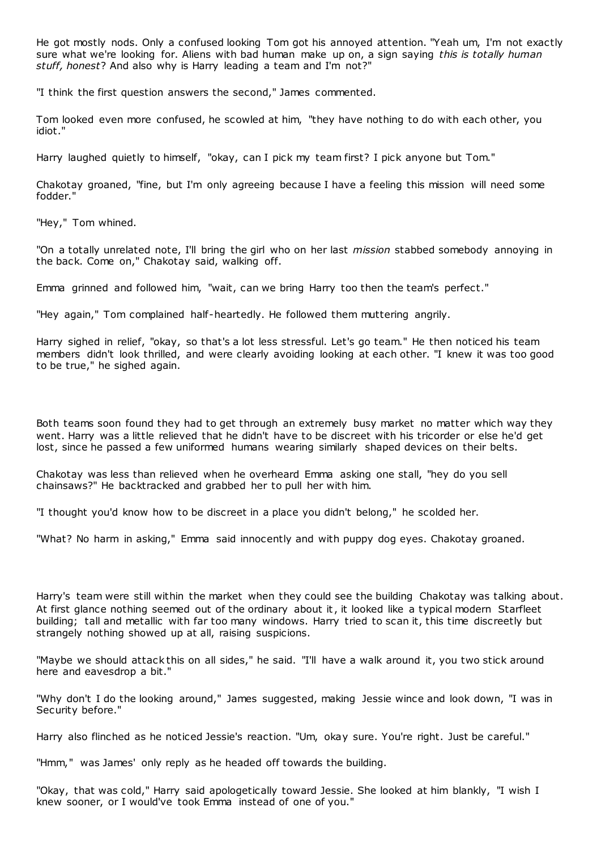He got mostly nods. Only a confused looking Tom got his annoyed attention. "Yeah um, I'm not exactly sure what we're looking for. Aliens with bad human make up on, a sign saying *this is totally human stuff, honest*? And also why is Harry leading a team and I'm not?"

"I think the first question answers the second," James commented.

Tom looked even more confused, he scowled at him, "they have nothing to do with each other, you idiot."

Harry laughed quietly to himself, "okay, can I pick my team first? I pick anyone but Tom."

Chakotay groaned, "fine, but I'm only agreeing because I have a feeling this mission will need some fodder."

"Hey," Tom whined.

"On a totally unrelated note, I'll bring the girl who on her last *mission* stabbed somebody annoying in the back. Come on," Chakotay said, walking off.

Emma grinned and followed him, "wait, can we bring Harry too then the team's perfect."

"Hey again," Tom complained half-heartedly. He followed them muttering angrily.

Harry sighed in relief, "okay, so that's a lot less stressful. Let's go team." He then noticed his team members didn't look thrilled, and were clearly avoiding looking at each other. "I knew it was too good to be true," he sighed again.

Both teams soon found they had to get through an extremely busy market no matter which way they went. Harry was a little relieved that he didn't have to be discreet with his tricorder or else he'd get lost, since he passed a few uniformed humans wearing similarly shaped devices on their belts.

Chakotay was less than relieved when he overheard Emma asking one stall, "hey do you sell chainsaws?" He backtracked and grabbed her to pull her with him.

"I thought you'd know how to be discreet in a place you didn't belong," he scolded her.

"What? No harm in asking," Emma said innocently and with puppy dog eyes. Chakotay groaned.

Harry's team were still within the market when they could see the building Chakotay was talking about. At first glance nothing seemed out of the ordinary about it, it looked like a typical modern Starfleet building; tall and metallic with far too many windows. Harry tried to scan it, this time discreetly but strangely nothing showed up at all, raising suspicions.

"Maybe we should attack this on all sides," he said. "I'll have a walk around it, you two stick around here and eavesdrop a bit."

"Why don't I do the looking around," James suggested, making Jessie wince and look down, "I was in Security before."

Harry also flinched as he noticed Jessie's reaction. "Um, okay sure. You're right. Just be careful."

"Hmm," was James' only reply as he headed off towards the building.

"Okay, that was cold," Harry said apologetically toward Jessie. She looked at him blankly, "I wish I knew sooner, or I would've took Emma instead of one of you."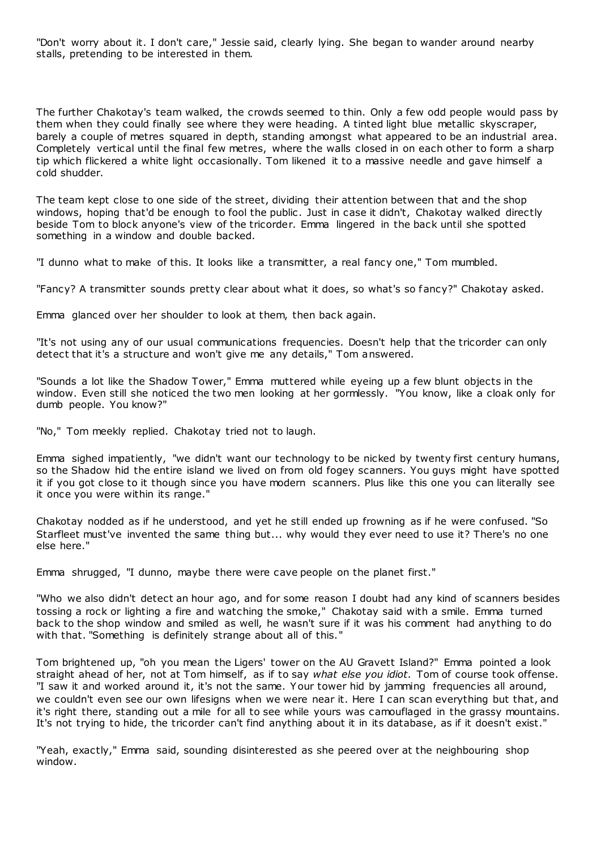"Don't worry about it. I don't care," Jessie said, clearly lying. She began to wander around nearby stalls, pretending to be interested in them.

The further Chakotay's team walked, the crowds seemed to thin. Only a few odd people would pass by them when they could finally see where they were heading. A tinted light blue metallic skyscraper, barely a couple of metres squared in depth, standing amongst what appeared to be an industrial area. Completely vertical until the final few metres, where the walls closed in on each other to form a sharp tip which flickered a white light occasionally. Tom likened it to a massive needle and gave himself a cold shudder.

The team kept close to one side of the street, dividing their attention between that and the shop windows, hoping that'd be enough to fool the public. Just in case it didn't, Chakotay walked directly beside Tom to block anyone's view of the tricorder. Emma lingered in the back until she spotted something in a window and double backed.

"I dunno what to make of this. It looks like a transmitter, a real fancy one," Tom mumbled.

"Fancy? A transmitter sounds pretty clear about what it does, so what's so fancy?" Chakotay asked.

Emma glanced over her shoulder to look at them, then back again.

"It's not using any of our usual communications frequencies. Doesn't help that the tricorder can only detect that it's a structure and won't give me any details," Tom answered.

"Sounds a lot like the Shadow Tower," Emma muttered while eyeing up a few blunt objects in the window. Even still she noticed the two men looking at her gormlessly. "You know, like a cloak only for dumb people. You know?"

"No," Tom meekly replied. Chakotay tried not to laugh.

Emma sighed impatiently, "we didn't want our technology to be nicked by twenty first century humans, so the Shadow hid the entire island we lived on from old fogey scanners. You guys might have spotted it if you got close to it though since you have modern scanners. Plus like this one you can literally see it once you were within its range."

Chakotay nodded as if he understood, and yet he still ended up frowning as if he were confused. "So Starfleet must've invented the same thing but... why would they ever need to use it? There's no one else here."

Emma shrugged, "I dunno, maybe there were cave people on the planet first."

"Who we also didn't detect an hour ago, and for some reason I doubt had any kind of scanners besides tossing a rock or lighting a fire and watching the smoke," Chakotay said with a smile. Emma turned back to the shop window and smiled as well, he wasn't sure if it was his comment had anything to do with that. "Something is definitely strange about all of this."

Tom brightened up, "oh you mean the Ligers' tower on the AU Gravett Island?" Emma pointed a look straight ahead of her, not at Tom himself, as if to say *what else you idiot.* Tom of course took offense. "I saw it and worked around it, it's not the same. Your tower hid by jamming frequencies all around, we couldn't even see our own lifesigns when we were near it. Here I can scan everything but that, and it's right there, standing out a mile for all to see while yours was camouflaged in the grassy mountains. It's not trying to hide, the tricorder can't find anything about it in its database, as if it doesn't exist."

"Yeah, exactly," Emma said, sounding disinterested as she peered over at the neighbouring shop window.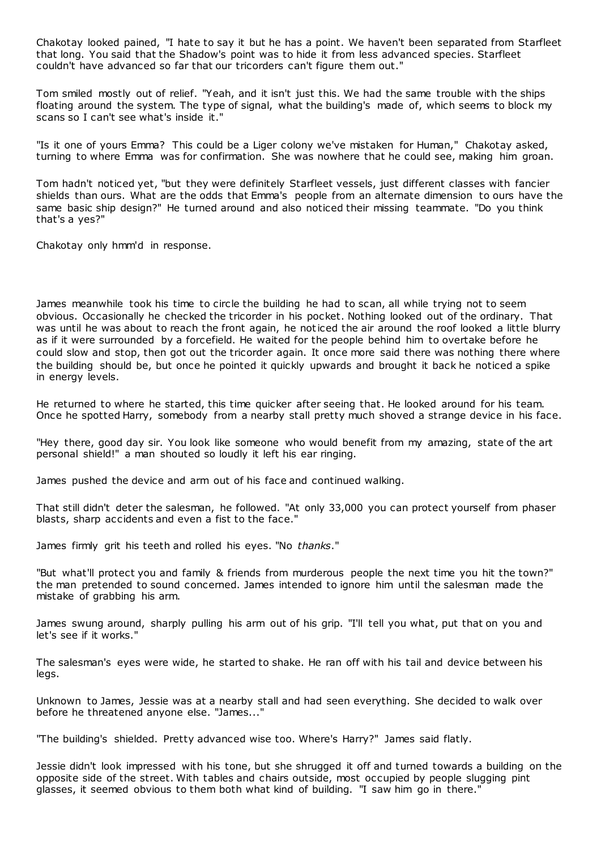Chakotay looked pained, "I hate to say it but he has a point. We haven't been separated from Starfleet that long. You said that the Shadow's point was to hide it from less advanced species. Starfleet couldn't have advanced so far that our tricorders can't figure them out."

Tom smiled mostly out of relief. "Yeah, and it isn't just this. We had the same trouble with the ships floating around the system. The type of signal, what the building's made of, which seems to block my scans so I can't see what's inside it."

"Is it one of yours Emma? This could be a Liger colony we've mistaken for Human," Chakotay asked, turning to where Emma was for confirmation. She was nowhere that he could see, making him groan.

Tom hadn't noticed yet, "but they were definitely Starfleet vessels, just different classes with fancier shields than ours. What are the odds that Emma's people from an alternate dimension to ours have the same basic ship design?" He turned around and also noticed their missing teammate. "Do you think that's a yes?"

Chakotay only hmm'd in response.

James meanwhile took his time to circle the building he had to scan, all while trying not to seem obvious. Occasionally he checked the tricorder in his pocket. Nothing looked out of the ordinary. That was until he was about to reach the front again, he noticed the air around the roof looked a little blurry as if it were surrounded by a forcefield. He waited for the people behind him to overtake before he could slow and stop, then got out the tricorder again. It once more said there was nothing there where the building should be, but once he pointed it quickly upwards and brought it back he noticed a spike in energy levels.

He returned to where he started, this time quicker after seeing that. He looked around for his team. Once he spotted Harry, somebody from a nearby stall pretty much shoved a strange device in his face.

"Hey there, good day sir. You look like someone who would benefit from my amazing, state of the art personal shield!" a man shouted so loudly it left his ear ringing.

James pushed the device and arm out of his face and continued walking.

That still didn't deter the salesman, he followed. "At only 33,000 you can protect yourself from phaser blasts, sharp accidents and even a fist to the face."

James firmly grit his teeth and rolled his eyes. "No *thanks*."

"But what'll protect you and family & friends from murderous people the next time you hit the town?" the man pretended to sound concerned. James intended to ignore him until the salesman made the mistake of grabbing his arm.

James swung around, sharply pulling his arm out of his grip. "I'll tell you what, put that on you and let's see if it works."

The salesman's eyes were wide, he started to shake. He ran off with his tail and device between his legs.

Unknown to James, Jessie was at a nearby stall and had seen everything. She decided to walk over before he threatened anyone else. "James..."

"The building's shielded. Pretty advanced wise too. Where's Harry?" James said flatly.

Jessie didn't look impressed with his tone, but she shrugged it off and turned towards a building on the opposite side of the street. With tables and chairs outside, most occupied by people slugging pint glasses, it seemed obvious to them both what kind of building. "I saw him go in there."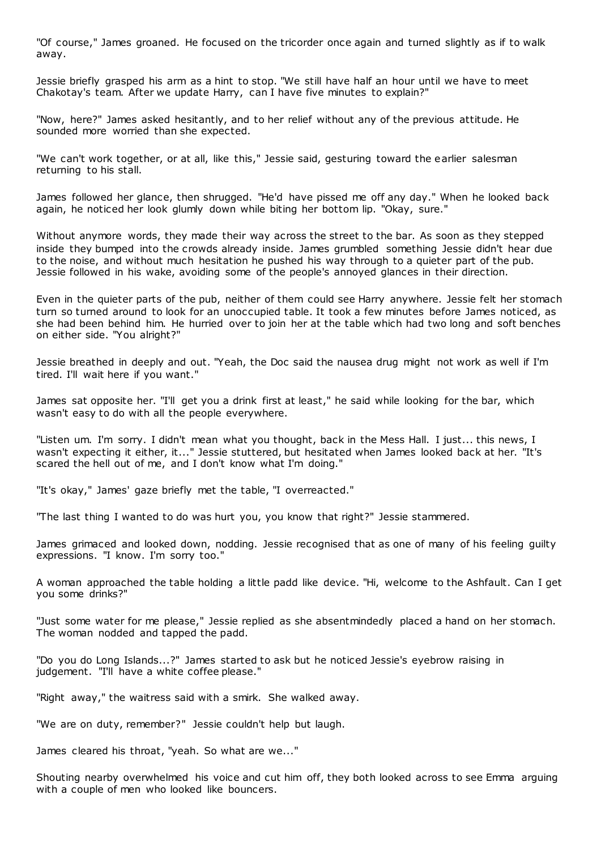"Of course," James groaned. He focused on the tricorder once again and turned slightly as if to walk away.

Jessie briefly grasped his arm as a hint to stop. "We still have half an hour until we have to meet Chakotay's team. After we update Harry, can I have five minutes to explain?"

"Now, here?" James asked hesitantly, and to her relief without any of the previous attitude. He sounded more worried than she expected.

"We can't work together, or at all, like this," Jessie said, gesturing toward the earlier salesman returning to his stall.

James followed her glance, then shrugged. "He'd have pissed me off any day." When he looked back again, he noticed her look glumly down while biting her bottom lip. "Okay, sure."

Without anymore words, they made their way across the street to the bar. As soon as they stepped inside they bumped into the crowds already inside. James grumbled something Jessie didn't hear due to the noise, and without much hesitation he pushed his way through to a quieter part of the pub. Jessie followed in his wake, avoiding some of the people's annoyed glances in their direction.

Even in the quieter parts of the pub, neither of them could see Harry anywhere. Jessie felt her stomach turn so turned around to look for an unoccupied table. It took a few minutes before James noticed, as she had been behind him. He hurried over to join her at the table which had two long and soft benches on either side. "You alright?"

Jessie breathed in deeply and out. "Yeah, the Doc said the nausea drug might not work as well if I'm tired. I'll wait here if you want."

James sat opposite her. "I'll get you a drink first at least," he said while looking for the bar, which wasn't easy to do with all the people everywhere.

"Listen um. I'm sorry. I didn't mean what you thought, back in the Mess Hall. I just... this news, I wasn't expecting it either, it..." Jessie stuttered, but hesitated when James looked back at her. "It's scared the hell out of me, and I don't know what I'm doing."

"It's okay," James' gaze briefly met the table, "I overreacted."

"The last thing I wanted to do was hurt you, you know that right?" Jessie stammered.

James grimaced and looked down, nodding. Jessie recognised that as one of many of his feeling guilty expressions. "I know. I'm sorry too."

A woman approached the table holding a little padd like device. "Hi, welcome to the Ashfault. Can I get you some drinks?"

"Just some water for me please," Jessie replied as she absentmindedly placed a hand on her stomach. The woman nodded and tapped the padd.

"Do you do Long Islands...?" James started to ask but he noticed Jessie's eyebrow raising in judgement. "I'll have a white coffee please."

"Right away," the waitress said with a smirk. She walked away.

"We are on duty, remember?" Jessie couldn't help but laugh.

James cleared his throat, "yeah. So what are we..."

Shouting nearby overwhelmed his voice and cut him off, they both looked across to see Emma arguing with a couple of men who looked like bouncers.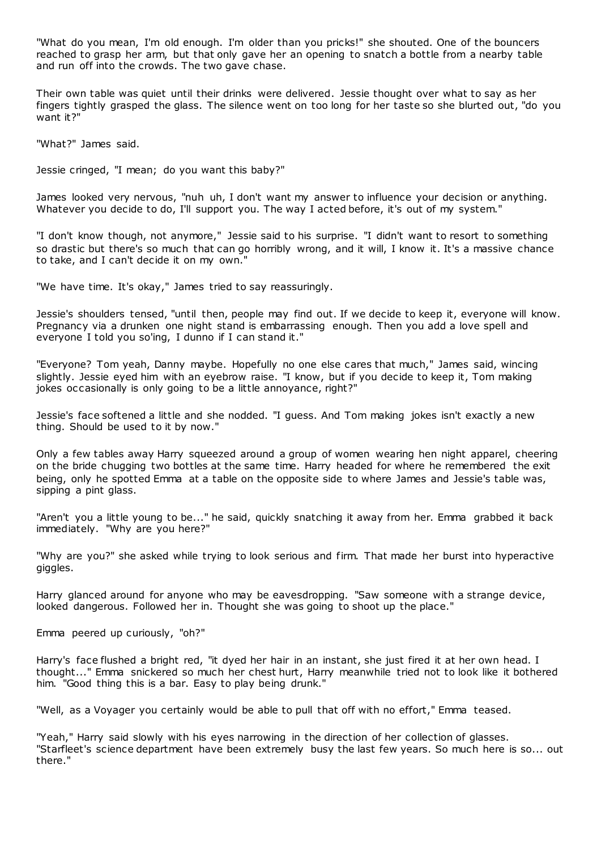"What do you mean, I'm old enough. I'm older than you pricks!" she shouted. One of the bouncers reached to grasp her arm, but that only gave her an opening to snatch a bottle from a nearby table and run off into the crowds. The two gave chase.

Their own table was quiet until their drinks were delivered. Jessie thought over what to say as her fingers tightly grasped the glass. The silence went on too long for her taste so she blurted out, "do you want it?"

"What?" James said.

Jessie cringed, "I mean; do you want this baby?"

James looked very nervous, "nuh uh, I don't want my answer to influence your decision or anything. Whatever you decide to do, I'll support you. The way I acted before, it's out of my system."

"I don't know though, not anymore," Jessie said to his surprise. "I didn't want to resort to something so drastic but there's so much that can go horribly wrong, and it will, I know it. It's a massive chance to take, and I can't decide it on my own."

"We have time. It's okay," James tried to say reassuringly.

Jessie's shoulders tensed, "until then, people may find out. If we decide to keep it, everyone will know. Pregnancy via a drunken one night stand is embarrassing enough. Then you add a love spell and everyone I told you so'ing, I dunno if I can stand it."

"Everyone? Tom yeah, Danny maybe. Hopefully no one else cares that much," James said, wincing slightly. Jessie eyed him with an eyebrow raise. "I know, but if you decide to keep it, Tom making jokes occasionally is only going to be a little annoyance, right?"

Jessie's face softened a little and she nodded. "I guess. And Tom making jokes isn't exactly a new thing. Should be used to it by now."

Only a few tables away Harry squeezed around a group of women wearing hen night apparel, cheering on the bride chugging two bottles at the same time. Harry headed for where he remembered the exit being, only he spotted Emma at a table on the opposite side to where James and Jessie's table was, sipping a pint glass.

"Aren't you a little young to be..." he said, quickly snatching it away from her. Emma grabbed it back immediately. "Why are you here?"

"Why are you?" she asked while trying to look serious and firm. That made her burst into hyperactive giggles.

Harry glanced around for anyone who may be eavesdropping. "Saw someone with a strange device, looked dangerous. Followed her in. Thought she was going to shoot up the place."

Emma peered up curiously, "oh?"

Harry's face flushed a bright red, "it dyed her hair in an instant, she just fired it at her own head. I thought..." Emma snickered so much her chest hurt, Harry meanwhile tried not to look like it bothered him. "Good thing this is a bar. Easy to play being drunk."

"Well, as a Voyager you certainly would be able to pull that off with no effort," Emma teased.

"Yeah," Harry said slowly with his eyes narrowing in the direction of her collection of glasses. "Starfleet's science department have been extremely busy the last few years. So much here is so... out there."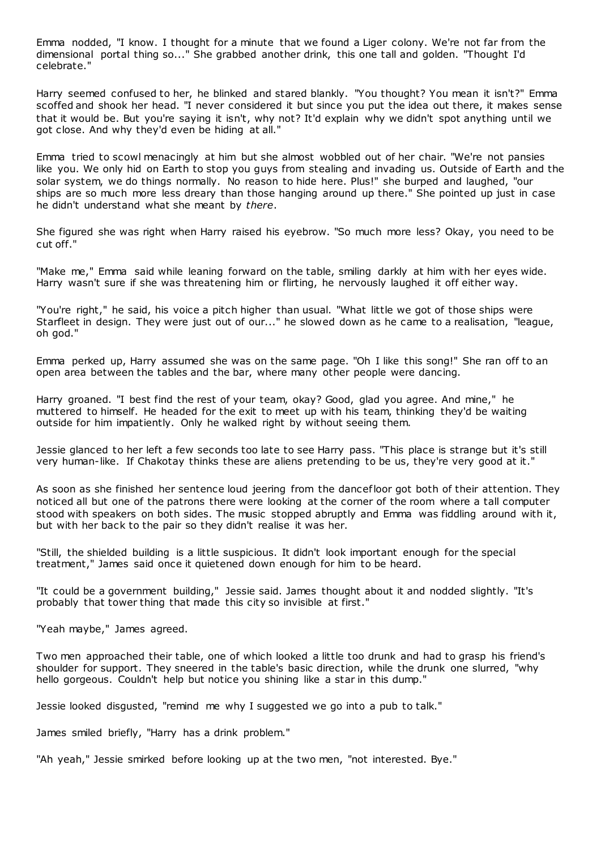Emma nodded, "I know. I thought for a minute that we found a Liger colony. We're not far from the dimensional portal thing so..." She grabbed another drink, this one tall and golden. "Thought I'd celebrate."

Harry seemed confused to her, he blinked and stared blankly. "You thought? You mean it isn't?" Emma scoffed and shook her head. "I never considered it but since you put the idea out there, it makes sense that it would be. But you're saying it isn't, why not? It'd explain why we didn't spot anything until we got close. And why they'd even be hiding at all."

Emma tried to scowl menacingly at him but she almost wobbled out of her chair. "We're not pansies like you. We only hid on Earth to stop you guys from stealing and invading us. Outside of Earth and the solar system, we do things normally. No reason to hide here. Plus!" she burped and laughed, "our ships are so much more less dreary than those hanging around up there." She pointed up just in case he didn't understand what she meant by *there*.

She figured she was right when Harry raised his eyebrow. "So much more less? Okay, you need to be cut off."

"Make me," Emma said while leaning forward on the table, smiling darkly at him with her eyes wide. Harry wasn't sure if she was threatening him or flirting, he nervously laughed it off either way.

"You're right," he said, his voice a pitch higher than usual. "What little we got of those ships were Starfleet in design. They were just out of our..." he slowed down as he came to a realisation, "league, oh god."

Emma perked up, Harry assumed she was on the same page. "Oh I like this song!" She ran off to an open area between the tables and the bar, where many other people were dancing.

Harry groaned. "I best find the rest of your team, okay? Good, glad you agree. And mine," he muttered to himself. He headed for the exit to meet up with his team, thinking they'd be waiting outside for him impatiently. Only he walked right by without seeing them.

Jessie glanced to her left a few seconds too late to see Harry pass. "This place is strange but it's still very human-like. If Chakotay thinks these are aliens pretending to be us, they're very good at it."

As soon as she finished her sentence loud jeering from the dancefloor got both of their attention. They noticed all but one of the patrons there were looking at the corner of the room where a tall computer stood with speakers on both sides. The music stopped abruptly and Emma was fiddling around with it, but with her back to the pair so they didn't realise it was her.

"Still, the shielded building is a little suspicious. It didn't look important enough for the special treatment," James said once it quietened down enough for him to be heard.

"It could be a government building," Jessie said. James thought about it and nodded slightly. "It's probably that tower thing that made this city so invisible at first."

"Yeah maybe," James agreed.

Two men approached their table, one of which looked a little too drunk and had to grasp his friend's shoulder for support. They sneered in the table's basic direction, while the drunk one slurred, "why hello gorgeous. Couldn't help but notice you shining like a star in this dump."

Jessie looked disgusted, "remind me why I suggested we go into a pub to talk."

James smiled briefly, "Harry has a drink problem."

"Ah yeah," Jessie smirked before looking up at the two men, "not interested. Bye."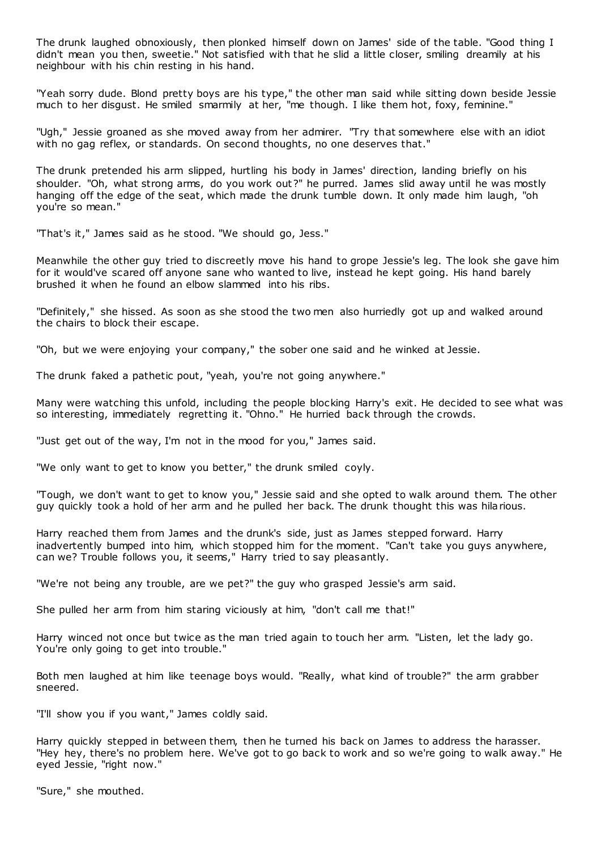The drunk laughed obnoxiously, then plonked himself down on James' side of the table. "Good thing I didn't mean you then, sweetie." Not satisfied with that he slid a little closer, smiling dreamily at his neighbour with his chin resting in his hand.

"Yeah sorry dude. Blond pretty boys are his type," the other man said while sitting down beside Jessie much to her disgust. He smiled smarmily at her, "me though. I like them hot, foxy, feminine."

"Ugh," Jessie groaned as she moved away from her admirer. "Try that somewhere else with an idiot with no gag reflex, or standards. On second thoughts, no one deserves that."

The drunk pretended his arm slipped, hurtling his body in James' direction, landing briefly on his shoulder. "Oh, what strong arms, do you work out?" he purred. James slid away until he was mostly hanging off the edge of the seat, which made the drunk tumble down. It only made him laugh, "oh you're so mean."

"That's it," James said as he stood. "We should go, Jess."

Meanwhile the other guy tried to discreetly move his hand to grope Jessie's leg. The look she gave him for it would've scared off anyone sane who wanted to live, instead he kept going. His hand barely brushed it when he found an elbow slammed into his ribs.

"Definitely," she hissed. As soon as she stood the two men also hurriedly got up and walked around the chairs to block their escape.

"Oh, but we were enjoying your company," the sober one said and he winked at Jessie.

The drunk faked a pathetic pout, "yeah, you're not going anywhere."

Many were watching this unfold, including the people blocking Harry's exit. He decided to see what was so interesting, immediately regretting it. "Ohno." He hurried back through the crowds.

"Just get out of the way, I'm not in the mood for you," James said.

"We only want to get to know you better," the drunk smiled coyly.

"Tough, we don't want to get to know you," Jessie said and she opted to walk around them. The other guy quickly took a hold of her arm and he pulled her back. The drunk thought this was hilarious.

Harry reached them from James and the drunk's side, just as James stepped forward. Harry inadvertently bumped into him, which stopped him for the moment. "Can't take you guys anywhere, can we? Trouble follows you, it seems," Harry tried to say pleasantly.

"We're not being any trouble, are we pet?" the guy who grasped Jessie's arm said.

She pulled her arm from him staring viciously at him, "don't call me that!"

Harry winced not once but twice as the man tried again to touch her arm. "Listen, let the lady go. You're only going to get into trouble."

Both men laughed at him like teenage boys would. "Really, what kind of trouble?" the arm grabber sneered.

"I'll show you if you want," James coldly said.

Harry quickly stepped in between them, then he turned his back on James to address the harasser. "Hey hey, there's no problem here. We've got to go back to work and so we're going to walk away." He eyed Jessie, "right now."

"Sure," she mouthed.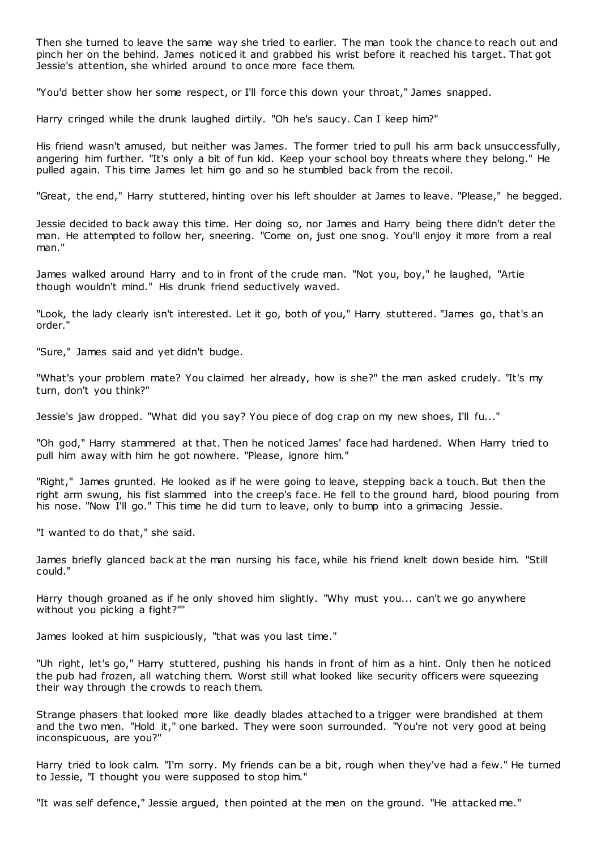Then she turned to leave the same way she tried to earlier. The man took the chance to reach out and pinch her on the behind. James noticed it and grabbed his wrist before it reached his target. That got Jessie's attention, she whirled around to once more face them.

"You'd better show her some respect, or I'll force this down your throat," James snapped.

Harry cringed while the drunk laughed dirtily. "Oh he's saucy. Can I keep him?"

His friend wasn't amused, but neither was James. The former tried to pull his arm back unsuccessfully, angering him further. "It's only a bit of fun kid. Keep your school boy threats where they belong." He pulled again. This time James let him go and so he stumbled back from the recoil.

"Great, the end," Harry stuttered, hinting over his left shoulder at James to leave. "Please," he begged.

Jessie decided to back away this time. Her doing so, nor James and Harry being there didn't deter the man. He attempted to follow her, sneering. "Come on, just one snog. You'll enjoy it more from a real man."

James walked around Harry and to in front of the crude man. "Not you, boy," he laughed, "Artie though wouldn't mind." His drunk friend seductively waved.

"Look, the lady clearly isn't interested. Let it go, both of you," Harry stuttered. "James go, that's an order."

"Sure," James said and yet didn't budge.

"What's your problem mate? You claimed her already, how is she?" the man asked crudely. "It's my turn, don't you think?"

Jessie's jaw dropped. "What did you say? You piece of dog crap on my new shoes, I'll fu..."

"Oh god," Harry stammered at that. Then he noticed James' face had hardened. When Harry tried to pull him away with him he got nowhere. "Please, ignore him."

"Right," James grunted. He looked as if he were going to leave, stepping back a touch. But then the right arm swung, his fist slammed into the creep's face. He fell to the ground hard, blood pouring from his nose. "Now I'll go." This time he did turn to leave, only to bump into a grimacing Jessie.

"I wanted to do that," she said.

James briefly glanced back at the man nursing his face, while his friend knelt down beside him. "Still could."

Harry though groaned as if he only shoved him slightly. "Why must you... can't we go anywhere without you picking a fight?""

James looked at him suspiciously, "that was you last time."

"Uh right, let's go," Harry stuttered, pushing his hands in front of him as a hint. Only then he noticed the pub had frozen, all watching them. Worst still what looked like security officers were squeezing their way through the crowds to reach them.

Strange phasers that looked more like deadly blades attached to a trigger were brandished at them and the two men. "Hold it," one barked. They were soon surrounded. "You're not very good at being inconspicuous, are you?"

Harry tried to look calm. "I'm sorry. My friends can be a bit, rough when they've had a few." He turned to Jessie, "I thought you were supposed to stop him."

"It was self defence," Jessie argued, then pointed at the men on the ground. "He attacked me."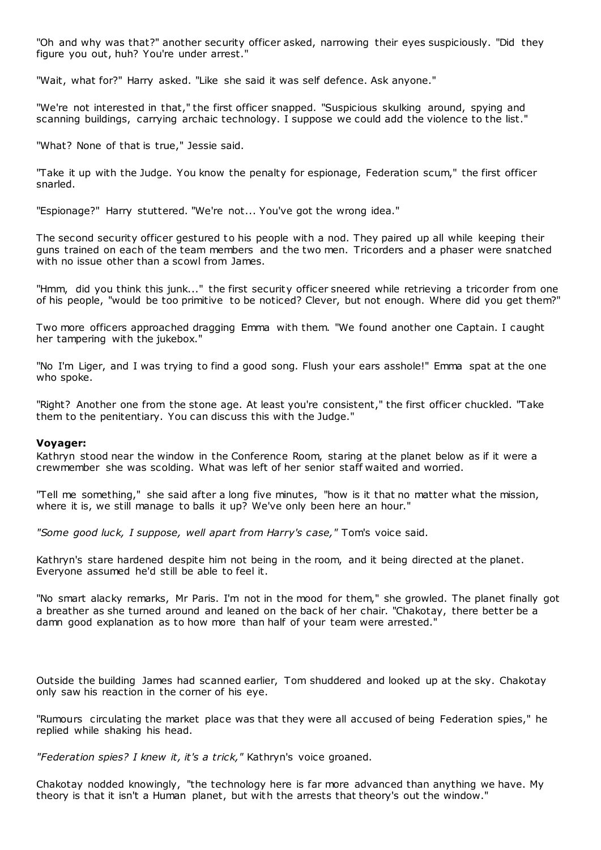"Oh and why was that?" another security officer asked, narrowing their eyes suspiciously. "Did they figure you out, huh? You're under arrest.'

"Wait, what for?" Harry asked. "Like she said it was self defence. Ask anyone."

"We're not interested in that," the first officer snapped. "Suspicious skulking around, spying and scanning buildings, carrying archaic technology. I suppose we could add the violence to the list."

"What? None of that is true," Jessie said.

"Take it up with the Judge. You know the penalty for espionage, Federation scum," the first officer snarled.

"Espionage?" Harry stuttered. "We're not... You've got the wrong idea."

The second security officer gestured to his people with a nod. They paired up all while keeping their guns trained on each of the team members and the two men. Tricorders and a phaser were snatched with no issue other than a scowl from James.

"Hmm, did you think this junk..." the first security officer sneered while retrieving a tricorder from one of his people, "would be too primitive to be noticed? Clever, but not enough. Where did you get them?"

Two more officers approached dragging Emma with them. "We found another one Captain. I caught her tampering with the jukebox."

"No I'm Liger, and I was trying to find a good song. Flush your ears asshole!" Emma spat at the one who spoke.

"Right? Another one from the stone age. At least you're consistent," the first officer chuckled. "Take them to the penitentiary. You can discuss this with the Judge."

## **Voyager:**

Kathryn stood near the window in the Conference Room, staring at the planet below as if it were a crewmember she was scolding. What was left of her senior staff waited and worried.

"Tell me something," she said after a long five minutes, "how is it that no matter what the mission, where it is, we still manage to balls it up? We've only been here an hour."

*"Some good luck, I suppose, well apart from Harry's case,"* Tom's voice said.

Kathryn's stare hardened despite him not being in the room, and it being directed at the planet. Everyone assumed he'd still be able to feel it.

"No smart alacky remarks, Mr Paris. I'm not in the mood for them," she growled. The planet finally got a breather as she turned around and leaned on the back of her chair. "Chakotay, there better be a damn good explanation as to how more than half of your team were arrested."

Outside the building James had scanned earlier, Tom shuddered and looked up at the sky. Chakotay only saw his reaction in the corner of his eye.

"Rumours circulating the market place was that they were all accused of being Federation spies," he replied while shaking his head.

*"Federation spies? I knew it, it's a trick,"* Kathryn's voice groaned.

Chakotay nodded knowingly, "the technology here is far more advanced than anything we have. My theory is that it isn't a Human planet, but with the arrests that theory's out the window."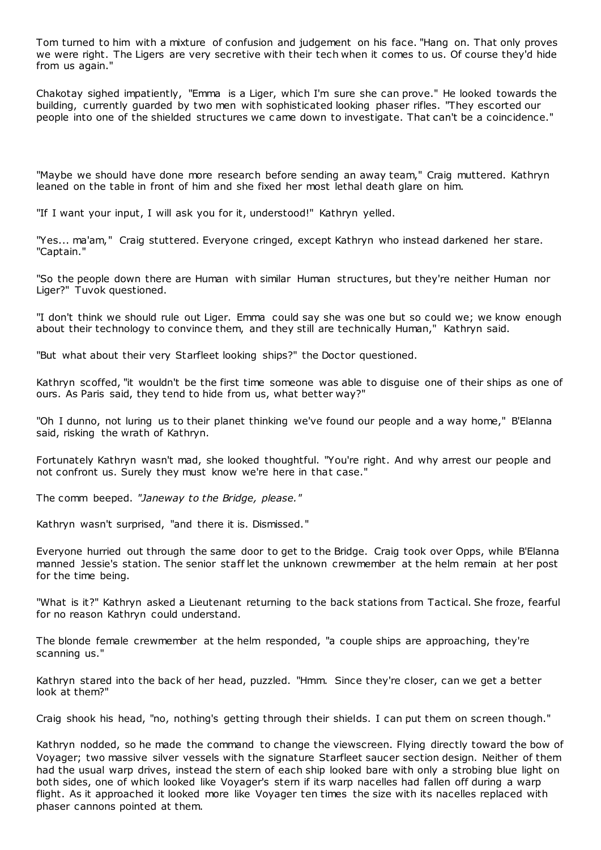Tom turned to him with a mixture of confusion and judgement on his face. "Hang on. That only proves we were right. The Ligers are very secretive with their tech when it comes to us. Of course they'd hide from us again."

Chakotay sighed impatiently, "Emma is a Liger, which I'm sure she can prove." He looked towards the building, currently guarded by two men with sophisticated looking phaser rifles. "They escorted our people into one of the shielded structures we c ame down to investigate. That can't be a coincidence."

"Maybe we should have done more research before sending an away team," Craig muttered. Kathryn leaned on the table in front of him and she fixed her most lethal death glare on him.

"If I want your input, I will ask you for it, understood!" Kathryn yelled.

"Yes... ma'am," Craig stuttered. Everyone cringed, except Kathryn who instead darkened her stare. "Captain."

"So the people down there are Human with similar Human structures, but they're neither Human nor Liger?" Tuvok questioned.

"I don't think we should rule out Liger. Emma could say she was one but so could we; we know enough about their technology to convince them, and they still are technically Human," Kathryn said.

"But what about their very Starfleet looking ships?" the Doctor questioned.

Kathryn scoffed, "it wouldn't be the first time someone was able to disguise one of their ships as one of ours. As Paris said, they tend to hide from us, what better way?"

"Oh I dunno, not luring us to their planet thinking we've found our people and a way home," B'Elanna said, risking the wrath of Kathryn.

Fortunately Kathryn wasn't mad, she looked thoughtful. "You're right. And why arrest our people and not confront us. Surely they must know we're here in that case."

The comm beeped. *"Janeway to the Bridge, please."*

Kathryn wasn't surprised, "and there it is. Dismissed."

Everyone hurried out through the same door to get to the Bridge. Craig took over Opps, while B'Elanna manned Jessie's station. The senior staff let the unknown crewmember at the helm remain at her post for the time being.

"What is it?" Kathryn asked a Lieutenant returning to the back stations from Tactical. She froze, fearful for no reason Kathryn could understand.

The blonde female crewmember at the helm responded, "a couple ships are approaching, they're scanning us."

Kathryn stared into the back of her head, puzzled. "Hmm. Since they're closer, can we get a better look at them?"

Craig shook his head, "no, nothing's getting through their shields. I can put them on screen though."

Kathryn nodded, so he made the command to change the viewscreen. Flying directly toward the bow of Voyager; two massive silver vessels with the signature Starfleet saucer section design. Neither of them had the usual warp drives, instead the stern of each ship looked bare with only a strobing blue light on both sides, one of which looked like Voyager's stern if its warp nacelles had fallen off during a warp flight. As it approached it looked more like Voyager ten times the size with its nacelles replaced with phaser cannons pointed at them.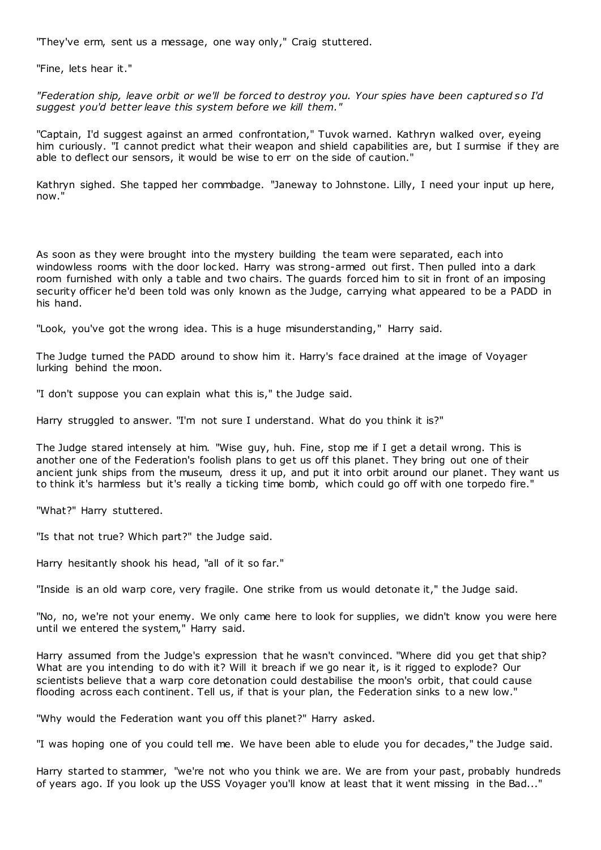"They've erm, sent us a message, one way only," Craig stuttered.

"Fine, lets hear it."

*"Federation ship, leave orbit or we'll be forced to destroy you. Your spies have been captured so I'd suggest you'd better leave this system before we kill them."*

"Captain, I'd suggest against an armed confrontation," Tuvok warned. Kathryn walked over, eyeing him curiously. "I cannot predict what their weapon and shield capabilities are, but I surmise if they are able to deflect our sensors, it would be wise to err on the side of caution."

Kathryn sighed. She tapped her commbadge. "Janeway to Johnstone. Lilly, I need your input up here, now."

As soon as they were brought into the mystery building the team were separated, each into windowless rooms with the door locked. Harry was strong-armed out first. Then pulled into a dark room furnished with only a table and two chairs. The guards forced him to sit in front of an imposing security officer he'd been told was only known as the Judge, carrying what appeared to be a PADD in his hand.

"Look, you've got the wrong idea. This is a huge misunderstanding," Harry said.

The Judge turned the PADD around to show him it. Harry's face drained at the image of Voyager lurking behind the moon.

"I don't suppose you can explain what this is," the Judge said.

Harry struggled to answer. "I'm not sure I understand. What do you think it is?"

The Judge stared intensely at him. "Wise guy, huh. Fine, stop me if I get a detail wrong. This is another one of the Federation's foolish plans to get us off this planet. They bring out one of their ancient junk ships from the museum, dress it up, and put it into orbit around our planet. They want us to think it's harmless but it's really a ticking time bomb, which could go off with one torpedo fire."

"What?" Harry stuttered.

"Is that not true? Which part?" the Judge said.

Harry hesitantly shook his head, "all of it so far."

"Inside is an old warp core, very fragile. One strike from us would detonate it," the Judge said.

"No, no, we're not your enemy. We only came here to look for supplies, we didn't know you were here until we entered the system," Harry said.

Harry assumed from the Judge's expression that he wasn't convinced. "Where did you get that ship? What are you intending to do with it? Will it breach if we go near it, is it rigged to explode? Our scientists believe that a warp core detonation could destabilise the moon's orbit, that could cause flooding across each continent. Tell us, if that is your plan, the Federation sinks to a new low."

"Why would the Federation want you off this planet?" Harry asked.

"I was hoping one of you could tell me. We have been able to elude you for decades," the Judge said.

Harry started to stammer, "we're not who you think we are. We are from your past, probably hundreds of years ago. If you look up the USS Voyager you'll know at least that it went missing in the Bad..."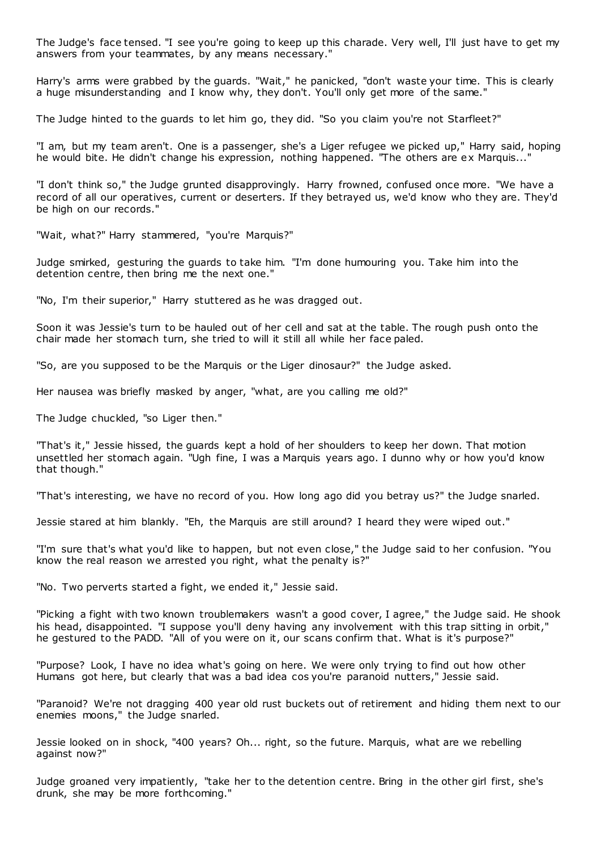The Judge's face tensed. "I see you're going to keep up this charade. Very well, I'll just have to get my answers from your teammates, by any means necessary."

Harry's arms were grabbed by the guards. "Wait," he panicked, "don't waste your time. This is clearly a huge misunderstanding and I know why, they don't. You'll only get more of the same."

The Judge hinted to the guards to let him go, they did. "So you claim you're not Starfleet?"

"I am, but my team aren't. One is a passenger, she's a Liger refugee we picked up," Harry said, hoping he would bite. He didn't change his expression, nothing happened. "The others are ex Marquis...'

"I don't think so," the Judge grunted disapprovingly. Harry frowned, confused once more. "We have a record of all our operatives, current or deserters. If they betrayed us, we'd know who they are. They'd be high on our records."

"Wait, what?" Harry stammered, "you're Marquis?"

Judge smirked, gesturing the guards to take him. "I'm done humouring you. Take him into the detention centre, then bring me the next one."

"No, I'm their superior," Harry stuttered as he was dragged out.

Soon it was Jessie's turn to be hauled out of her cell and sat at the table. The rough push onto the chair made her stomach turn, she tried to will it still all while her face paled.

"So, are you supposed to be the Marquis or the Liger dinosaur?" the Judge asked.

Her nausea was briefly masked by anger, "what, are you calling me old?"

The Judge chuckled, "so Liger then."

"That's it," Jessie hissed, the guards kept a hold of her shoulders to keep her down. That motion unsettled her stomach again. "Ugh fine, I was a Marquis years ago. I dunno why or how you'd know that though."

"That's interesting, we have no record of you. How long ago did you betray us?" the Judge snarled.

Jessie stared at him blankly. "Eh, the Marquis are still around? I heard they were wiped out."

"I'm sure that's what you'd like to happen, but not even close," the Judge said to her confusion. "You know the real reason we arrested you right, what the penalty is?"

"No. Two perverts started a fight, we ended it," Jessie said.

"Picking a fight with two known troublemakers wasn't a good cover, I agree," the Judge said. He shook his head, disappointed. "I suppose you'll deny having any involvement with this trap sitting in orbit," he gestured to the PADD. "All of you were on it, our scans confirm that. What is it's purpose?"

"Purpose? Look, I have no idea what's going on here. We were only trying to find out how other Humans got here, but clearly that was a bad idea cos you're paranoid nutters," Jessie said.

"Paranoid? We're not dragging 400 year old rust buckets out of retirement and hiding them next to our enemies moons," the Judge snarled.

Jessie looked on in shock, "400 years? Oh... right, so the future. Marquis, what are we rebelling against now?"

Judge groaned very impatiently, "take her to the detention centre. Bring in the other girl first, she's drunk, she may be more forthcoming."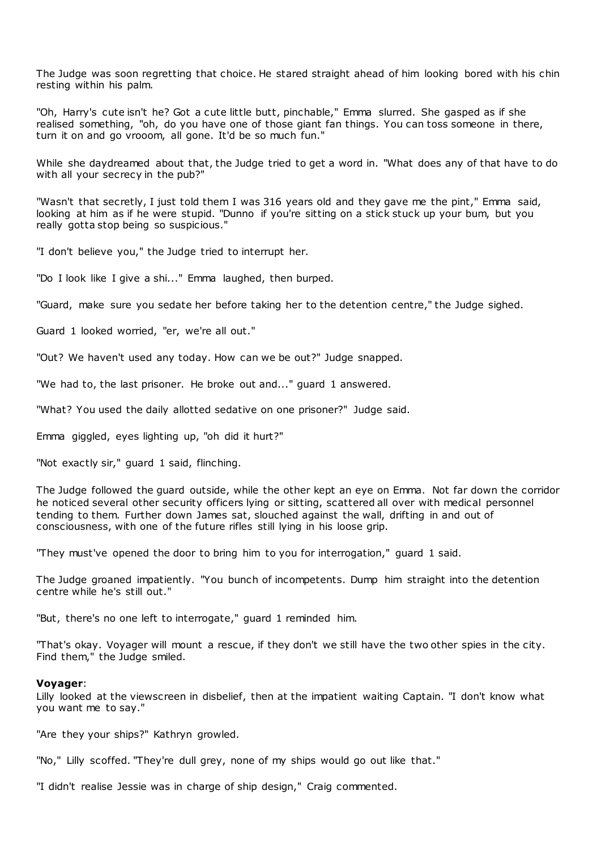The Judge was soon regretting that choice. He stared straight ahead of him looking bored with his chin resting within his palm.

"Oh, Harry's cute isn't he? Got a cute little butt, pinchable," Emma slurred. She gasped as if she realised something, "oh, do you have one of those giant fan things. You can toss someone in there, turn it on and go vrooom, all gone. It'd be so much fun."

While she daydreamed about that, the Judge tried to get a word in. "What does any of that have to do with all your secrecy in the pub?"

"Wasn't that secretly, I just told them I was 316 years old and they gave me the pint," Emma said, looking at him as if he were stupid. "Dunno if you're sitting on a stick stuck up your bum, but you really gotta stop being so suspicious."

"I don't believe you," the Judge tried to interrupt her.

"Do I look like I give a shi..." Emma laughed, then burped.

"Guard, make sure you sedate her before taking her to the detention centre," the Judge sighed.

Guard 1 looked worried, "er, we're all out."

"Out? We haven't used any today. How can we be out?" Judge snapped.

"We had to, the last prisoner. He broke out and..." guard 1 answered.

"What? You used the daily allotted sedative on one prisoner?" Judge said.

Emma giggled, eyes lighting up, "oh did it hurt?"

"Not exactly sir," guard 1 said, flinching.

The Judge followed the guard outside, while the other kept an eye on Emma. Not far down the corridor he noticed several other security officers lying or sitting, scattered all over with medical personnel tending to them. Further down James sat, slouched against the wall, drifting in and out of consciousness, with one of the future rifles still lying in his loose grip.

"They must've opened the door to bring him to you for interrogation," guard 1 said.

The Judge groaned impatiently. "You bunch of incompetents. Dump him straight into the detention centre while he's still out."

"But, there's no one left to interrogate," guard 1 reminded him.

"That's okay. Voyager will mount a rescue, if they don't we still have the two other spies in the city. Find them," the Judge smiled.

#### **Voyager**:

Lilly looked at the viewscreen in disbelief, then at the impatient waiting Captain. "I don't know what you want me to say."

"Are they your ships?" Kathryn growled.

"No," Lilly scoffed. "They're dull grey, none of my ships would go out like that."

"I didn't realise Jessie was in charge of ship design," Craig commented.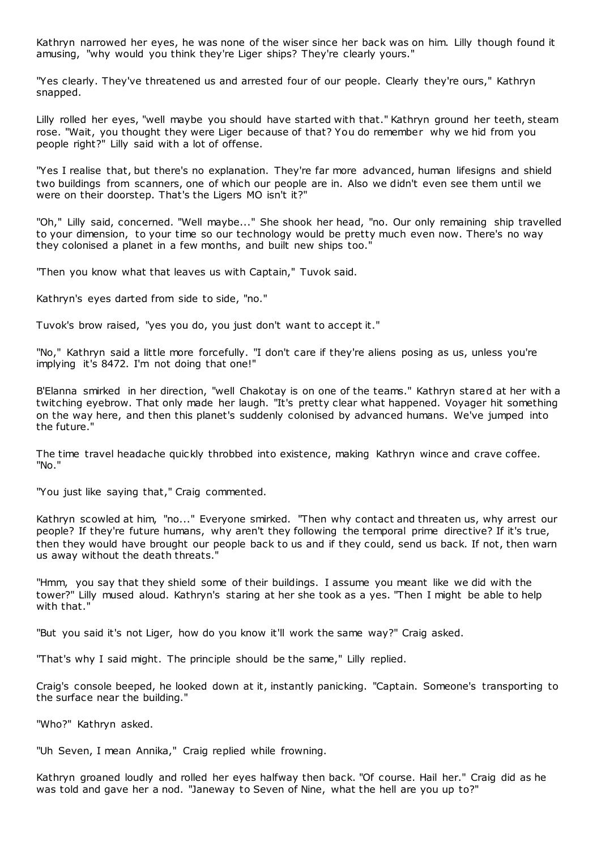Kathryn narrowed her eyes, he was none of the wiser since her back was on him. Lilly though found it amusing, "why would you think they're Liger ships? They're clearly yours."

"Yes clearly. They've threatened us and arrested four of our people. Clearly they're ours," Kathryn snapped.

Lilly rolled her eyes, "well maybe you should have started with that." Kathryn ground her teeth, steam rose. "Wait, you thought they were Liger because of that? You do remember why we hid from you people right?" Lilly said with a lot of offense.

"Yes I realise that, but there's no explanation. They're far more advanced, human lifesigns and shield two buildings from scanners, one of which our people are in. Also we didn't even see them until we were on their doorstep. That's the Ligers MO isn't it?"

"Oh," Lilly said, concerned. "Well maybe..." She shook her head, "no. Our only remaining ship travelled to your dimension, to your time so our technology would be pretty much even now. There's no way they colonised a planet in a few months, and built new ships too."

"Then you know what that leaves us with Captain," Tuvok said.

Kathryn's eyes darted from side to side, "no."

Tuvok's brow raised, "yes you do, you just don't want to accept it."

"No," Kathryn said a little more forcefully. "I don't care if they're aliens posing as us, unless you're implying it's 8472. I'm not doing that one!"

B'Elanna smirked in her direction, "well Chakotay is on one of the teams." Kathryn stared at her with a twitching eyebrow. That only made her laugh. "It's pretty clear what happened. Voyager hit something on the way here, and then this planet's suddenly colonised by advanced humans. We've jumped into the future."

The time travel headache quickly throbbed into existence, making Kathryn wince and crave coffee. "No."

"You just like saying that," Craig commented.

Kathryn scowled at him, "no..." Everyone smirked. "Then why contact and threaten us, why arrest our people? If they're future humans, why aren't they following the temporal prime directive? If it's true, then they would have brought our people back to us and if they could, send us back. If not, then warn us away without the death threats."

"Hmm, you say that they shield some of their buildings. I assume you meant like we did with the tower?" Lilly mused aloud. Kathryn's staring at her she took as a yes. "Then I might be able to help with that."

"But you said it's not Liger, how do you know it'll work the same way?" Craig asked.

"That's why I said might. The principle should be the same," Lilly replied.

Craig's console beeped, he looked down at it, instantly panicking. "Captain. Someone's transporting to the surface near the building."

"Who?" Kathryn asked.

"Uh Seven, I mean Annika," Craig replied while frowning.

Kathryn groaned loudly and rolled her eyes halfway then back. "Of course. Hail her." Craig did as he was told and gave her a nod. "Janeway to Seven of Nine, what the hell are you up to?"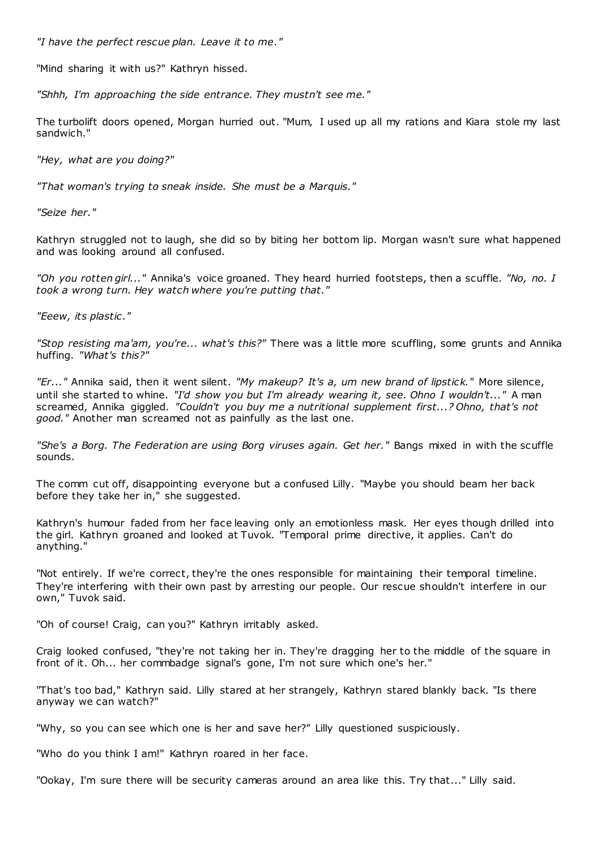*"I have the perfect rescue plan. Leave it to me."*

"Mind sharing it with us?" Kathryn hissed.

*"Shhh, I'm approaching the side entrance. They mustn't see me."*

The turbolift doors opened, Morgan hurried out. "Mum, I used up all my rations and Kiara stole my last sandwich."

*"Hey, what are you doing?"*

*"That woman's trying to sneak inside. She must be a Marquis."*

*"Seize her."*

Kathryn struggled not to laugh, she did so by biting her bottom lip. Morgan wasn't sure what happened and was looking around all confused.

*"Oh you rotten girl..."* Annika's voice groaned. They heard hurried footsteps, then a scuffle. *"No, no. I took a wrong turn. Hey watch where you're putting that."*

*"Eeew, its plastic ."*

*"Stop resisting ma'am, you're... what's this?"* There was a little more scuffling, some grunts and Annika huffing. *"What's this?"*

*"Er..."* Annika said, then it went silent. *"My makeup? It's a, um new brand of lipstick."* More silence, until she started to whine. *"I'd show you but I'm already wearing it, see. Ohno I wouldn't..."* A man screamed, Annika giggled. *"Couldn't you buy me a nutritional supplement first...? Ohno, that's not good."* Another man screamed not as painfully as the last one.

*"She's a Borg. The Federation are using Borg viruses again. Get her."* Bangs mixed in with the scuffle sounds.

The comm cut off, disappointing everyone but a confused Lilly. "Maybe you should beam her back before they take her in," she suggested.

Kathryn's humour faded from her face leaving only an emotionless mask. Her eyes though drilled into the girl. Kathryn groaned and looked at Tuvok. "Temporal prime directive, it applies. Can't do anything."

"Not entirely. If we're correct, they're the ones responsible for maintaining their temporal timeline. They're interfering with their own past by arresting our people. Our rescue shouldn't interfere in our own," Tuvok said.

"Oh of course! Craig, can you?" Kathryn irritably asked.

Craig looked confused, "they're not taking her in. They're dragging her to the middle of the square in front of it. Oh... her commbadge signal's gone, I'm not sure which one's her."

"That's too bad," Kathryn said. Lilly stared at her strangely, Kathryn stared blankly back. "Is there anyway we can watch?"

"Why, so you can see which one is her and save her?" Lilly questioned suspiciously.

"Who do you think I am!" Kathryn roared in her face.

"Ookay, I'm sure there will be security cameras around an area like this. Try that..." Lilly said.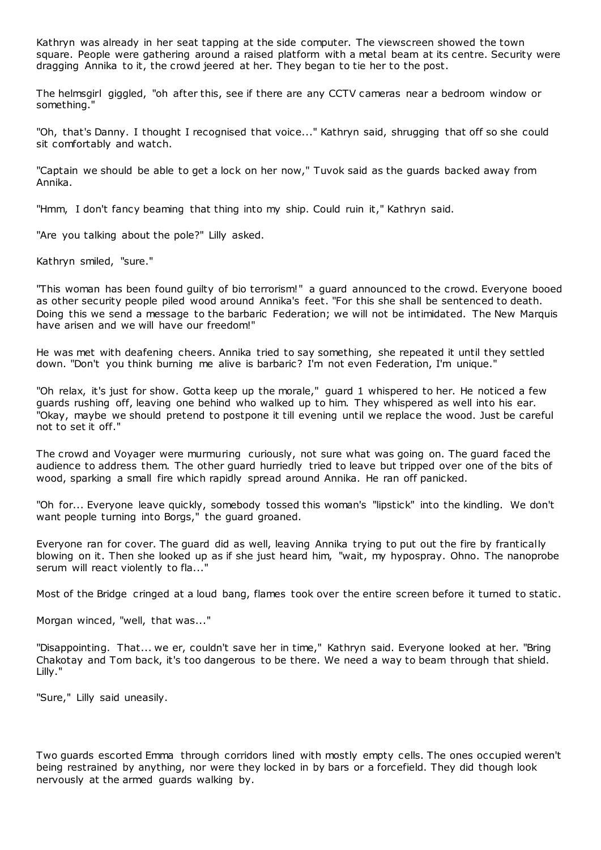Kathryn was already in her seat tapping at the side computer. The viewscreen showed the town square. People were gathering around a raised platform with a metal beam at its centre. Security were dragging Annika to it, the crowd jeered at her. They began to tie her to the post.

The helmsgirl giggled, "oh after this, see if there are any CCTV cameras near a bedroom window or something."

"Oh, that's Danny. I thought I recognised that voice..." Kathryn said, shrugging that off so she could sit comfortably and watch.

"Captain we should be able to get a lock on her now," Tuvok said as the guards backed away from Annika.

"Hmm, I don't fancy beaming that thing into my ship. Could ruin it," Kathryn said.

"Are you talking about the pole?" Lilly asked.

Kathryn smiled, "sure."

"This woman has been found guilty of bio terrorism!" a guard announced to the crowd. Everyone booed as other security people piled wood around Annika's feet. "For this she shall be sentenced to death. Doing this we send a message to the barbaric Federation; we will not be intimidated. The New Marquis have arisen and we will have our freedom!"

He was met with deafening cheers. Annika tried to say something, she repeated it until they settled down. "Don't you think burning me alive is barbaric? I'm not even Federation, I'm unique."

"Oh relax, it's just for show. Gotta keep up the morale," guard 1 whispered to her. He noticed a few guards rushing off, leaving one behind who walked up to him. They whispered as well into his ear. "Okay, maybe we should pretend to postpone it till evening until we replace the wood. Just be careful not to set it off."

The crowd and Voyager were murmuring curiously, not sure what was going on. The guard faced the audience to address them. The other guard hurriedly tried to leave but tripped over one of the bits of wood, sparking a small fire which rapidly spread around Annika. He ran off panicked.

"Oh for... Everyone leave quickly, somebody tossed this woman's "lipstick" into the kindling. We don't want people turning into Borgs," the guard groaned.

Everyone ran for cover. The guard did as well, leaving Annika trying to put out the fire by frantically blowing on it. Then she looked up as if she just heard him, "wait, my hypospray. Ohno. The nanoprobe serum will react violently to fla..."

Most of the Bridge cringed at a loud bang, flames took over the entire screen before it turned to static .

Morgan winced, "well, that was..."

"Disappointing. That... we er, couldn't save her in time," Kathryn said. Everyone looked at her. "Bring Chakotay and Tom back, it's too dangerous to be there. We need a way to beam through that shield. Lilly."

"Sure," Lilly said uneasily.

Two guards escorted Emma through corridors lined with mostly empty cells. The ones occupied weren't being restrained by anything, nor were they locked in by bars or a forcefield. They did though look nervously at the armed guards walking by.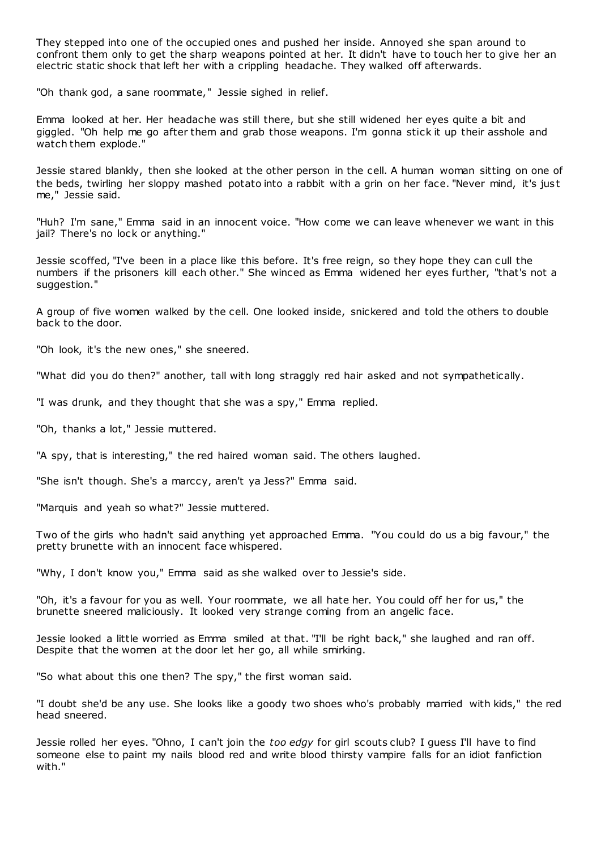They stepped into one of the occupied ones and pushed her inside. Annoyed she span around to confront them only to get the sharp weapons pointed at her. It didn't have to touch her to give her an electric static shock that left her with a crippling headache. They walked off afterwards.

"Oh thank god, a sane roommate," Jessie sighed in relief.

Emma looked at her. Her headache was still there, but she still widened her eyes quite a bit and giggled. "Oh help me go after them and grab those weapons. I'm gonna stick it up their asshole and watch them explode."

Jessie stared blankly, then she looked at the other person in the cell. A human woman sitting on one of the beds, twirling her sloppy mashed potato into a rabbit with a grin on her face. "Never mind, it's just me," Jessie said.

"Huh? I'm sane," Emma said in an innocent voice. "How come we can leave whenever we want in this jail? There's no lock or anything."

Jessie scoffed, "I've been in a place like this before. It's free reign, so they hope they can cull the numbers if the prisoners kill each other." She winced as Emma widened her eyes further, "that's not a suggestion."

A group of five women walked by the cell. One looked inside, snickered and told the others to double back to the door.

"Oh look, it's the new ones," she sneered.

"What did you do then?" another, tall with long straggly red hair asked and not sympathetically.

"I was drunk, and they thought that she was a spy," Emma replied.

"Oh, thanks a lot," Jessie muttered.

"A spy, that is interesting," the red haired woman said. The others laughed.

"She isn't though. She's a marccy, aren't ya Jess?" Emma said.

"Marquis and yeah so what?" Jessie muttered.

Two of the girls who hadn't said anything yet approached Emma. "You could do us a big favour," the pretty brunette with an innocent face whispered.

"Why, I don't know you," Emma said as she walked over to Jessie's side.

"Oh, it's a favour for you as well. Your roommate, we all hate her. You could off her for us," the brunette sneered maliciously. It looked very strange coming from an angelic face.

Jessie looked a little worried as Emma smiled at that. "I'll be right back," she laughed and ran off. Despite that the women at the door let her go, all while smirking.

"So what about this one then? The spy," the first woman said.

"I doubt she'd be any use. She looks like a goody two shoes who's probably married with kids," the red head sneered.

Jessie rolled her eyes. "Ohno, I can't join the *too edgy* for girl scouts club? I guess I'll have to find someone else to paint my nails blood red and write blood thirsty vampire falls for an idiot fanfiction with."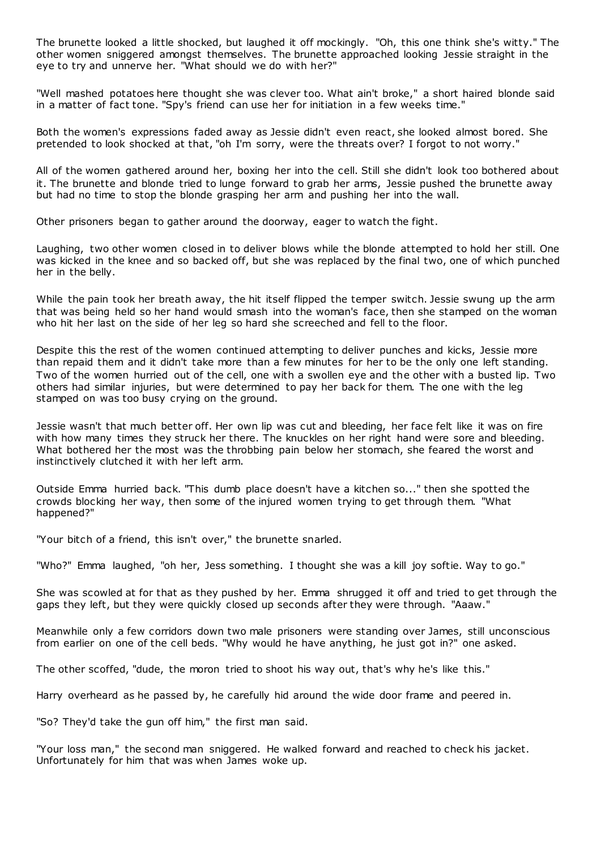The brunette looked a little shocked, but laughed it off mockingly. "Oh, this one think she's witty." The other women sniggered amongst themselves. The brunette approached looking Jessie straight in the eye to try and unnerve her. "What should we do with her?"

"Well mashed potatoes here thought she was clever too. What ain't broke," a short haired blonde said in a matter of fact tone. "Spy's friend can use her for initiation in a few weeks time."

Both the women's expressions faded away as Jessie didn't even react, she looked almost bored. She pretended to look shocked at that, "oh I'm sorry, were the threats over? I forgot to not worry."

All of the women gathered around her, boxing her into the cell. Still she didn't look too bothered about it. The brunette and blonde tried to lunge forward to grab her arms, Jessie pushed the brunette away but had no time to stop the blonde grasping her arm and pushing her into the wall.

Other prisoners began to gather around the doorway, eager to watch the fight.

Laughing, two other women closed in to deliver blows while the blonde attempted to hold her still. One was kicked in the knee and so backed off, but she was replaced by the final two, one of which punched her in the belly.

While the pain took her breath away, the hit itself flipped the temper switch. Jessie swung up the arm that was being held so her hand would smash into the woman's face, then she stamped on the woman who hit her last on the side of her leg so hard she screeched and fell to the floor.

Despite this the rest of the women continued attempting to deliver punches and kicks, Jessie more than repaid them and it didn't take more than a few minutes for her to be the only one left standing. Two of the women hurried out of the cell, one with a swollen eye and the other with a busted lip. Two others had similar injuries, but were determined to pay her back for them. The one with the leg stamped on was too busy crying on the ground.

Jessie wasn't that much better off. Her own lip was cut and bleeding, her face felt like it was on fire with how many times they struck her there. The knuckles on her right hand were sore and bleeding. What bothered her the most was the throbbing pain below her stomach, she feared the worst and instinctively clutched it with her left arm.

Outside Emma hurried back. "This dumb place doesn't have a kitchen so..." then she spotted the crowds blocking her way, then some of the injured women trying to get through them. "What happened?"

"Your bitch of a friend, this isn't over," the brunette snarled.

"Who?" Emma laughed, "oh her, Jess something. I thought she was a kill joy softie. Way to go."

She was scowled at for that as they pushed by her. Emma shrugged it off and tried to get through the gaps they left, but they were quickly closed up seconds after they were through. "Aaaw."

Meanwhile only a few corridors down two male prisoners were standing over James, still unconscious from earlier on one of the cell beds. "Why would he have anything, he just got in?" one asked.

The other scoffed, "dude, the moron tried to shoot his way out, that's why he's like this."

Harry overheard as he passed by, he carefully hid around the wide door frame and peered in.

"So? They'd take the gun off him," the first man said.

"Your loss man," the second man sniggered. He walked forward and reached to check his jacket. Unfortunately for him that was when James woke up.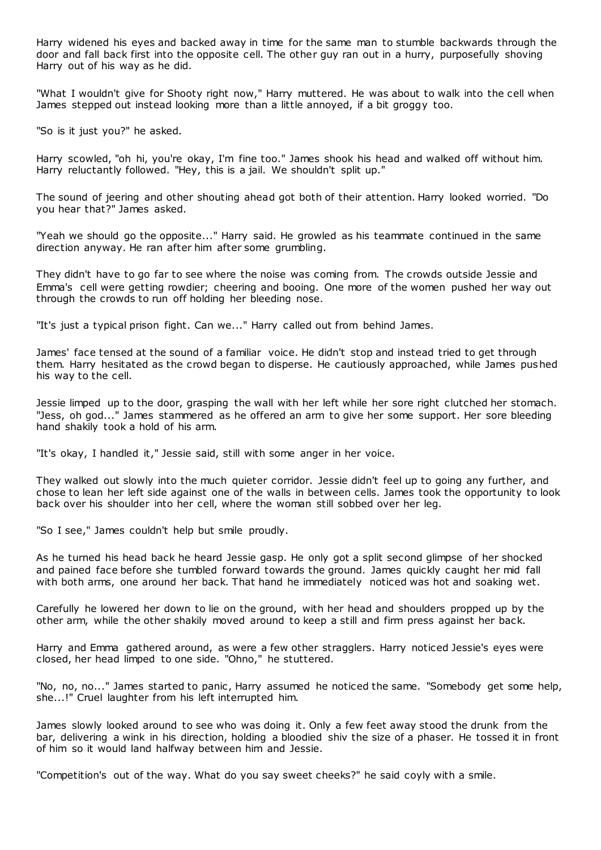Harry widened his eyes and backed away in time for the same man to stumble backwards through the door and fall back first into the opposite cell. The other guy ran out in a hurry, purposefully shoving Harry out of his way as he did.

"What I wouldn't give for Shooty right now," Harry muttered. He was about to walk into the cell when James stepped out instead looking more than a little annoyed, if a bit groggy too.

"So is it just you?" he asked.

Harry scowled, "oh hi, you're okay, I'm fine too." James shook his head and walked off without him. Harry reluctantly followed. "Hey, this is a jail. We shouldn't split up."

The sound of jeering and other shouting ahead got both of their attention. Harry looked worried. "Do you hear that?" James asked.

"Yeah we should go the opposite..." Harry said. He growled as his teammate continued in the same direction anyway. He ran after him after some grumbling.

They didn't have to go far to see where the noise was coming from. The crowds outside Jessie and Emma's cell were getting rowdier; cheering and booing. One more of the women pushed her way out through the crowds to run off holding her bleeding nose.

"It's just a typical prison fight. Can we..." Harry called out from behind James.

James' face tensed at the sound of a familiar voice. He didn't stop and instead tried to get through them. Harry hesitated as the crowd began to disperse. He cautiously approached, while James pushed his way to the cell.

Jessie limped up to the door, grasping the wall with her left while her sore right clutched her stomach. "Jess, oh god..." James stammered as he offered an arm to give her some support. Her sore bleeding hand shakily took a hold of his arm.

"It's okay, I handled it," Jessie said, still with some anger in her voice.

They walked out slowly into the much quieter corridor. Jessie didn't feel up to going any further, and chose to lean her left side against one of the walls in between cells. James took the opportunity to look back over his shoulder into her cell, where the woman still sobbed over her leg.

"So I see," James couldn't help but smile proudly.

As he turned his head back he heard Jessie gasp. He only got a split second glimpse of her shocked and pained face before she tumbled forward towards the ground. James quickly caught her mid fall with both arms, one around her back. That hand he immediately noticed was hot and soaking wet.

Carefully he lowered her down to lie on the ground, with her head and shoulders propped up by the other arm, while the other shakily moved around to keep a still and firm press against her back.

Harry and Emma gathered around, as were a few other stragglers. Harry noticed Jessie's eyes were closed, her head limped to one side. "Ohno," he stuttered.

"No, no, no..." James started to panic, Harry assumed he noticed the same. "Somebody get some help, she...!" Cruel laughter from his left interrupted him.

James slowly looked around to see who was doing it. Only a few feet away stood the drunk from the bar, delivering a wink in his direction, holding a bloodied shiv the size of a phaser. He tossed it in front of him so it would land halfway between him and Jessie.

"Competition's out of the way. What do you say sweet cheeks?" he said coyly with a smile.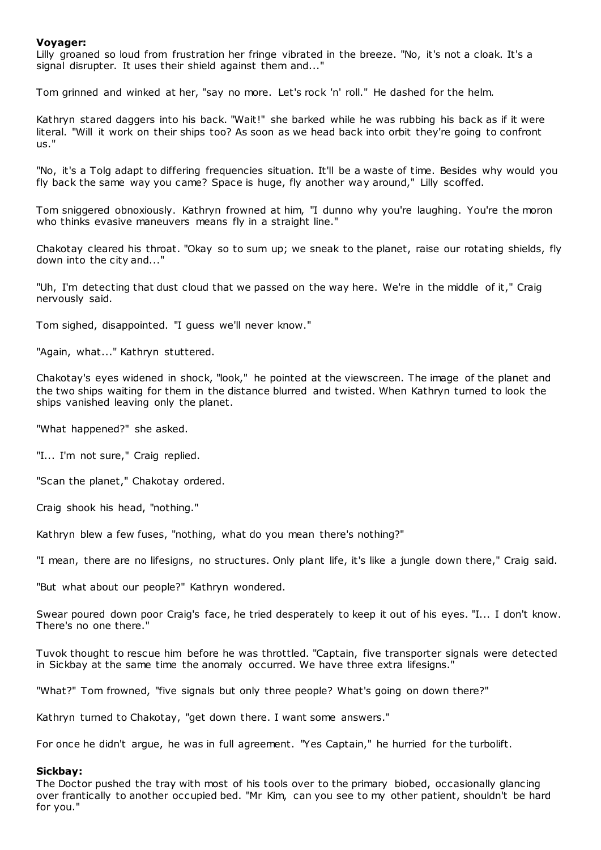## **Voyager:**

Lilly groaned so loud from frustration her fringe vibrated in the breeze. "No, it's not a cloak. It's a signal disrupter. It uses their shield against them and..."

Tom grinned and winked at her, "say no more. Let's rock 'n' roll." He dashed for the helm.

Kathryn stared daggers into his back. "Wait!" she barked while he was rubbing his back as if it were literal. "Will it work on their ships too? As soon as we head back into orbit they're going to confront us."

"No, it's a Tolg adapt to differing frequencies situation. It'll be a waste of time. Besides why would you fly back the same way you came? Space is huge, fly another way around," Lilly scoffed.

Tom sniggered obnoxiously. Kathryn frowned at him, "I dunno why you're laughing. You're the moron who thinks evasive maneuvers means fly in a straight line."

Chakotay cleared his throat. "Okay so to sum up; we sneak to the planet, raise our rotating shields, fly down into the city and..."

"Uh, I'm detecting that dust cloud that we passed on the way here. We're in the middle of it," Craig nervously said.

Tom sighed, disappointed. "I guess we'll never know."

"Again, what..." Kathryn stuttered.

Chakotay's eyes widened in shock, "look," he pointed at the viewscreen. The image of the planet and the two ships waiting for them in the distance blurred and twisted. When Kathryn turned to look the ships vanished leaving only the planet.

"What happened?" she asked.

"I... I'm not sure," Craig replied.

"Scan the planet," Chakotay ordered.

Craig shook his head, "nothing."

Kathryn blew a few fuses, "nothing, what do you mean there's nothing?"

"I mean, there are no lifesigns, no structures. Only plant life, it's like a jungle down there," Craig said.

"But what about our people?" Kathryn wondered.

Swear poured down poor Craig's face, he tried desperately to keep it out of his eyes. "I... I don't know. There's no one there."

Tuvok thought to rescue him before he was throttled. "Captain, five transporter signals were detected in Sickbay at the same time the anomaly occurred. We have three extra lifesigns."

"What?" Tom frowned, "five signals but only three people? What's going on down there?"

Kathryn turned to Chakotay, "get down there. I want some answers."

For once he didn't argue, he was in full agreement. "Yes Captain," he hurried for the turbolift.

## **Sickbay:**

The Doctor pushed the tray with most of his tools over to the primary biobed, occasionally glancing over frantically to another occupied bed. "Mr Kim, can you see to my other patient, shouldn't be hard for you."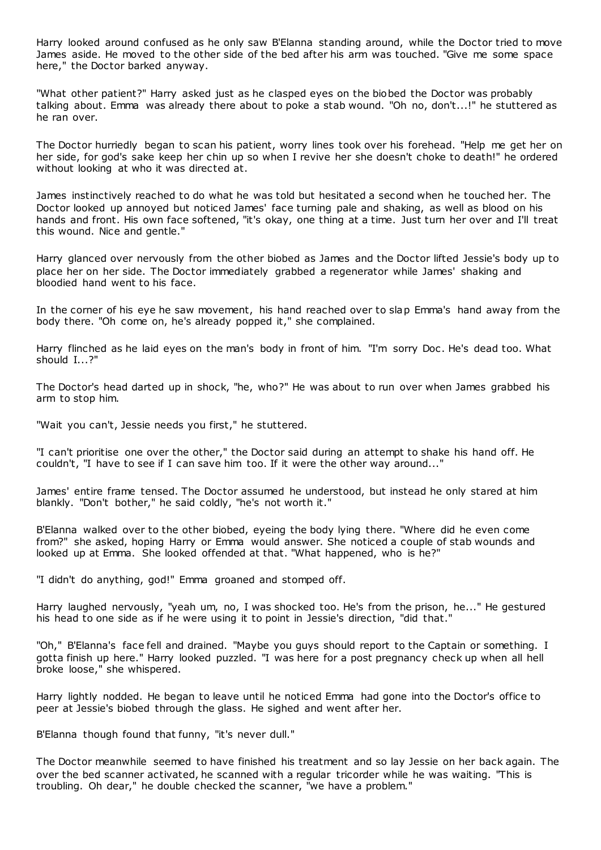Harry looked around confused as he only saw B'Elanna standing around, while the Doctor tried to move James aside. He moved to the other side of the bed after his arm was touched. "Give me some space here," the Doctor barked anyway.

"What other patient?" Harry asked just as he clasped eyes on the biobed the Doctor was probably talking about. Emma was already there about to poke a stab wound. "Oh no, don't...!" he stuttered as he ran over.

The Doctor hurriedly began to scan his patient, worry lines took over his forehead. "Help me get her on her side, for god's sake keep her chin up so when I revive her she doesn't choke to death!" he ordered without looking at who it was directed at.

James instinctively reached to do what he was told but hesitated a second when he touched her. The Doctor looked up annoyed but noticed James' face turning pale and shaking, as well as blood on his hands and front. His own face softened, "it's okay, one thing at a time. Just turn her over and I'll treat this wound. Nice and gentle."

Harry glanced over nervously from the other biobed as James and the Doctor lifted Jessie's body up to place her on her side. The Doctor immediately grabbed a regenerator while James' shaking and bloodied hand went to his face.

In the corner of his eye he saw movement, his hand reached over to slap Emma's hand away from the body there. "Oh come on, he's already popped it," she complained.

Harry flinched as he laid eyes on the man's body in front of him. "I'm sorry Doc . He's dead too. What should I...?"

The Doctor's head darted up in shock, "he, who?" He was about to run over when James grabbed his arm to stop him.

"Wait you can't, Jessie needs you first," he stuttered.

"I can't prioritise one over the other," the Doctor said during an attempt to shake his hand off. He couldn't, "I have to see if I can save him too. If it were the other way around..."

James' entire frame tensed. The Doctor assumed he understood, but instead he only stared at him blankly. "Don't bother," he said coldly, "he's not worth it."

B'Elanna walked over to the other biobed, eyeing the body lying there. "Where did he even come from?" she asked, hoping Harry or Emma would answer. She noticed a couple of stab wounds and looked up at Emma. She looked offended at that. "What happened, who is he?"

"I didn't do anything, god!" Emma groaned and stomped off.

Harry laughed nervously, "yeah um, no, I was shocked too. He's from the prison, he..." He gestured his head to one side as if he were using it to point in Jessie's direction, "did that."

"Oh," B'Elanna's face fell and drained. "Maybe you guys should report to the Captain or something. I gotta finish up here." Harry looked puzzled. "I was here for a post pregnancy check up when all hell broke loose," she whispered.

Harry lightly nodded. He began to leave until he noticed Emma had gone into the Doctor's office to peer at Jessie's biobed through the glass. He sighed and went after her.

B'Elanna though found that funny, "it's never dull."

The Doctor meanwhile seemed to have finished his treatment and so lay Jessie on her back again. The over the bed scanner activated, he scanned with a regular tricorder while he was waiting. "This is troubling. Oh dear," he double checked the scanner, "we have a problem."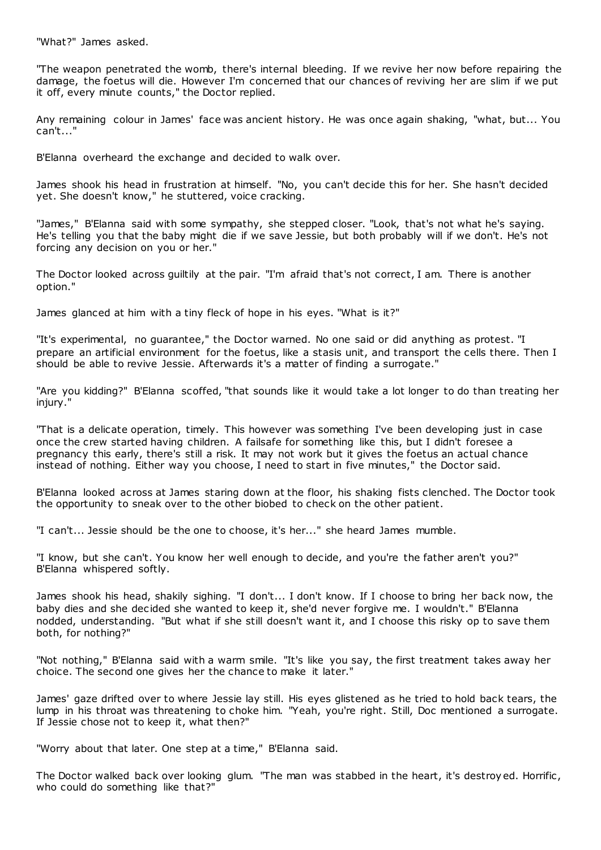"What?" James asked.

"The weapon penetrated the womb, there's internal bleeding. If we revive her now before repairing the damage, the foetus will die. However I'm concerned that our chances of reviving her are slim if we put it off, every minute counts," the Doctor replied.

Any remaining colour in James' face was ancient history. He was once again shaking, "what, but... You can't..."

B'Elanna overheard the exchange and decided to walk over.

James shook his head in frustration at himself. "No, you can't decide this for her. She hasn't decided yet. She doesn't know," he stuttered, voice cracking.

"James," B'Elanna said with some sympathy, she stepped closer. "Look, that's not what he's saying. He's telling you that the baby might die if we save Jessie, but both probably will if we don't. He's not forcing any decision on you or her."

The Doctor looked across guiltily at the pair. "I'm afraid that's not correct, I am. There is another option."

James glanced at him with a tiny fleck of hope in his eyes. "What is it?"

"It's experimental, no guarantee," the Doctor warned. No one said or did anything as protest. "I prepare an artificial environment for the foetus, like a stasis unit, and transport the cells there. Then I should be able to revive Jessie. Afterwards it's a matter of finding a surrogate."

"Are you kidding?" B'Elanna scoffed, "that sounds like it would take a lot longer to do than treating her injury."

"That is a delicate operation, timely. This however was something I've been developing just in case once the crew started having children. A failsafe for something like this, but I didn't foresee a pregnancy this early, there's still a risk. It may not work but it gives the foetus an actual chance instead of nothing. Either way you choose, I need to start in five minutes," the Doctor said.

B'Elanna looked across at James staring down at the floor, his shaking fists clenched. The Doctor took the opportunity to sneak over to the other biobed to check on the other patient.

"I can't... Jessie should be the one to choose, it's her..." she heard James mumble.

"I know, but she can't. You know her well enough to decide, and you're the father aren't you?" B'Elanna whispered softly.

James shook his head, shakily sighing. "I don't... I don't know. If I choose to bring her back now, the baby dies and she decided she wanted to keep it, she'd never forgive me. I wouldn't." B'Elanna nodded, understanding. "But what if she still doesn't want it, and I choose this risky op to save them both, for nothing?"

"Not nothing," B'Elanna said with a warm smile. "It's like you say, the first treatment takes away her choice. The second one gives her the chance to make it later."

James' gaze drifted over to where Jessie lay still. His eyes glistened as he tried to hold back tears, the lump in his throat was threatening to choke him. "Yeah, you're right. Still, Doc mentioned a surrogate. If Jessie chose not to keep it, what then?"

"Worry about that later. One step at a time," B'Elanna said.

The Doctor walked back over looking glum. "The man was stabbed in the heart, it's destroyed. Horrific, who could do something like that?"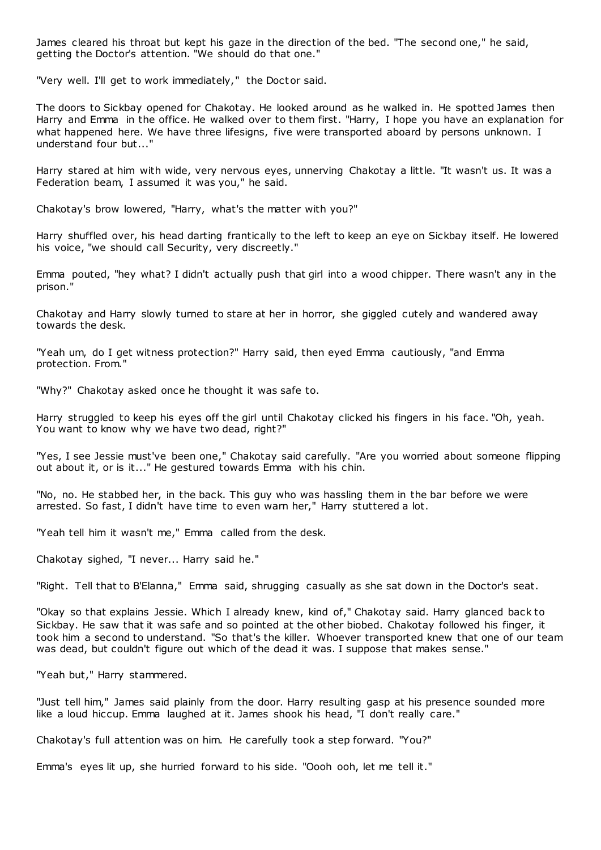James cleared his throat but kept his gaze in the direction of the bed. "The second one," he said, getting the Doctor's attention. "We should do that one."

"Very well. I'll get to work immediately," the Doctor said.

The doors to Sickbay opened for Chakotay. He looked around as he walked in. He spotted James then Harry and Emma in the office. He walked over to them first. "Harry, I hope you have an explanation for what happened here. We have three lifesigns, five were transported aboard by persons unknown. I understand four but..."

Harry stared at him with wide, very nervous eyes, unnerving Chakotay a little. "It wasn't us. It was a Federation beam, I assumed it was you," he said.

Chakotay's brow lowered, "Harry, what's the matter with you?"

Harry shuffled over, his head darting frantically to the left to keep an eye on Sickbay itself. He lowered his voice, "we should call Security, very discreetly."

Emma pouted, "hey what? I didn't actually push that girl into a wood chipper. There wasn't any in the prison."

Chakotay and Harry slowly turned to stare at her in horror, she giggled cutely and wandered away towards the desk.

"Yeah um, do I get witness protection?" Harry said, then eyed Emma cautiously, "and Emma protection. From."

"Why?" Chakotay asked once he thought it was safe to.

Harry struggled to keep his eyes off the girl until Chakotay clicked his fingers in his face. "Oh, yeah. You want to know why we have two dead, right?"

"Yes, I see Jessie must've been one," Chakotay said carefully. "Are you worried about someone flipping out about it, or is it..." He gestured towards Emma with his chin.

"No, no. He stabbed her, in the back. This guy who was hassling them in the bar before we were arrested. So fast, I didn't have time to even warn her," Harry stuttered a lot.

"Yeah tell him it wasn't me," Emma called from the desk.

Chakotay sighed, "I never... Harry said he."

"Right. Tell that to B'Elanna," Emma said, shrugging casually as she sat down in the Doctor's seat.

"Okay so that explains Jessie. Which I already knew, kind of," Chakotay said. Harry glanced back to Sickbay. He saw that it was safe and so pointed at the other biobed. Chakotay followed his finger, it took him a second to understand. "So that's the killer. Whoever transported knew that one of our team was dead, but couldn't figure out which of the dead it was. I suppose that makes sense."

"Yeah but," Harry stammered.

"Just tell him," James said plainly from the door. Harry resulting gasp at his presence sounded more like a loud hiccup. Emma laughed at it. James shook his head, "I don't really care."

Chakotay's full attention was on him. He carefully took a step forward. "You?"

Emma's eyes lit up, she hurried forward to his side. "Oooh ooh, let me tell it."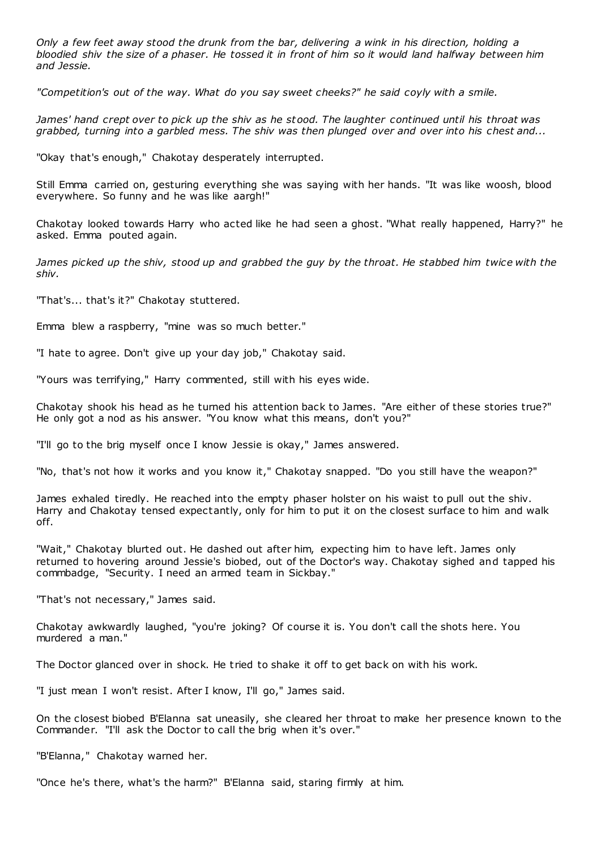*Only a few feet away stood the drunk from the bar, delivering a wink in his direction, holding a bloodied shiv the size of a phaser. He tossed it in front of him so it would land halfway between him and Jessie.*

*"Competition's out of the way. What do you say sweet cheeks?" he said coyly with a smile.*

*James' hand crept over to pick up the shiv as he stood. The laughter continued until his throat was grabbed, turning into a garbled mess. The shiv was then plunged over and over into his chest and...*

"Okay that's enough," Chakotay desperately interrupted.

Still Emma carried on, gesturing everything she was saying with her hands. "It was like woosh, blood everywhere. So funny and he was like aargh!"

Chakotay looked towards Harry who acted like he had seen a ghost. "What really happened, Harry?" he asked. Emma pouted again.

*James picked up the shiv, stood up and grabbed the guy by the throat. He stabbed him twice with the shiv.*

"That's... that's it?" Chakotay stuttered.

Emma blew a raspberry, "mine was so much better."

"I hate to agree. Don't give up your day job," Chakotay said.

"Yours was terrifying," Harry commented, still with his eyes wide.

Chakotay shook his head as he turned his attention back to James. "Are either of these stories true?" He only got a nod as his answer. "You know what this means, don't you?"

"I'll go to the brig myself once I know Jessie is okay," James answered.

"No, that's not how it works and you know it," Chakotay snapped. "Do you still have the weapon?"

James exhaled tiredly. He reached into the empty phaser holster on his waist to pull out the shiv. Harry and Chakotay tensed expectantly, only for him to put it on the closest surface to him and walk off.

"Wait," Chakotay blurted out. He dashed out after him, expecting him to have left. James only returned to hovering around Jessie's biobed, out of the Doctor's way. Chakotay sighed and tapped his commbadge, "Security. I need an armed team in Sickbay."

"That's not necessary," James said.

Chakotay awkwardly laughed, "you're joking? Of course it is. You don't call the shots here. You murdered a man."

The Doctor glanced over in shock. He tried to shake it off to get back on with his work.

"I just mean I won't resist. After I know, I'll go," James said.

On the closest biobed B'Elanna sat uneasily, she cleared her throat to make her presence known to the Commander. "I'll ask the Doctor to call the brig when it's over."

"B'Elanna," Chakotay warned her.

"Once he's there, what's the harm?" B'Elanna said, staring firmly at him.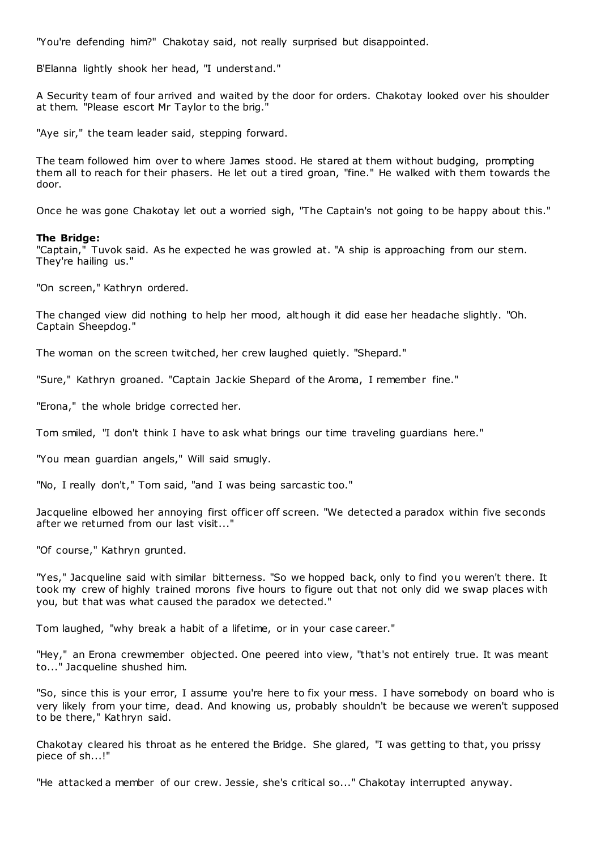"You're defending him?" Chakotay said, not really surprised but disappointed.

B'Elanna lightly shook her head, "I understand."

A Security team of four arrived and waited by the door for orders. Chakotay looked over his shoulder at them. "Please escort Mr Taylor to the brig."

"Aye sir," the team leader said, stepping forward.

The team followed him over to where James stood. He stared at them without budging, prompting them all to reach for their phasers. He let out a tired groan, "fine." He walked with them towards the door.

Once he was gone Chakotay let out a worried sigh, "The Captain's not going to be happy about this."

#### **The Bridge:**

"Captain," Tuvok said. As he expected he was growled at. "A ship is approaching from our stern. They're hailing us."

"On screen," Kathryn ordered.

The changed view did nothing to help her mood, although it did ease her headache slightly. "Oh. Captain Sheepdog."

The woman on the screen twitched, her crew laughed quietly. "Shepard."

"Sure," Kathryn groaned. "Captain Jackie Shepard of the Aroma, I remember fine."

"Erona," the whole bridge corrected her.

Tom smiled, "I don't think I have to ask what brings our time traveling guardians here."

"You mean guardian angels," Will said smugly.

"No, I really don't," Tom said, "and I was being sarcastic too."

Jacqueline elbowed her annoying first officer off screen. "We detected a paradox within five seconds after we returned from our last visit..."

"Of course," Kathryn grunted.

"Yes," Jacqueline said with similar bitterness. "So we hopped back, only to find you weren't there. It took my crew of highly trained morons five hours to figure out that not only did we swap places with you, but that was what caused the paradox we detected."

Tom laughed, "why break a habit of a lifetime, or in your case career."

"Hey," an Erona crewmember objected. One peered into view, "that's not entirely true. It was meant to..." Jacqueline shushed him.

"So, since this is your error, I assume you're here to fix your mess. I have somebody on board who is very likely from your time, dead. And knowing us, probably shouldn't be because we weren't supposed to be there," Kathryn said.

Chakotay cleared his throat as he entered the Bridge. She glared, "I was getting to that, you prissy piece of sh...!"

"He attacked a member of our crew. Jessie, she's critical so..." Chakotay interrupted anyway.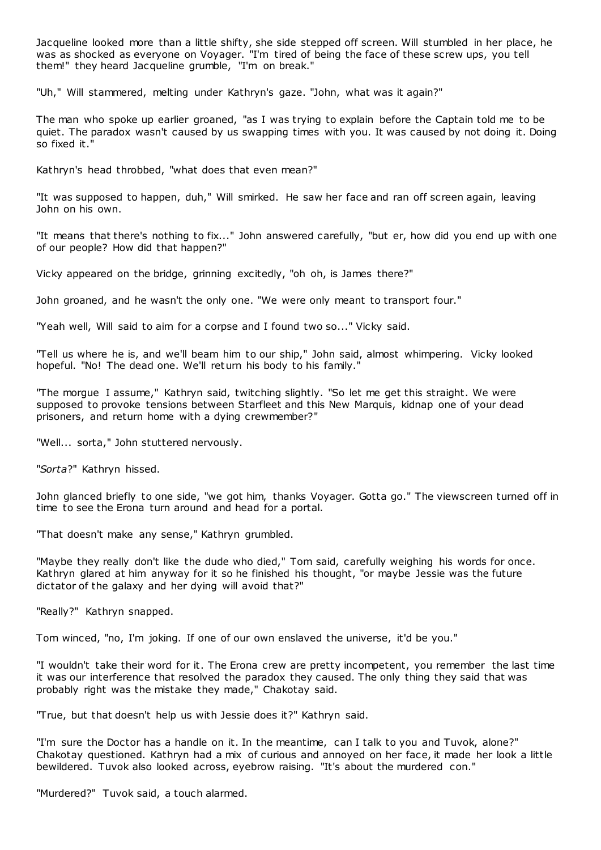Jacqueline looked more than a little shifty, she side stepped off screen. Will stumbled in her place, he was as shocked as everyone on Voyager. "I'm tired of being the face of these screw ups, you tell them!" they heard Jacqueline grumble, "I'm on break."

"Uh," Will stammered, melting under Kathryn's gaze. "John, what was it again?"

The man who spoke up earlier groaned, "as I was trying to explain before the Captain told me to be quiet. The paradox wasn't caused by us swapping times with you. It was caused by not doing it. Doing so fixed it."

Kathryn's head throbbed, "what does that even mean?"

"It was supposed to happen, duh," Will smirked. He saw her face and ran off screen again, leaving John on his own.

"It means that there's nothing to fix..." John answered carefully, "but er, how did you end up with one of our people? How did that happen?"

Vicky appeared on the bridge, grinning excitedly, "oh oh, is James there?"

John groaned, and he wasn't the only one. "We were only meant to transport four."

"Yeah well, Will said to aim for a corpse and I found two so..." Vicky said.

"Tell us where he is, and we'll beam him to our ship," John said, almost whimpering. Vicky looked hopeful. "No! The dead one. We'll return his body to his family."

"The morgue I assume," Kathryn said, twitching slightly. "So let me get this straight. We were supposed to provoke tensions between Starfleet and this New Marquis, kidnap one of your dead prisoners, and return home with a dying crewmember?"

"Well... sorta," John stuttered nervously.

"*Sorta*?" Kathryn hissed.

John glanced briefly to one side, "we got him, thanks Voyager. Gotta go." The viewscreen turned off in time to see the Erona turn around and head for a portal.

"That doesn't make any sense," Kathryn grumbled.

"Maybe they really don't like the dude who died," Tom said, carefully weighing his words for once. Kathryn glared at him anyway for it so he finished his thought, "or maybe Jessie was the future dictator of the galaxy and her dying will avoid that?"

"Really?" Kathryn snapped.

Tom winced, "no, I'm joking. If one of our own enslaved the universe, it'd be you."

"I wouldn't take their word for it. The Erona crew are pretty incompetent, you remember the last time it was our interference that resolved the paradox they caused. The only thing they said that was probably right was the mistake they made," Chakotay said.

"True, but that doesn't help us with Jessie does it?" Kathryn said.

"I'm sure the Doctor has a handle on it. In the meantime, can I talk to you and Tuvok, alone?" Chakotay questioned. Kathryn had a mix of curious and annoyed on her face, it made her look a little bewildered. Tuvok also looked across, eyebrow raising. "It's about the murdered con."

"Murdered?" Tuvok said, a touch alarmed.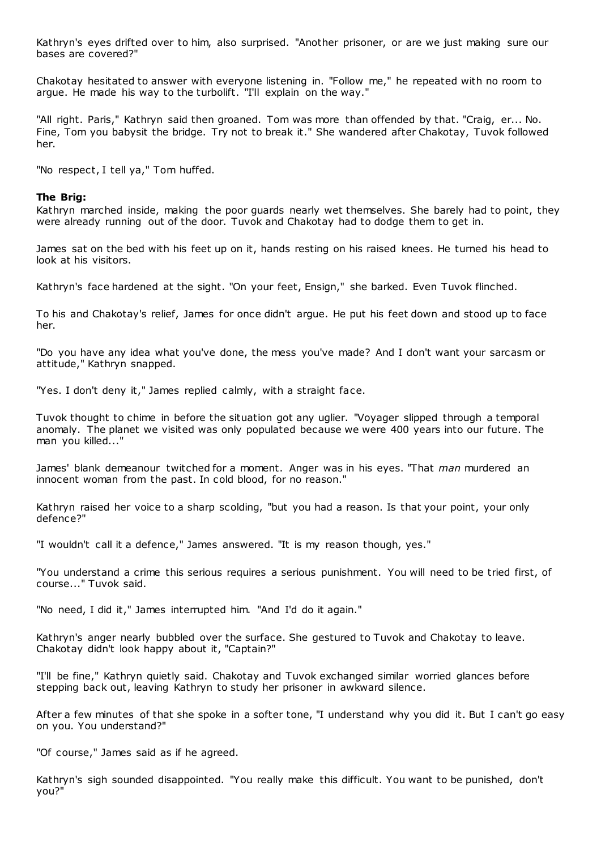Kathryn's eyes drifted over to him, also surprised. "Another prisoner, or are we just making sure our bases are covered?"

Chakotay hesitated to answer with everyone listening in. "Follow me," he repeated with no room to argue. He made his way to the turbolift. "I'll explain on the way."

"All right. Paris," Kathryn said then groaned. Tom was more than offended by that. "Craig, er... No. Fine, Tom you babysit the bridge. Try not to break it." She wandered after Chakotay, Tuvok followed her.

"No respect, I tell ya," Tom huffed.

# **The Brig:**

Kathryn marched inside, making the poor guards nearly wet themselves. She barely had to point, they were already running out of the door. Tuvok and Chakotay had to dodge them to get in.

James sat on the bed with his feet up on it, hands resting on his raised knees. He turned his head to look at his visitors.

Kathryn's face hardened at the sight. "On your feet, Ensign," she barked. Even Tuvok flinched.

To his and Chakotay's relief, James for once didn't argue. He put his feet down and stood up to face her.

"Do you have any idea what you've done, the mess you've made? And I don't want your sarcasm or attitude," Kathryn snapped.

"Yes. I don't deny it," James replied calmly, with a straight face.

Tuvok thought to chime in before the situation got any uglier. "Voyager slipped through a temporal anomaly. The planet we visited was only populated because we were 400 years into our future. The man you killed..."

James' blank demeanour twitched for a moment. Anger was in his eyes. "That *man* murdered an innocent woman from the past. In cold blood, for no reason."

Kathryn raised her voice to a sharp scolding, "but you had a reason. Is that your point, your only defence?"

"I wouldn't call it a defence," James answered. "It is my reason though, yes."

"You understand a crime this serious requires a serious punishment. You will need to be tried first, of course..." Tuvok said.

"No need, I did it," James interrupted him. "And I'd do it again."

Kathryn's anger nearly bubbled over the surface. She gestured to Tuvok and Chakotay to leave. Chakotay didn't look happy about it, "Captain?"

"I'll be fine," Kathryn quietly said. Chakotay and Tuvok exchanged similar worried glances before stepping back out, leaving Kathryn to study her prisoner in awkward silence.

After a few minutes of that she spoke in a softer tone, "I understand why you did it. But I can't go easy on you. You understand?"

"Of course," James said as if he agreed.

Kathryn's sigh sounded disappointed. "You really make this difficult. You want to be punished, don't you?"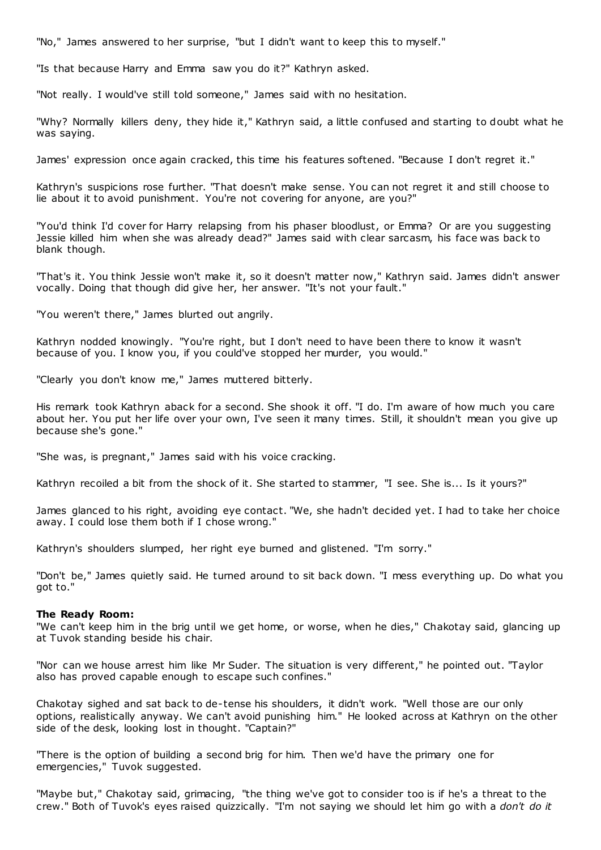"No," James answered to her surprise, "but I didn't want to keep this to myself."

"Is that because Harry and Emma saw you do it?" Kathryn asked.

"Not really. I would've still told someone," James said with no hesitation.

"Why? Normally killers deny, they hide it," Kathryn said, a little confused and starting to doubt what he was saying.

James' expression once again cracked, this time his features softened. "Because I don't regret it."

Kathryn's suspicions rose further. "That doesn't make sense. You can not regret it and still choose to lie about it to avoid punishment. You're not covering for anyone, are you?"

"You'd think I'd cover for Harry relapsing from his phaser bloodlust, or Emma? Or are you suggesting Jessie killed him when she was already dead?" James said with clear sarcasm, his face was back to blank though.

"That's it. You think Jessie won't make it, so it doesn't matter now," Kathryn said. James didn't answer vocally. Doing that though did give her, her answer. "It's not your fault."

"You weren't there," James blurted out angrily.

Kathryn nodded knowingly. "You're right, but I don't need to have been there to know it wasn't because of you. I know you, if you could've stopped her murder, you would."

"Clearly you don't know me," James muttered bitterly.

His remark took Kathryn aback for a second. She shook it off. "I do. I'm aware of how much you care about her. You put her life over your own, I've seen it many times. Still, it shouldn't mean you give up because she's gone."

"She was, is pregnant," James said with his voice cracking.

Kathryn recoiled a bit from the shock of it. She started to stammer, "I see. She is... Is it yours?"

James glanced to his right, avoiding eye contact. "We, she hadn't decided yet. I had to take her choice away. I could lose them both if I chose wrong."

Kathryn's shoulders slumped, her right eye burned and glistened. "I'm sorry."

"Don't be," James quietly said. He turned around to sit back down. "I mess everything up. Do what you got to."

#### **The Ready Room:**

"We can't keep him in the brig until we get home, or worse, when he dies," Chakotay said, glancing up at Tuvok standing beside his chair.

"Nor can we house arrest him like Mr Suder. The situation is very different," he pointed out. "Taylor also has proved capable enough to escape such confines."

Chakotay sighed and sat back to de-tense his shoulders, it didn't work. "Well those are our only options, realistically anyway. We can't avoid punishing him." He looked across at Kathryn on the other side of the desk, looking lost in thought. "Captain?"

"There is the option of building a second brig for him. Then we'd have the primary one for emergencies," Tuvok suggested.

"Maybe but," Chakotay said, grimacing, "the thing we've got to consider too is if he's a threat to the crew." Both of Tuvok's eyes raised quizzically. "I'm not saying we should let him go with a *don't do it*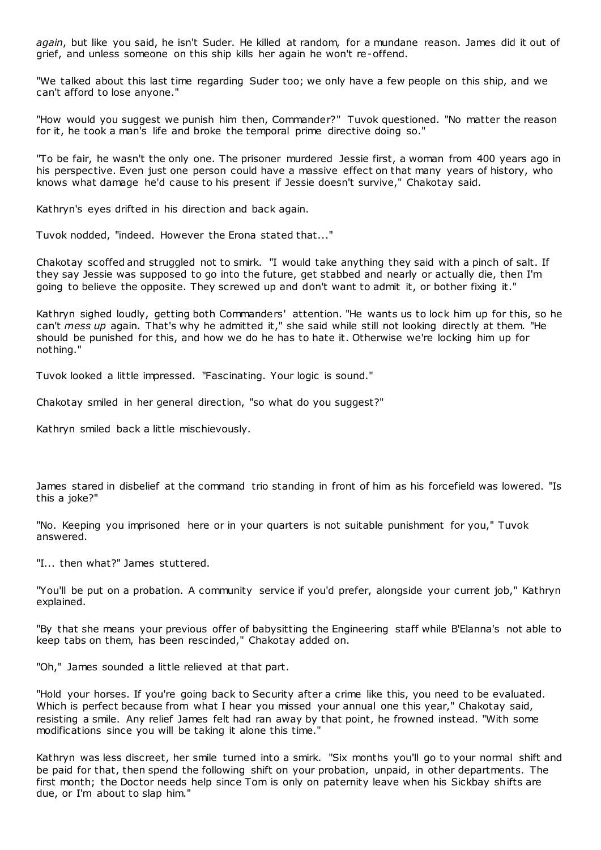*again*, but like you said, he isn't Suder. He killed at random, for a mundane reason. James did it out of grief, and unless someone on this ship kills her again he won't re-offend.

"We talked about this last time regarding Suder too; we only have a few people on this ship, and we can't afford to lose anyone."

"How would you suggest we punish him then, Commander?" Tuvok questioned. "No matter the reason for it, he took a man's life and broke the temporal prime directive doing so."

"To be fair, he wasn't the only one. The prisoner murdered Jessie first, a woman from 400 years ago in his perspective. Even just one person could have a massive effect on that many years of history, who knows what damage he'd cause to his present if Jessie doesn't survive," Chakotay said.

Kathryn's eyes drifted in his direction and back again.

Tuvok nodded, "indeed. However the Erona stated that..."

Chakotay scoffed and struggled not to smirk. "I would take anything they said with a pinch of salt. If they say Jessie was supposed to go into the future, get stabbed and nearly or actually die, then I'm going to believe the opposite. They screwed up and don't want to admit it, or bother fixing it."

Kathryn sighed loudly, getting both Commanders' attention. "He wants us to lock him up for this, so he can't *mess up* again. That's why he admitted it," she said while still not looking directly at them. "He should be punished for this, and how we do he has to hate it. Otherwise we're locking him up for nothing."

Tuvok looked a little impressed. "Fascinating. Your logic is sound."

Chakotay smiled in her general direction, "so what do you suggest?"

Kathryn smiled back a little mischievously.

James stared in disbelief at the command trio standing in front of him as his forcefield was lowered. "Is this a joke?"

"No. Keeping you imprisoned here or in your quarters is not suitable punishment for you," Tuvok answered.

"I... then what?" James stuttered.

"You'll be put on a probation. A community service if you'd prefer, alongside your current job," Kathryn explained.

"By that she means your previous offer of babysitting the Engineering staff while B'Elanna's not able to keep tabs on them, has been rescinded," Chakotay added on.

"Oh," James sounded a little relieved at that part.

"Hold your horses. If you're going back to Security after a crime like this, you need to be evaluated. Which is perfect because from what I hear you missed your annual one this year," Chakotay said, resisting a smile. Any relief James felt had ran away by that point, he frowned instead. "With some modifications since you will be taking it alone this time."

Kathryn was less discreet, her smile turned into a smirk. "Six months you'll go to your normal shift and be paid for that, then spend the following shift on your probation, unpaid, in other departments. The first month; the Doctor needs help since Tom is only on paternity leave when his Sickbay shifts are due, or I'm about to slap him."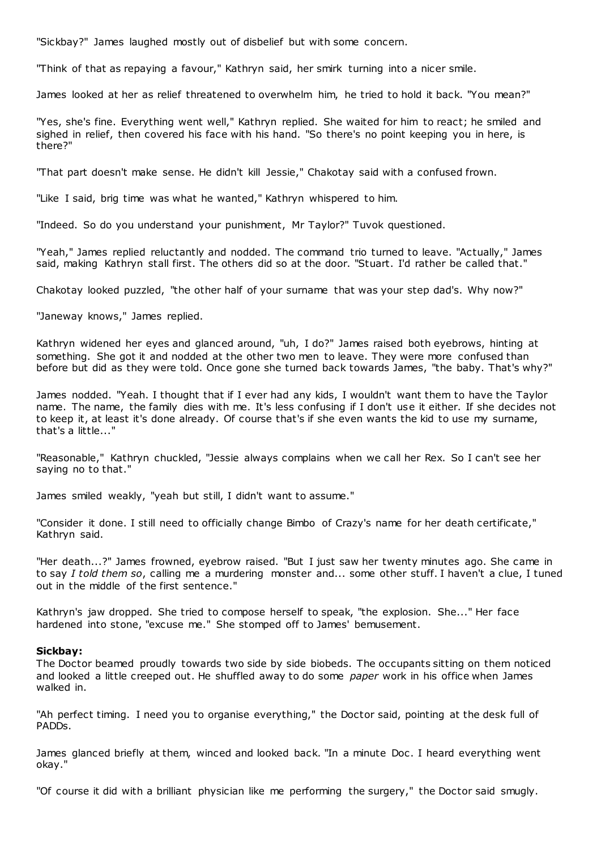"Sickbay?" James laughed mostly out of disbelief but with some concern.

"Think of that as repaying a favour," Kathryn said, her smirk turning into a nicer smile.

James looked at her as relief threatened to overwhelm him, he tried to hold it back. "You mean?"

"Yes, she's fine. Everything went well," Kathryn replied. She waited for him to react; he smiled and sighed in relief, then covered his face with his hand. "So there's no point keeping you in here, is there?"

"That part doesn't make sense. He didn't kill Jessie," Chakotay said with a confused frown.

"Like I said, brig time was what he wanted," Kathryn whispered to him.

"Indeed. So do you understand your punishment, Mr Taylor?" Tuvok questioned.

"Yeah," James replied reluctantly and nodded. The command trio turned to leave. "Actually," James said, making Kathryn stall first. The others did so at the door. "Stuart. I'd rather be called that."

Chakotay looked puzzled, "the other half of your surname that was your step dad's. Why now?"

"Janeway knows," James replied.

Kathryn widened her eyes and glanced around, "uh, I do?" James raised both eyebrows, hinting at something. She got it and nodded at the other two men to leave. They were more confused than before but did as they were told. Once gone she turned back towards James, "the baby. That's why?"

James nodded. "Yeah. I thought that if I ever had any kids, I wouldn't want them to have the Taylor name. The name, the family dies with me. It's less confusing if I don't use it either. If she decides not to keep it, at least it's done already. Of course that's if she even wants the kid to use my surname, that's a little..."

"Reasonable," Kathryn chuckled, "Jessie always complains when we call her Rex. So I can't see her saying no to that."

James smiled weakly, "yeah but still, I didn't want to assume."

"Consider it done. I still need to officially change Bimbo of Crazy's name for her death certificate," Kathryn said.

"Her death...?" James frowned, eyebrow raised. "But I just saw her twenty minutes ago. She came in to say *I told them so*, calling me a murdering monster and... some other stuff. I haven't a clue, I tuned out in the middle of the first sentence."

Kathryn's jaw dropped. She tried to compose herself to speak, "the explosion. She..." Her face hardened into stone, "excuse me." She stomped off to James' bemusement.

#### **Sickbay:**

The Doctor beamed proudly towards two side by side biobeds. The occupants sitting on them noticed and looked a little creeped out. He shuffled away to do some *paper* work in his office when James walked in.

"Ah perfect timing. I need you to organise everything," the Doctor said, pointing at the desk full of PADDs.

James glanced briefly at them, winced and looked back. "In a minute Doc . I heard everything went okay."

"Of course it did with a brilliant physician like me performing the surgery," the Doctor said smugly.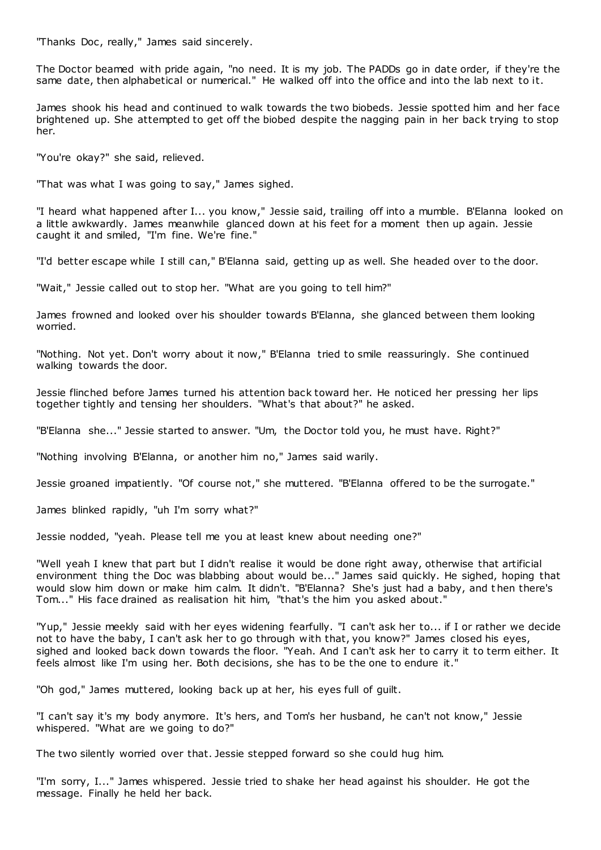"Thanks Doc , really," James said sincerely.

The Doctor beamed with pride again, "no need. It is my job. The PADDs go in date order, if they're the same date, then alphabetical or numerical." He walked off into the office and into the lab next to it.

James shook his head and continued to walk towards the two biobeds. Jessie spotted him and her face brightened up. She attempted to get off the biobed despite the nagging pain in her back trying to stop her.

"You're okay?" she said, relieved.

"That was what I was going to say," James sighed.

"I heard what happened after I... you know," Jessie said, trailing off into a mumble. B'Elanna looked on a little awkwardly. James meanwhile glanced down at his feet for a moment then up again. Jessie caught it and smiled, "I'm fine. We're fine."

"I'd better escape while I still can," B'Elanna said, getting up as well. She headed over to the door.

"Wait," Jessie called out to stop her. "What are you going to tell him?"

James frowned and looked over his shoulder towards B'Elanna, she glanced between them looking worried.

"Nothing. Not yet. Don't worry about it now," B'Elanna tried to smile reassuringly. She continued walking towards the door.

Jessie flinched before James turned his attention back toward her. He noticed her pressing her lips together tightly and tensing her shoulders. "What's that about?" he asked.

"B'Elanna she..." Jessie started to answer. "Um, the Doctor told you, he must have. Right?"

"Nothing involving B'Elanna, or another him no," James said warily.

Jessie groaned impatiently. "Of course not," she muttered. "B'Elanna offered to be the surrogate."

James blinked rapidly, "uh I'm sorry what?"

Jessie nodded, "yeah. Please tell me you at least knew about needing one?"

"Well yeah I knew that part but I didn't realise it would be done right away, otherwise that artificial environment thing the Doc was blabbing about would be..." James said quickly. He sighed, hoping that would slow him down or make him calm. It didn't. "B'Elanna? She's just had a baby, and t hen there's Tom..." His face drained as realisation hit him, "that's the him you asked about."

"Yup," Jessie meekly said with her eyes widening fearfully. "I can't ask her to... if I or rather we decide not to have the baby, I can't ask her to go through with that, you know?" James closed his eyes, sighed and looked back down towards the floor. "Yeah. And I can't ask her to carry it to term either. It feels almost like I'm using her. Both decisions, she has to be the one to endure it."

"Oh god," James muttered, looking back up at her, his eyes full of guilt.

"I can't say it's my body anymore. It's hers, and Tom's her husband, he can't not know," Jessie whispered. "What are we going to do?"

The two silently worried over that. Jessie stepped forward so she could hug him.

"I'm sorry, I..." James whispered. Jessie tried to shake her head against his shoulder. He got the message. Finally he held her back.